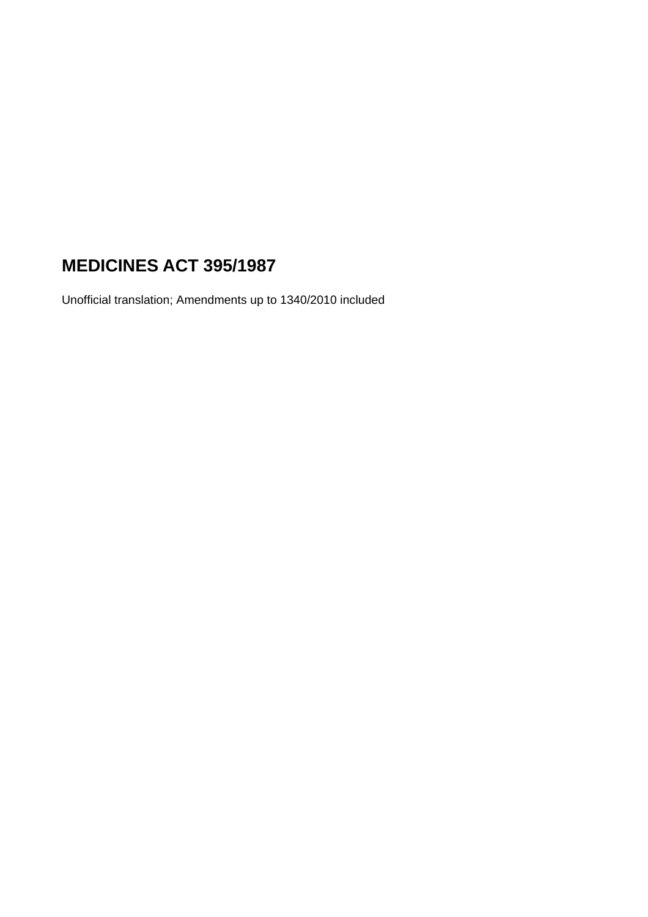# **MEDICINES ACT 395/1987**

Unofficial translation; Amendments up to 1340/2010 included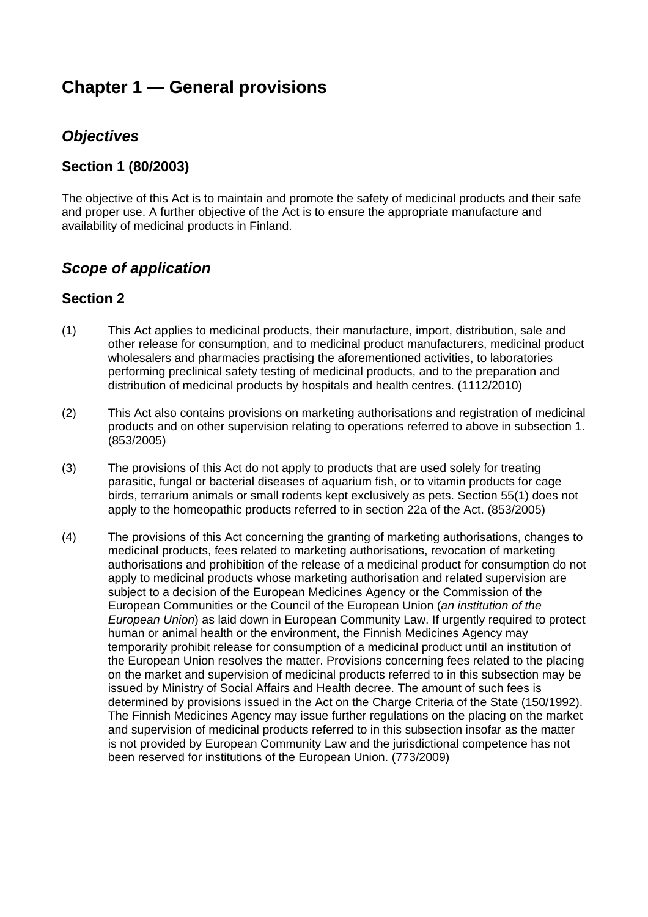# **Chapter 1 — General provisions**

# *Objectives*

## **Section 1 (80/2003)**

The objective of this Act is to maintain and promote the safety of medicinal products and their safe and proper use. A further objective of the Act is to ensure the appropriate manufacture and availability of medicinal products in Finland.

# *Scope of application*

## **Section 2**

- (1) This Act applies to medicinal products, their manufacture, import, distribution, sale and other release for consumption, and to medicinal product manufacturers, medicinal product wholesalers and pharmacies practising the aforementioned activities, to laboratories performing preclinical safety testing of medicinal products, and to the preparation and distribution of medicinal products by hospitals and health centres. (1112/2010)
- (2) This Act also contains provisions on marketing authorisations and registration of medicinal products and on other supervision relating to operations referred to above in subsection 1. (853/2005)
- (3) The provisions of this Act do not apply to products that are used solely for treating parasitic, fungal or bacterial diseases of aquarium fish, or to vitamin products for cage birds, terrarium animals or small rodents kept exclusively as pets. Section 55(1) does not apply to the homeopathic products referred to in section 22a of the Act. (853/2005)
- (4) The provisions of this Act concerning the granting of marketing authorisations, changes to medicinal products, fees related to marketing authorisations, revocation of marketing authorisations and prohibition of the release of a medicinal product for consumption do not apply to medicinal products whose marketing authorisation and related supervision are subject to a decision of the European Medicines Agency or the Commission of the European Communities or the Council of the European Union (*an institution of the European Union*) as laid down in European Community Law. If urgently required to protect human or animal health or the environment, the Finnish Medicines Agency may temporarily prohibit release for consumption of a medicinal product until an institution of the European Union resolves the matter. Provisions concerning fees related to the placing on the market and supervision of medicinal products referred to in this subsection may be issued by Ministry of Social Affairs and Health decree. The amount of such fees is determined by provisions issued in the Act on the Charge Criteria of the State (150/1992). The Finnish Medicines Agency may issue further regulations on the placing on the market and supervision of medicinal products referred to in this subsection insofar as the matter is not provided by European Community Law and the jurisdictional competence has not been reserved for institutions of the European Union. (773/2009)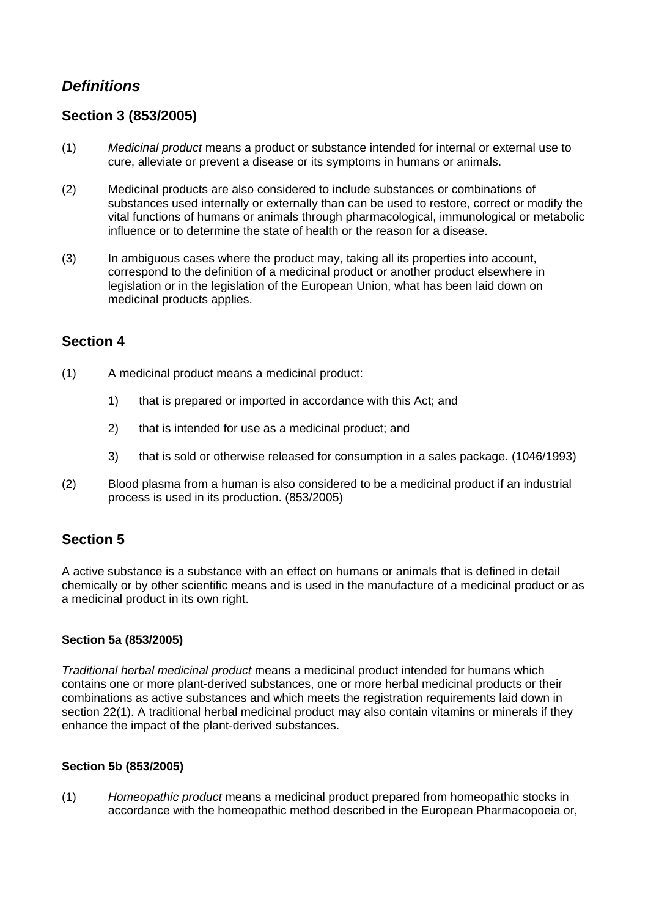# *Definitions*

## **Section 3 (853/2005)**

- (1) *Medicinal product* means a product or substance intended for internal or external use to cure, alleviate or prevent a disease or its symptoms in humans or animals.
- (2) Medicinal products are also considered to include substances or combinations of substances used internally or externally than can be used to restore, correct or modify the vital functions of humans or animals through pharmacological, immunological or metabolic influence or to determine the state of health or the reason for a disease.
- (3) In ambiguous cases where the product may, taking all its properties into account, correspond to the definition of a medicinal product or another product elsewhere in legislation or in the legislation of the European Union, what has been laid down on medicinal products applies.

## **Section 4**

- (1) A medicinal product means a medicinal product:
	- 1) that is prepared or imported in accordance with this Act; and
	- 2) that is intended for use as a medicinal product; and
	- 3) that is sold or otherwise released for consumption in a sales package. (1046/1993)
- (2) Blood plasma from a human is also considered to be a medicinal product if an industrial process is used in its production. (853/2005)

# **Section 5**

A active substance is a substance with an effect on humans or animals that is defined in detail chemically or by other scientific means and is used in the manufacture of a medicinal product or as a medicinal product in its own right.

## **Section 5a (853/2005)**

*Traditional herbal medicinal product* means a medicinal product intended for humans which contains one or more plant-derived substances, one or more herbal medicinal products or their combinations as active substances and which meets the registration requirements laid down in section 22(1). A traditional herbal medicinal product may also contain vitamins or minerals if they enhance the impact of the plant-derived substances.

### **Section 5b (853/2005)**

(1) *Homeopathic product* means a medicinal product prepared from homeopathic stocks in accordance with the homeopathic method described in the European Pharmacopoeia or,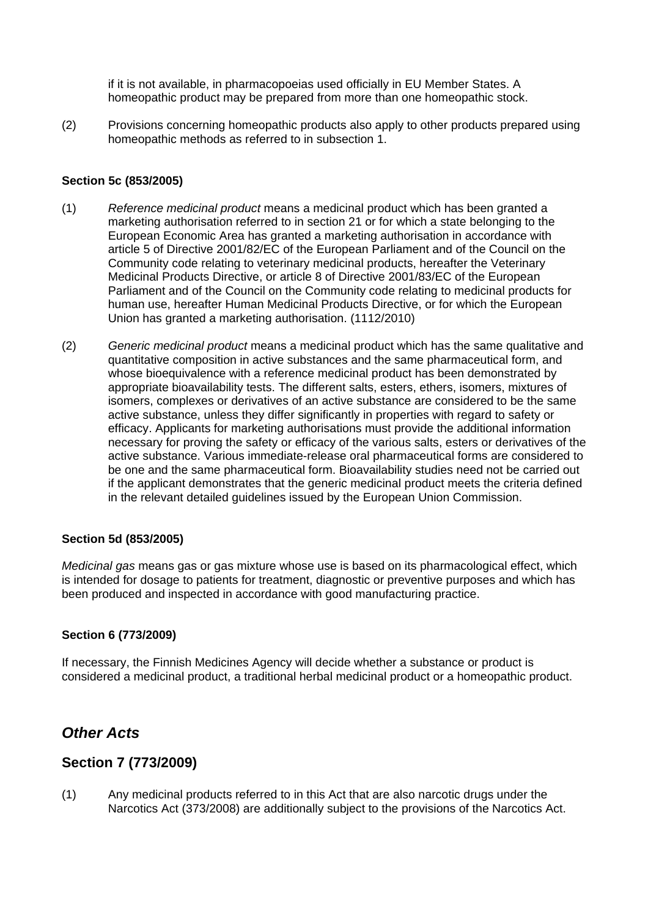if it is not available, in pharmacopoeias used officially in EU Member States. A homeopathic product may be prepared from more than one homeopathic stock.

(2) Provisions concerning homeopathic products also apply to other products prepared using homeopathic methods as referred to in subsection 1.

## **Section 5c (853/2005)**

- (1) *Reference medicinal product* means a medicinal product which has been granted a marketing authorisation referred to in section 21 or for which a state belonging to the European Economic Area has granted a marketing authorisation in accordance with article 5 of Directive 2001/82/EC of the European Parliament and of the Council on the Community code relating to veterinary medicinal products, hereafter the Veterinary Medicinal Products Directive, or article 8 of Directive 2001/83/EC of the European Parliament and of the Council on the Community code relating to medicinal products for human use, hereafter Human Medicinal Products Directive, or for which the European Union has granted a marketing authorisation. (1112/2010)
- (2) *Generic medicinal product* means a medicinal product which has the same qualitative and quantitative composition in active substances and the same pharmaceutical form, and whose bioequivalence with a reference medicinal product has been demonstrated by appropriate bioavailability tests. The different salts, esters, ethers, isomers, mixtures of isomers, complexes or derivatives of an active substance are considered to be the same active substance, unless they differ significantly in properties with regard to safety or efficacy. Applicants for marketing authorisations must provide the additional information necessary for proving the safety or efficacy of the various salts, esters or derivatives of the active substance. Various immediate-release oral pharmaceutical forms are considered to be one and the same pharmaceutical form. Bioavailability studies need not be carried out if the applicant demonstrates that the generic medicinal product meets the criteria defined in the relevant detailed guidelines issued by the European Union Commission.

### **Section 5d (853/2005)**

*Medicinal gas* means gas or gas mixture whose use is based on its pharmacological effect, which is intended for dosage to patients for treatment, diagnostic or preventive purposes and which has been produced and inspected in accordance with good manufacturing practice.

### **Section 6 (773/2009)**

If necessary, the Finnish Medicines Agency will decide whether a substance or product is considered a medicinal product, a traditional herbal medicinal product or a homeopathic product.

# *Other Acts*

# **Section 7 (773/2009)**

(1) Any medicinal products referred to in this Act that are also narcotic drugs under the Narcotics Act (373/2008) are additionally subject to the provisions of the Narcotics Act.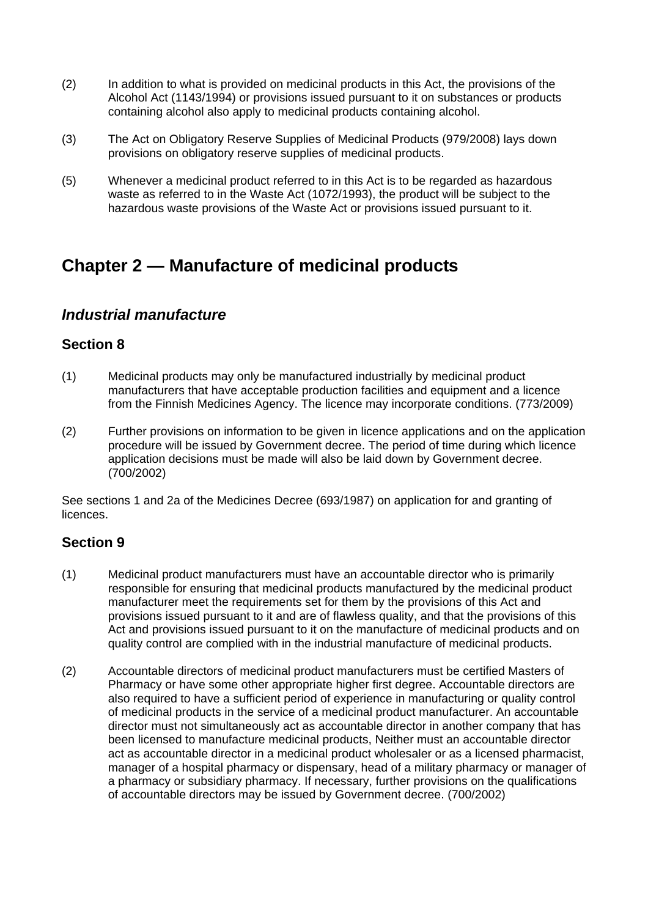- (2) In addition to what is provided on medicinal products in this Act, the provisions of the Alcohol Act (1143/1994) or provisions issued pursuant to it on substances or products containing alcohol also apply to medicinal products containing alcohol.
- (3) The Act on Obligatory Reserve Supplies of Medicinal Products (979/2008) lays down provisions on obligatory reserve supplies of medicinal products.
- (5) Whenever a medicinal product referred to in this Act is to be regarded as hazardous waste as referred to in the Waste Act (1072/1993), the product will be subject to the hazardous waste provisions of the Waste Act or provisions issued pursuant to it.

# **Chapter 2 — Manufacture of medicinal products**

# *Industrial manufacture*

## **Section 8**

- (1) Medicinal products may only be manufactured industrially by medicinal product manufacturers that have acceptable production facilities and equipment and a licence from the Finnish Medicines Agency. The licence may incorporate conditions. (773/2009)
- (2) Further provisions on information to be given in licence applications and on the application procedure will be issued by Government decree. The period of time during which licence application decisions must be made will also be laid down by Government decree. (700/2002)

See sections 1 and 2a of the Medicines Decree (693/1987) on application for and granting of licences.

## **Section 9**

- (1) Medicinal product manufacturers must have an accountable director who is primarily responsible for ensuring that medicinal products manufactured by the medicinal product manufacturer meet the requirements set for them by the provisions of this Act and provisions issued pursuant to it and are of flawless quality, and that the provisions of this Act and provisions issued pursuant to it on the manufacture of medicinal products and on quality control are complied with in the industrial manufacture of medicinal products.
- (2) Accountable directors of medicinal product manufacturers must be certified Masters of Pharmacy or have some other appropriate higher first degree. Accountable directors are also required to have a sufficient period of experience in manufacturing or quality control of medicinal products in the service of a medicinal product manufacturer. An accountable director must not simultaneously act as accountable director in another company that has been licensed to manufacture medicinal products, Neither must an accountable director act as accountable director in a medicinal product wholesaler or as a licensed pharmacist, manager of a hospital pharmacy or dispensary, head of a military pharmacy or manager of a pharmacy or subsidiary pharmacy. If necessary, further provisions on the qualifications of accountable directors may be issued by Government decree. (700/2002)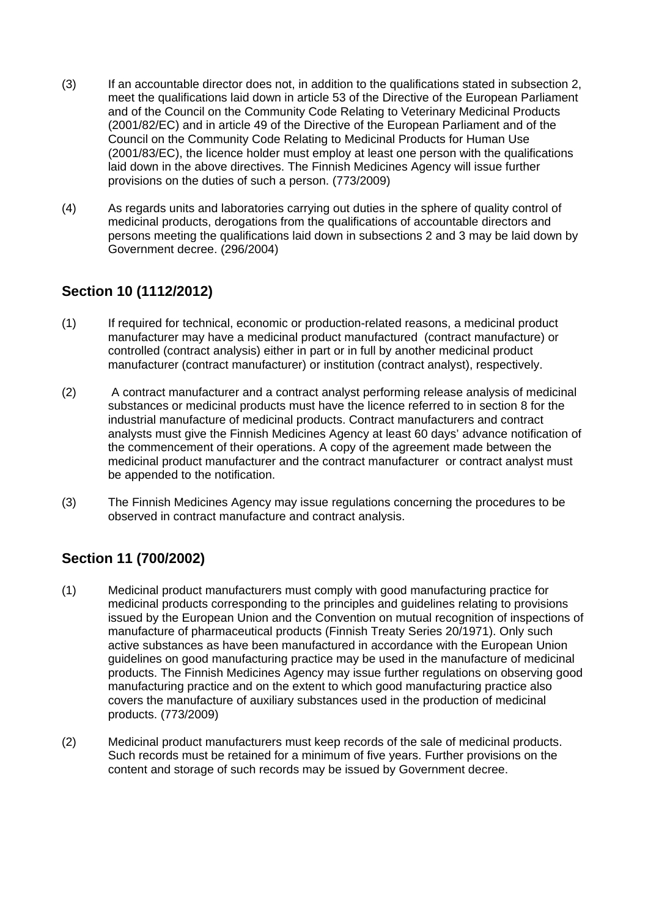- (3) If an accountable director does not, in addition to the qualifications stated in subsection 2, meet the qualifications laid down in article 53 of the Directive of the European Parliament and of the Council on the Community Code Relating to Veterinary Medicinal Products (2001/82/EC) and in article 49 of the Directive of the European Parliament and of the Council on the Community Code Relating to Medicinal Products for Human Use (2001/83/EC), the licence holder must employ at least one person with the qualifications laid down in the above directives. The Finnish Medicines Agency will issue further provisions on the duties of such a person. (773/2009)
- (4) As regards units and laboratories carrying out duties in the sphere of quality control of medicinal products, derogations from the qualifications of accountable directors and persons meeting the qualifications laid down in subsections 2 and 3 may be laid down by Government decree. (296/2004)

# **Section 10 (1112/2012)**

- (1) If required for technical, economic or production-related reasons, a medicinal product manufacturer may have a medicinal product manufactured (contract manufacture) or controlled (contract analysis) either in part or in full by another medicinal product manufacturer (contract manufacturer) or institution (contract analyst), respectively.
- (2) A contract manufacturer and a contract analyst performing release analysis of medicinal substances or medicinal products must have the licence referred to in section 8 for the industrial manufacture of medicinal products. Contract manufacturers and contract analysts must give the Finnish Medicines Agency at least 60 days' advance notification of the commencement of their operations. A copy of the agreement made between the medicinal product manufacturer and the contract manufacturer or contract analyst must be appended to the notification.
- (3) The Finnish Medicines Agency may issue regulations concerning the procedures to be observed in contract manufacture and contract analysis.

# **Section 11 (700/2002)**

- (1) Medicinal product manufacturers must comply with good manufacturing practice for medicinal products corresponding to the principles and guidelines relating to provisions issued by the European Union and the Convention on mutual recognition of inspections of manufacture of pharmaceutical products (Finnish Treaty Series 20/1971). Only such active substances as have been manufactured in accordance with the European Union guidelines on good manufacturing practice may be used in the manufacture of medicinal products. The Finnish Medicines Agency may issue further regulations on observing good manufacturing practice and on the extent to which good manufacturing practice also covers the manufacture of auxiliary substances used in the production of medicinal products. (773/2009)
- (2) Medicinal product manufacturers must keep records of the sale of medicinal products. Such records must be retained for a minimum of five years. Further provisions on the content and storage of such records may be issued by Government decree.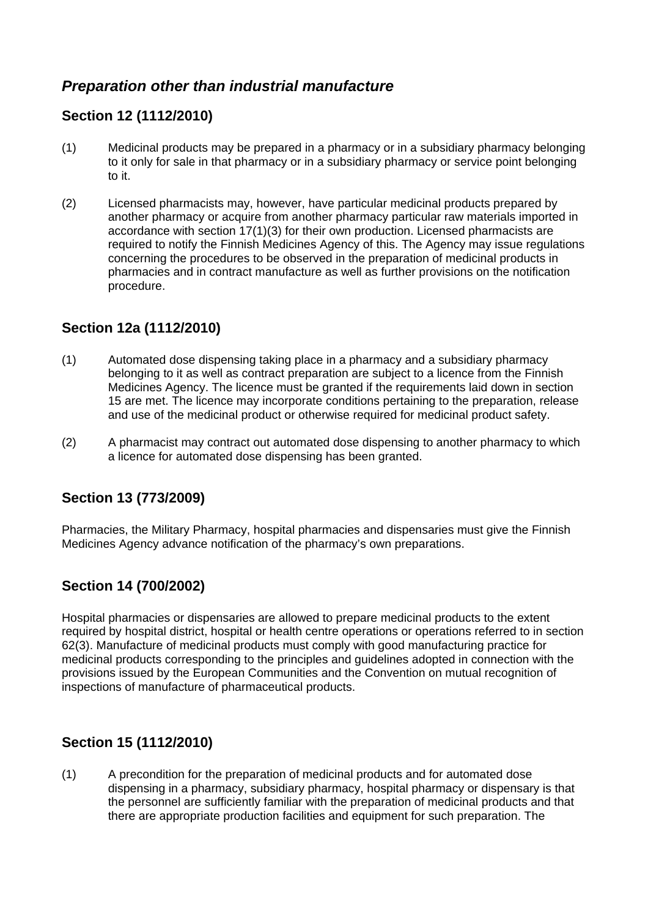# *Preparation other than industrial manufacture*

# **Section 12 (1112/2010)**

- (1) Medicinal products may be prepared in a pharmacy or in a subsidiary pharmacy belonging to it only for sale in that pharmacy or in a subsidiary pharmacy or service point belonging to it.
- (2) Licensed pharmacists may, however, have particular medicinal products prepared by another pharmacy or acquire from another pharmacy particular raw materials imported in accordance with section 17(1)(3) for their own production. Licensed pharmacists are required to notify the Finnish Medicines Agency of this. The Agency may issue regulations concerning the procedures to be observed in the preparation of medicinal products in pharmacies and in contract manufacture as well as further provisions on the notification procedure.

# **Section 12a (1112/2010)**

- (1) Automated dose dispensing taking place in a pharmacy and a subsidiary pharmacy belonging to it as well as contract preparation are subject to a licence from the Finnish Medicines Agency. The licence must be granted if the requirements laid down in section 15 are met. The licence may incorporate conditions pertaining to the preparation, release and use of the medicinal product or otherwise required for medicinal product safety.
- (2) A pharmacist may contract out automated dose dispensing to another pharmacy to which a licence for automated dose dispensing has been granted.

# **Section 13 (773/2009)**

Pharmacies, the Military Pharmacy, hospital pharmacies and dispensaries must give the Finnish Medicines Agency advance notification of the pharmacy's own preparations.

# **Section 14 (700/2002)**

Hospital pharmacies or dispensaries are allowed to prepare medicinal products to the extent required by hospital district, hospital or health centre operations or operations referred to in section 62(3). Manufacture of medicinal products must comply with good manufacturing practice for medicinal products corresponding to the principles and guidelines adopted in connection with the provisions issued by the European Communities and the Convention on mutual recognition of inspections of manufacture of pharmaceutical products.

# **Section 15 (1112/2010)**

(1) A precondition for the preparation of medicinal products and for automated dose dispensing in a pharmacy, subsidiary pharmacy, hospital pharmacy or dispensary is that the personnel are sufficiently familiar with the preparation of medicinal products and that there are appropriate production facilities and equipment for such preparation. The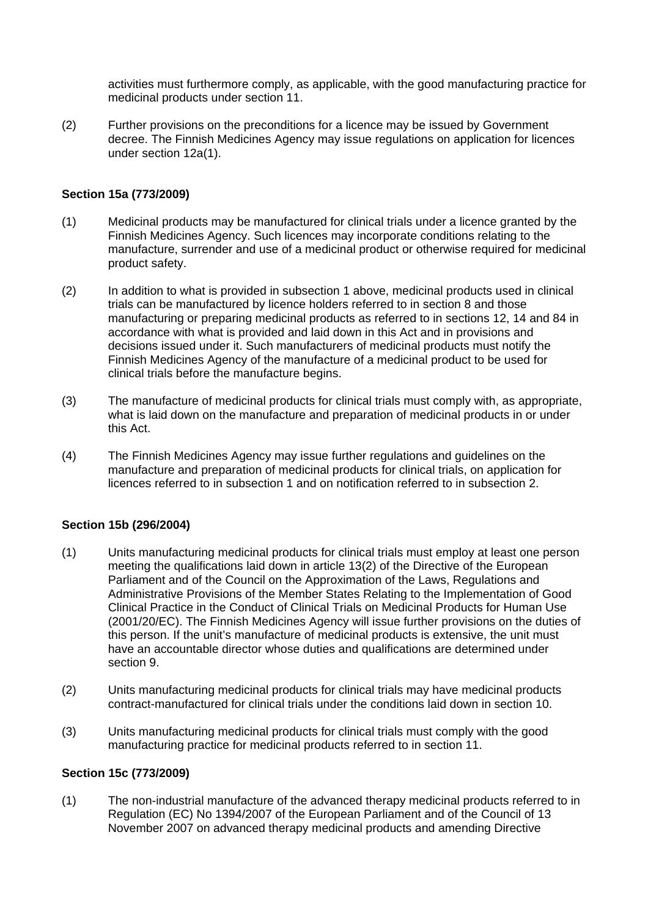activities must furthermore comply, as applicable, with the good manufacturing practice for medicinal products under section 11.

(2) Further provisions on the preconditions for a licence may be issued by Government decree. The Finnish Medicines Agency may issue regulations on application for licences under section 12a(1).

### **Section 15a (773/2009)**

- (1) Medicinal products may be manufactured for clinical trials under a licence granted by the Finnish Medicines Agency. Such licences may incorporate conditions relating to the manufacture, surrender and use of a medicinal product or otherwise required for medicinal product safety.
- (2) In addition to what is provided in subsection 1 above, medicinal products used in clinical trials can be manufactured by licence holders referred to in section 8 and those manufacturing or preparing medicinal products as referred to in sections 12, 14 and 84 in accordance with what is provided and laid down in this Act and in provisions and decisions issued under it. Such manufacturers of medicinal products must notify the Finnish Medicines Agency of the manufacture of a medicinal product to be used for clinical trials before the manufacture begins.
- (3) The manufacture of medicinal products for clinical trials must comply with, as appropriate, what is laid down on the manufacture and preparation of medicinal products in or under this Act.
- (4) The Finnish Medicines Agency may issue further regulations and guidelines on the manufacture and preparation of medicinal products for clinical trials, on application for licences referred to in subsection 1 and on notification referred to in subsection 2.

#### **Section 15b (296/2004)**

- (1) Units manufacturing medicinal products for clinical trials must employ at least one person meeting the qualifications laid down in article 13(2) of the Directive of the European Parliament and of the Council on the Approximation of the Laws, Regulations and Administrative Provisions of the Member States Relating to the Implementation of Good Clinical Practice in the Conduct of Clinical Trials on Medicinal Products for Human Use (2001/20/EC). The Finnish Medicines Agency will issue further provisions on the duties of this person. If the unit's manufacture of medicinal products is extensive, the unit must have an accountable director whose duties and qualifications are determined under section 9.
- (2) Units manufacturing medicinal products for clinical trials may have medicinal products contract-manufactured for clinical trials under the conditions laid down in section 10.
- (3) Units manufacturing medicinal products for clinical trials must comply with the good manufacturing practice for medicinal products referred to in section 11.

#### **Section 15c (773/2009)**

(1) The non-industrial manufacture of the advanced therapy medicinal products referred to in Regulation (EC) No 1394/2007 of the European Parliament and of the Council of 13 November 2007 on advanced therapy medicinal products and amending Directive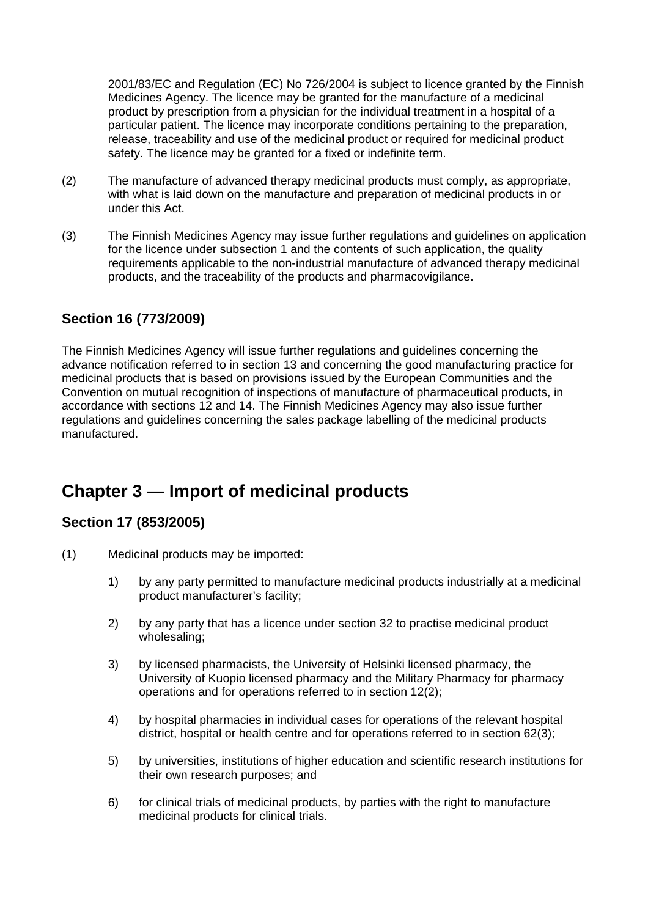2001/83/EC and Regulation (EC) No 726/2004 is subject to licence granted by the Finnish Medicines Agency. The licence may be granted for the manufacture of a medicinal product by prescription from a physician for the individual treatment in a hospital of a particular patient. The licence may incorporate conditions pertaining to the preparation, release, traceability and use of the medicinal product or required for medicinal product safety. The licence may be granted for a fixed or indefinite term.

- (2) The manufacture of advanced therapy medicinal products must comply, as appropriate, with what is laid down on the manufacture and preparation of medicinal products in or under this Act.
- (3) The Finnish Medicines Agency may issue further regulations and guidelines on application for the licence under subsection 1 and the contents of such application, the quality requirements applicable to the non-industrial manufacture of advanced therapy medicinal products, and the traceability of the products and pharmacovigilance.

# **Section 16 (773/2009)**

The Finnish Medicines Agency will issue further regulations and guidelines concerning the advance notification referred to in section 13 and concerning the good manufacturing practice for medicinal products that is based on provisions issued by the European Communities and the Convention on mutual recognition of inspections of manufacture of pharmaceutical products, in accordance with sections 12 and 14. The Finnish Medicines Agency may also issue further regulations and guidelines concerning the sales package labelling of the medicinal products manufactured.

# **Chapter 3 — Import of medicinal products**

# **Section 17 (853/2005)**

- (1) Medicinal products may be imported:
	- 1) by any party permitted to manufacture medicinal products industrially at a medicinal product manufacturer's facility;
	- 2) by any party that has a licence under section 32 to practise medicinal product wholesaling;
	- 3) by licensed pharmacists, the University of Helsinki licensed pharmacy, the University of Kuopio licensed pharmacy and the Military Pharmacy for pharmacy operations and for operations referred to in section 12(2);
	- 4) by hospital pharmacies in individual cases for operations of the relevant hospital district, hospital or health centre and for operations referred to in section 62(3);
	- 5) by universities, institutions of higher education and scientific research institutions for their own research purposes; and
	- 6) for clinical trials of medicinal products, by parties with the right to manufacture medicinal products for clinical trials.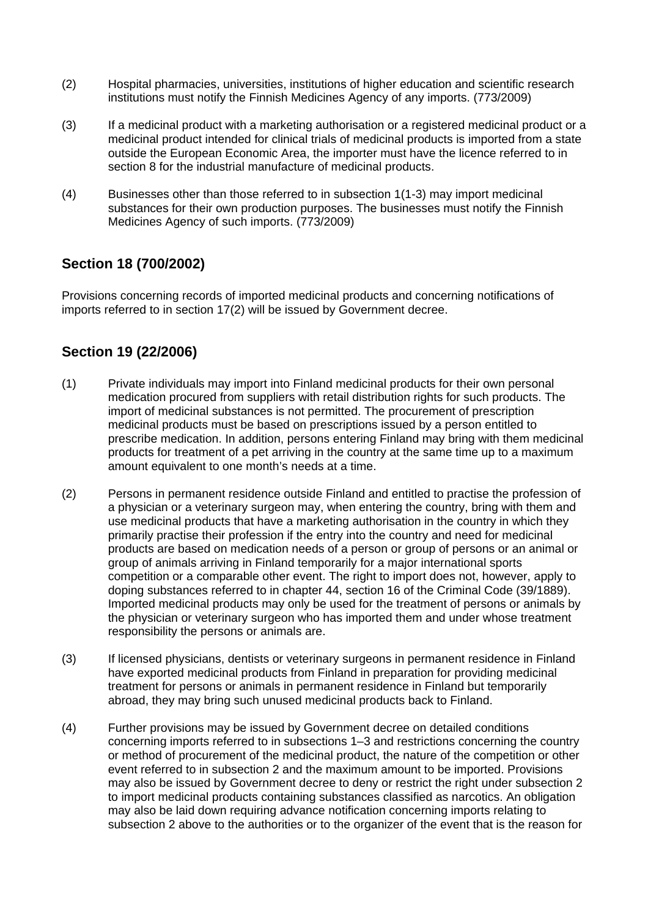- (2) Hospital pharmacies, universities, institutions of higher education and scientific research institutions must notify the Finnish Medicines Agency of any imports. (773/2009)
- (3) If a medicinal product with a marketing authorisation or a registered medicinal product or a medicinal product intended for clinical trials of medicinal products is imported from a state outside the European Economic Area, the importer must have the licence referred to in section 8 for the industrial manufacture of medicinal products.
- (4) Businesses other than those referred to in subsection 1(1-3) may import medicinal substances for their own production purposes. The businesses must notify the Finnish Medicines Agency of such imports. (773/2009)

## **Section 18 (700/2002)**

Provisions concerning records of imported medicinal products and concerning notifications of imports referred to in section 17(2) will be issued by Government decree.

## **Section 19 (22/2006)**

- (1) Private individuals may import into Finland medicinal products for their own personal medication procured from suppliers with retail distribution rights for such products. The import of medicinal substances is not permitted. The procurement of prescription medicinal products must be based on prescriptions issued by a person entitled to prescribe medication. In addition, persons entering Finland may bring with them medicinal products for treatment of a pet arriving in the country at the same time up to a maximum amount equivalent to one month's needs at a time.
- (2) Persons in permanent residence outside Finland and entitled to practise the profession of a physician or a veterinary surgeon may, when entering the country, bring with them and use medicinal products that have a marketing authorisation in the country in which they primarily practise their profession if the entry into the country and need for medicinal products are based on medication needs of a person or group of persons or an animal or group of animals arriving in Finland temporarily for a major international sports competition or a comparable other event. The right to import does not, however, apply to doping substances referred to in chapter 44, section 16 of the Criminal Code (39/1889). Imported medicinal products may only be used for the treatment of persons or animals by the physician or veterinary surgeon who has imported them and under whose treatment responsibility the persons or animals are.
- (3) If licensed physicians, dentists or veterinary surgeons in permanent residence in Finland have exported medicinal products from Finland in preparation for providing medicinal treatment for persons or animals in permanent residence in Finland but temporarily abroad, they may bring such unused medicinal products back to Finland.
- (4) Further provisions may be issued by Government decree on detailed conditions concerning imports referred to in subsections 1–3 and restrictions concerning the country or method of procurement of the medicinal product, the nature of the competition or other event referred to in subsection 2 and the maximum amount to be imported. Provisions may also be issued by Government decree to deny or restrict the right under subsection 2 to import medicinal products containing substances classified as narcotics. An obligation may also be laid down requiring advance notification concerning imports relating to subsection 2 above to the authorities or to the organizer of the event that is the reason for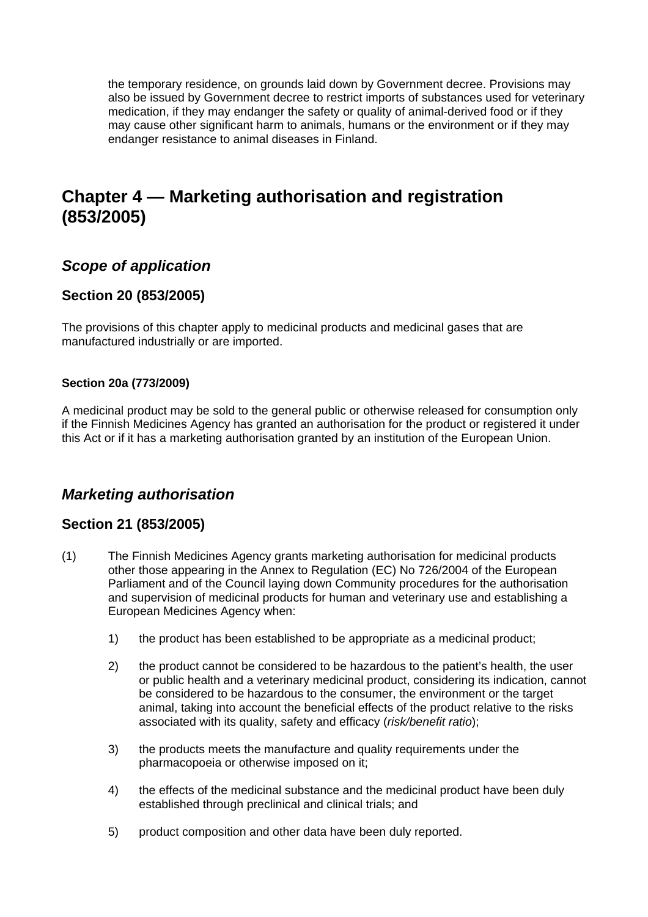the temporary residence, on grounds laid down by Government decree. Provisions may also be issued by Government decree to restrict imports of substances used for veterinary medication, if they may endanger the safety or quality of animal-derived food or if they may cause other significant harm to animals, humans or the environment or if they may endanger resistance to animal diseases in Finland.

# **Chapter 4 — Marketing authorisation and registration (853/2005)**

# *Scope of application*

## **Section 20 (853/2005)**

The provisions of this chapter apply to medicinal products and medicinal gases that are manufactured industrially or are imported.

## **Section 20a (773/2009)**

A medicinal product may be sold to the general public or otherwise released for consumption only if the Finnish Medicines Agency has granted an authorisation for the product or registered it under this Act or if it has a marketing authorisation granted by an institution of the European Union.

# *Marketing authorisation*

## **Section 21 (853/2005)**

- (1) The Finnish Medicines Agency grants marketing authorisation for medicinal products other those appearing in the Annex to Regulation (EC) No 726/2004 of the European Parliament and of the Council laying down Community procedures for the authorisation and supervision of medicinal products for human and veterinary use and establishing a European Medicines Agency when:
	- 1) the product has been established to be appropriate as a medicinal product;
	- 2) the product cannot be considered to be hazardous to the patient's health, the user or public health and a veterinary medicinal product, considering its indication, cannot be considered to be hazardous to the consumer, the environment or the target animal, taking into account the beneficial effects of the product relative to the risks associated with its quality, safety and efficacy (*risk/benefit ratio*);
	- 3) the products meets the manufacture and quality requirements under the pharmacopoeia or otherwise imposed on it;
	- 4) the effects of the medicinal substance and the medicinal product have been duly established through preclinical and clinical trials; and
	- 5) product composition and other data have been duly reported.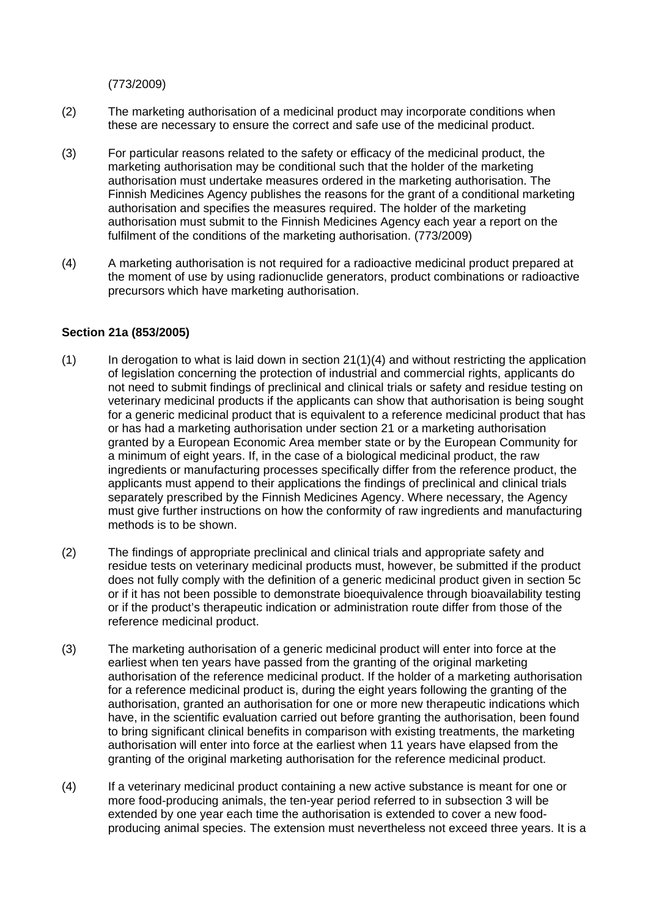(773/2009)

- (2) The marketing authorisation of a medicinal product may incorporate conditions when these are necessary to ensure the correct and safe use of the medicinal product.
- (3) For particular reasons related to the safety or efficacy of the medicinal product, the marketing authorisation may be conditional such that the holder of the marketing authorisation must undertake measures ordered in the marketing authorisation. The Finnish Medicines Agency publishes the reasons for the grant of a conditional marketing authorisation and specifies the measures required. The holder of the marketing authorisation must submit to the Finnish Medicines Agency each year a report on the fulfilment of the conditions of the marketing authorisation. (773/2009)
- (4) A marketing authorisation is not required for a radioactive medicinal product prepared at the moment of use by using radionuclide generators, product combinations or radioactive precursors which have marketing authorisation.

### **Section 21a (853/2005)**

- $(1)$  In derogation to what is laid down in section 21(1)(4) and without restricting the application of legislation concerning the protection of industrial and commercial rights, applicants do not need to submit findings of preclinical and clinical trials or safety and residue testing on veterinary medicinal products if the applicants can show that authorisation is being sought for a generic medicinal product that is equivalent to a reference medicinal product that has or has had a marketing authorisation under section 21 or a marketing authorisation granted by a European Economic Area member state or by the European Community for a minimum of eight years. If, in the case of a biological medicinal product, the raw ingredients or manufacturing processes specifically differ from the reference product, the applicants must append to their applications the findings of preclinical and clinical trials separately prescribed by the Finnish Medicines Agency. Where necessary, the Agency must give further instructions on how the conformity of raw ingredients and manufacturing methods is to be shown.
- (2) The findings of appropriate preclinical and clinical trials and appropriate safety and residue tests on veterinary medicinal products must, however, be submitted if the product does not fully comply with the definition of a generic medicinal product given in section 5c or if it has not been possible to demonstrate bioequivalence through bioavailability testing or if the product's therapeutic indication or administration route differ from those of the reference medicinal product.
- (3) The marketing authorisation of a generic medicinal product will enter into force at the earliest when ten years have passed from the granting of the original marketing authorisation of the reference medicinal product. If the holder of a marketing authorisation for a reference medicinal product is, during the eight years following the granting of the authorisation, granted an authorisation for one or more new therapeutic indications which have, in the scientific evaluation carried out before granting the authorisation, been found to bring significant clinical benefits in comparison with existing treatments, the marketing authorisation will enter into force at the earliest when 11 years have elapsed from the granting of the original marketing authorisation for the reference medicinal product.
- (4) If a veterinary medicinal product containing a new active substance is meant for one or more food-producing animals, the ten-year period referred to in subsection 3 will be extended by one year each time the authorisation is extended to cover a new foodproducing animal species. The extension must nevertheless not exceed three years. It is a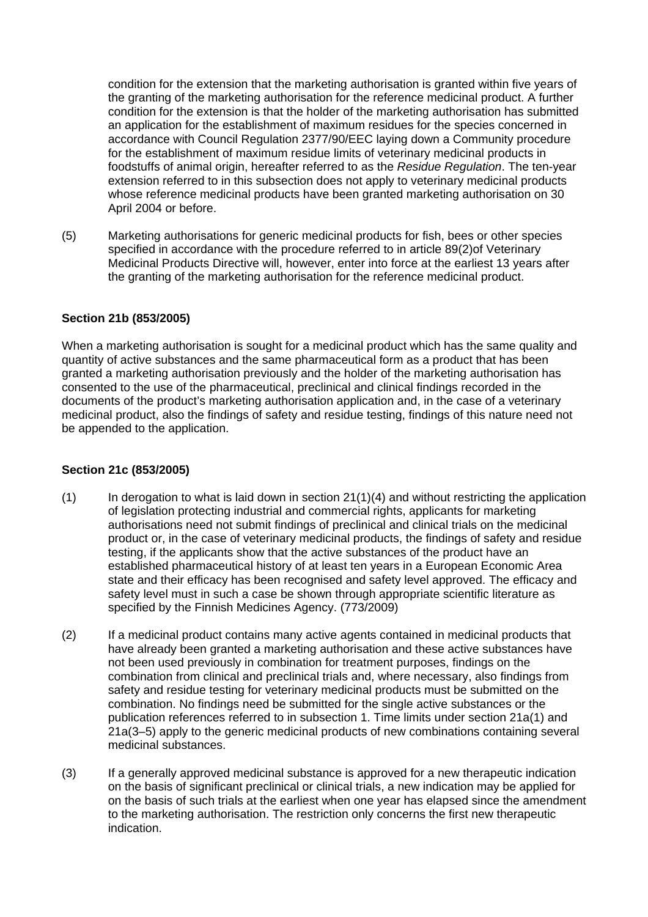condition for the extension that the marketing authorisation is granted within five years of the granting of the marketing authorisation for the reference medicinal product. A further condition for the extension is that the holder of the marketing authorisation has submitted an application for the establishment of maximum residues for the species concerned in accordance with Council Regulation 2377/90/EEC laying down a Community procedure for the establishment of maximum residue limits of veterinary medicinal products in foodstuffs of animal origin, hereafter referred to as the *Residue Regulation*. The ten-year extension referred to in this subsection does not apply to veterinary medicinal products whose reference medicinal products have been granted marketing authorisation on 30 April 2004 or before.

(5) Marketing authorisations for generic medicinal products for fish, bees or other species specified in accordance with the procedure referred to in article 89(2)of Veterinary Medicinal Products Directive will, however, enter into force at the earliest 13 years after the granting of the marketing authorisation for the reference medicinal product.

### **Section 21b (853/2005)**

When a marketing authorisation is sought for a medicinal product which has the same quality and quantity of active substances and the same pharmaceutical form as a product that has been granted a marketing authorisation previously and the holder of the marketing authorisation has consented to the use of the pharmaceutical, preclinical and clinical findings recorded in the documents of the product's marketing authorisation application and, in the case of a veterinary medicinal product, also the findings of safety and residue testing, findings of this nature need not be appended to the application.

### **Section 21c (853/2005)**

- $(1)$  In derogation to what is laid down in section 21(1)(4) and without restricting the application of legislation protecting industrial and commercial rights, applicants for marketing authorisations need not submit findings of preclinical and clinical trials on the medicinal product or, in the case of veterinary medicinal products, the findings of safety and residue testing, if the applicants show that the active substances of the product have an established pharmaceutical history of at least ten years in a European Economic Area state and their efficacy has been recognised and safety level approved. The efficacy and safety level must in such a case be shown through appropriate scientific literature as specified by the Finnish Medicines Agency. (773/2009)
- (2) If a medicinal product contains many active agents contained in medicinal products that have already been granted a marketing authorisation and these active substances have not been used previously in combination for treatment purposes, findings on the combination from clinical and preclinical trials and, where necessary, also findings from safety and residue testing for veterinary medicinal products must be submitted on the combination. No findings need be submitted for the single active substances or the publication references referred to in subsection 1. Time limits under section 21a(1) and 21a(3–5) apply to the generic medicinal products of new combinations containing several medicinal substances.
- (3) If a generally approved medicinal substance is approved for a new therapeutic indication on the basis of significant preclinical or clinical trials, a new indication may be applied for on the basis of such trials at the earliest when one year has elapsed since the amendment to the marketing authorisation. The restriction only concerns the first new therapeutic indication.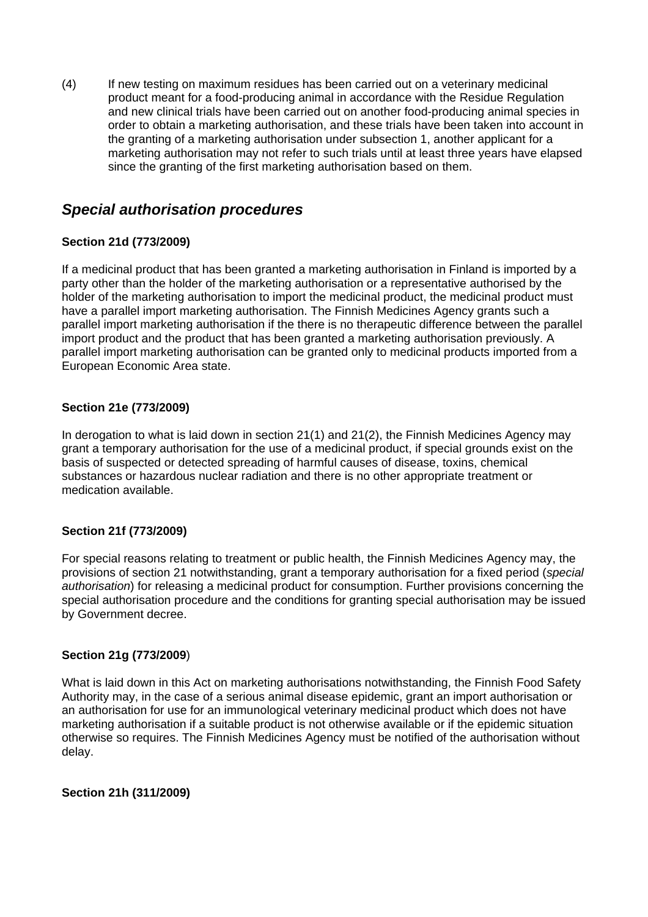(4) If new testing on maximum residues has been carried out on a veterinary medicinal product meant for a food-producing animal in accordance with the Residue Regulation and new clinical trials have been carried out on another food-producing animal species in order to obtain a marketing authorisation, and these trials have been taken into account in the granting of a marketing authorisation under subsection 1, another applicant for a marketing authorisation may not refer to such trials until at least three years have elapsed since the granting of the first marketing authorisation based on them.

# *Special authorisation procedures*

## **Section 21d (773/2009)**

If a medicinal product that has been granted a marketing authorisation in Finland is imported by a party other than the holder of the marketing authorisation or a representative authorised by the holder of the marketing authorisation to import the medicinal product, the medicinal product must have a parallel import marketing authorisation. The Finnish Medicines Agency grants such a parallel import marketing authorisation if the there is no therapeutic difference between the parallel import product and the product that has been granted a marketing authorisation previously. A parallel import marketing authorisation can be granted only to medicinal products imported from a European Economic Area state.

## **Section 21e (773/2009)**

In derogation to what is laid down in section 21(1) and 21(2), the Finnish Medicines Agency may grant a temporary authorisation for the use of a medicinal product, if special grounds exist on the basis of suspected or detected spreading of harmful causes of disease, toxins, chemical substances or hazardous nuclear radiation and there is no other appropriate treatment or medication available.

### **Section 21f (773/2009)**

For special reasons relating to treatment or public health, the Finnish Medicines Agency may, the provisions of section 21 notwithstanding, grant a temporary authorisation for a fixed period (*special authorisation*) for releasing a medicinal product for consumption. Further provisions concerning the special authorisation procedure and the conditions for granting special authorisation may be issued by Government decree.

### **Section 21g (773/2009**)

What is laid down in this Act on marketing authorisations notwithstanding, the Finnish Food Safety Authority may, in the case of a serious animal disease epidemic, grant an import authorisation or an authorisation for use for an immunological veterinary medicinal product which does not have marketing authorisation if a suitable product is not otherwise available or if the epidemic situation otherwise so requires. The Finnish Medicines Agency must be notified of the authorisation without delay.

### **Section 21h (311/2009)**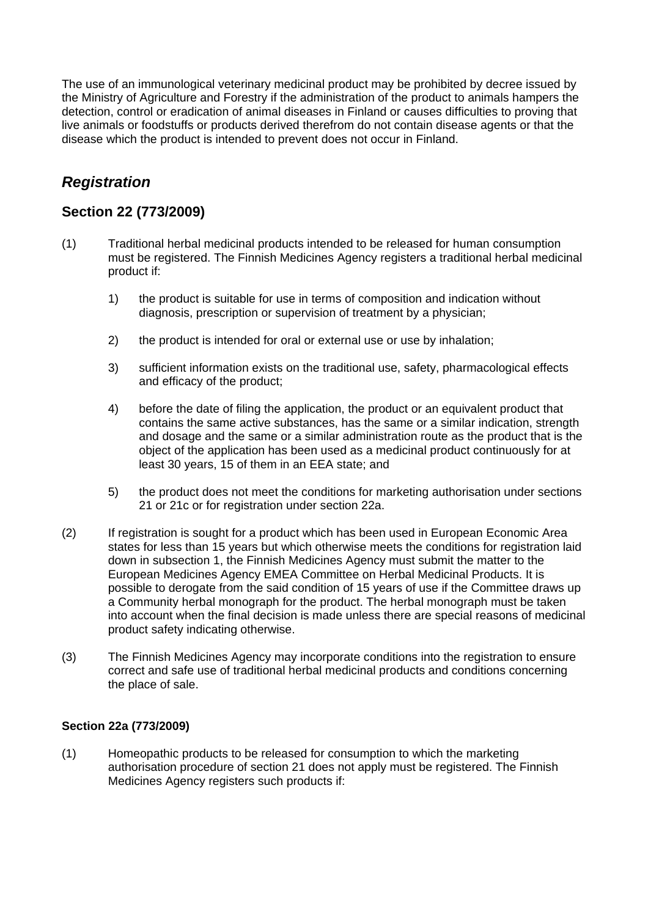The use of an immunological veterinary medicinal product may be prohibited by decree issued by the Ministry of Agriculture and Forestry if the administration of the product to animals hampers the detection, control or eradication of animal diseases in Finland or causes difficulties to proving that live animals or foodstuffs or products derived therefrom do not contain disease agents or that the disease which the product is intended to prevent does not occur in Finland.

# *Registration*

## **Section 22 (773/2009)**

- (1) Traditional herbal medicinal products intended to be released for human consumption must be registered. The Finnish Medicines Agency registers a traditional herbal medicinal product if:
	- 1) the product is suitable for use in terms of composition and indication without diagnosis, prescription or supervision of treatment by a physician;
	- 2) the product is intended for oral or external use or use by inhalation;
	- 3) sufficient information exists on the traditional use, safety, pharmacological effects and efficacy of the product;
	- 4) before the date of filing the application, the product or an equivalent product that contains the same active substances, has the same or a similar indication, strength and dosage and the same or a similar administration route as the product that is the object of the application has been used as a medicinal product continuously for at least 30 years, 15 of them in an EEA state; and
	- 5) the product does not meet the conditions for marketing authorisation under sections 21 or 21c or for registration under section 22a.
- (2) If registration is sought for a product which has been used in European Economic Area states for less than 15 years but which otherwise meets the conditions for registration laid down in subsection 1, the Finnish Medicines Agency must submit the matter to the European Medicines Agency EMEA Committee on Herbal Medicinal Products. It is possible to derogate from the said condition of 15 years of use if the Committee draws up a Community herbal monograph for the product. The herbal monograph must be taken into account when the final decision is made unless there are special reasons of medicinal product safety indicating otherwise.
- (3) The Finnish Medicines Agency may incorporate conditions into the registration to ensure correct and safe use of traditional herbal medicinal products and conditions concerning the place of sale.

### **Section 22a (773/2009)**

(1) Homeopathic products to be released for consumption to which the marketing authorisation procedure of section 21 does not apply must be registered. The Finnish Medicines Agency registers such products if: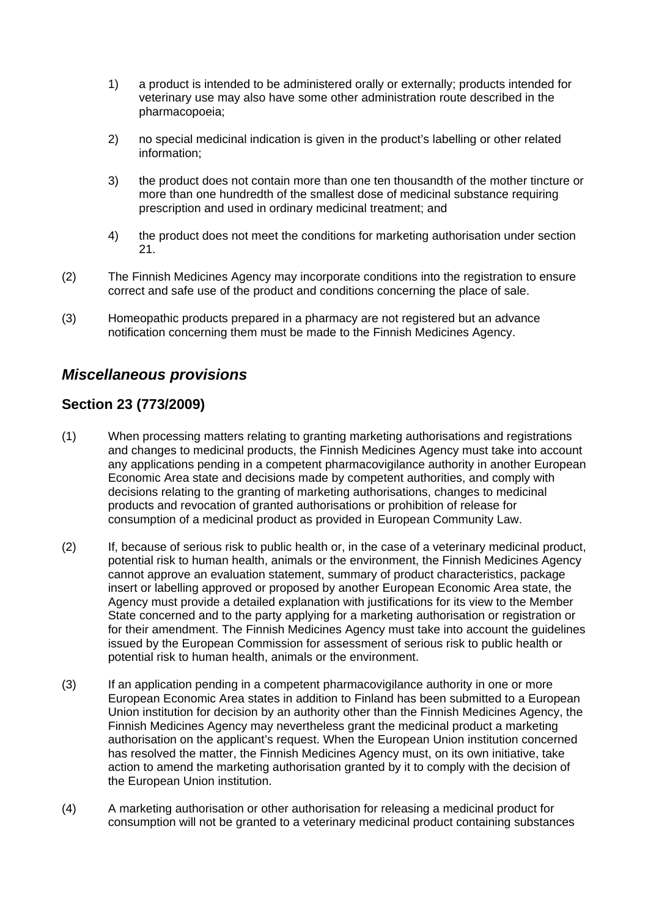- 1) a product is intended to be administered orally or externally; products intended for veterinary use may also have some other administration route described in the pharmacopoeia;
- 2) no special medicinal indication is given in the product's labelling or other related information;
- 3) the product does not contain more than one ten thousandth of the mother tincture or more than one hundredth of the smallest dose of medicinal substance requiring prescription and used in ordinary medicinal treatment; and
- 4) the product does not meet the conditions for marketing authorisation under section 21.
- (2) The Finnish Medicines Agency may incorporate conditions into the registration to ensure correct and safe use of the product and conditions concerning the place of sale.
- (3) Homeopathic products prepared in a pharmacy are not registered but an advance notification concerning them must be made to the Finnish Medicines Agency.

# *Miscellaneous provisions*

## **Section 23 (773/2009)**

- (1) When processing matters relating to granting marketing authorisations and registrations and changes to medicinal products, the Finnish Medicines Agency must take into account any applications pending in a competent pharmacovigilance authority in another European Economic Area state and decisions made by competent authorities, and comply with decisions relating to the granting of marketing authorisations, changes to medicinal products and revocation of granted authorisations or prohibition of release for consumption of a medicinal product as provided in European Community Law.
- (2) If, because of serious risk to public health or, in the case of a veterinary medicinal product, potential risk to human health, animals or the environment, the Finnish Medicines Agency cannot approve an evaluation statement, summary of product characteristics, package insert or labelling approved or proposed by another European Economic Area state, the Agency must provide a detailed explanation with justifications for its view to the Member State concerned and to the party applying for a marketing authorisation or registration or for their amendment. The Finnish Medicines Agency must take into account the guidelines issued by the European Commission for assessment of serious risk to public health or potential risk to human health, animals or the environment.
- (3) If an application pending in a competent pharmacovigilance authority in one or more European Economic Area states in addition to Finland has been submitted to a European Union institution for decision by an authority other than the Finnish Medicines Agency, the Finnish Medicines Agency may nevertheless grant the medicinal product a marketing authorisation on the applicant's request. When the European Union institution concerned has resolved the matter, the Finnish Medicines Agency must, on its own initiative, take action to amend the marketing authorisation granted by it to comply with the decision of the European Union institution.
- (4) A marketing authorisation or other authorisation for releasing a medicinal product for consumption will not be granted to a veterinary medicinal product containing substances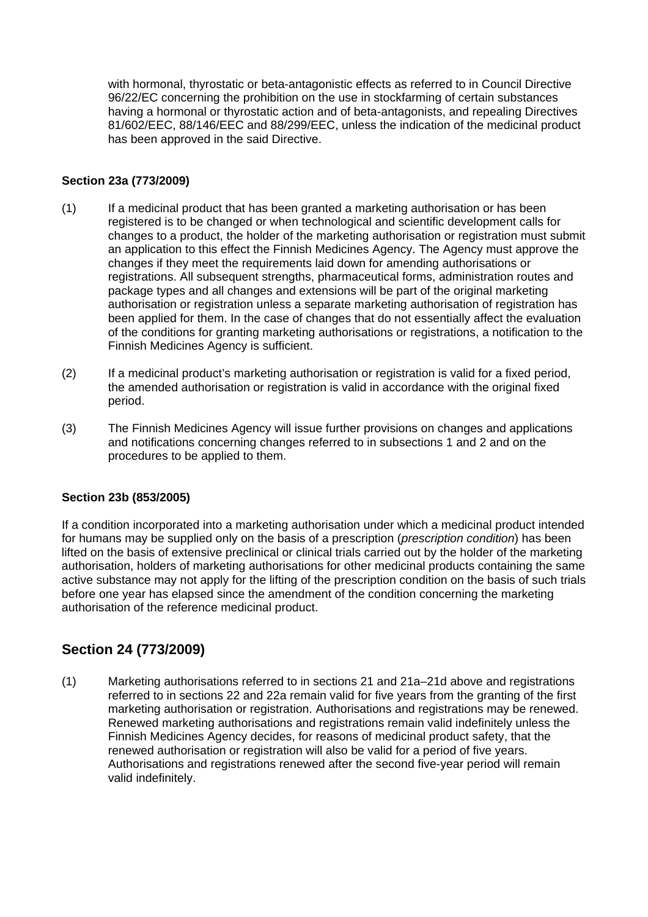with hormonal, thyrostatic or beta-antagonistic effects as referred to in Council Directive 96/22/EC concerning the prohibition on the use in stockfarming of certain substances having a hormonal or thyrostatic action and of beta-antagonists, and repealing Directives 81/602/EEC, 88/146/EEC and 88/299/EEC, unless the indication of the medicinal product has been approved in the said Directive.

## **Section 23a (773/2009)**

- (1) If a medicinal product that has been granted a marketing authorisation or has been registered is to be changed or when technological and scientific development calls for changes to a product, the holder of the marketing authorisation or registration must submit an application to this effect the Finnish Medicines Agency. The Agency must approve the changes if they meet the requirements laid down for amending authorisations or registrations. All subsequent strengths, pharmaceutical forms, administration routes and package types and all changes and extensions will be part of the original marketing authorisation or registration unless a separate marketing authorisation of registration has been applied for them. In the case of changes that do not essentially affect the evaluation of the conditions for granting marketing authorisations or registrations, a notification to the Finnish Medicines Agency is sufficient.
- (2) If a medicinal product's marketing authorisation or registration is valid for a fixed period, the amended authorisation or registration is valid in accordance with the original fixed period.
- (3) The Finnish Medicines Agency will issue further provisions on changes and applications and notifications concerning changes referred to in subsections 1 and 2 and on the procedures to be applied to them.

### **Section 23b (853/2005)**

If a condition incorporated into a marketing authorisation under which a medicinal product intended for humans may be supplied only on the basis of a prescription (*prescription condition*) has been lifted on the basis of extensive preclinical or clinical trials carried out by the holder of the marketing authorisation, holders of marketing authorisations for other medicinal products containing the same active substance may not apply for the lifting of the prescription condition on the basis of such trials before one year has elapsed since the amendment of the condition concerning the marketing authorisation of the reference medicinal product.

# **Section 24 (773/2009)**

(1) Marketing authorisations referred to in sections 21 and 21a–21d above and registrations referred to in sections 22 and 22a remain valid for five years from the granting of the first marketing authorisation or registration. Authorisations and registrations may be renewed. Renewed marketing authorisations and registrations remain valid indefinitely unless the Finnish Medicines Agency decides, for reasons of medicinal product safety, that the renewed authorisation or registration will also be valid for a period of five years. Authorisations and registrations renewed after the second five-year period will remain valid indefinitely.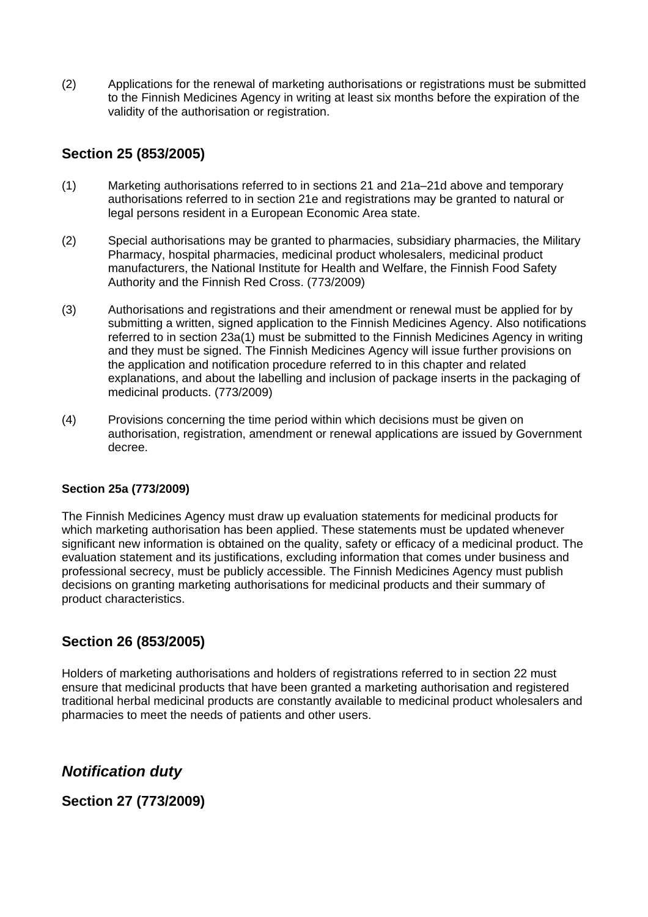(2) Applications for the renewal of marketing authorisations or registrations must be submitted to the Finnish Medicines Agency in writing at least six months before the expiration of the validity of the authorisation or registration.

## **Section 25 (853/2005)**

- (1) Marketing authorisations referred to in sections 21 and 21a–21d above and temporary authorisations referred to in section 21e and registrations may be granted to natural or legal persons resident in a European Economic Area state.
- (2) Special authorisations may be granted to pharmacies, subsidiary pharmacies, the Military Pharmacy, hospital pharmacies, medicinal product wholesalers, medicinal product manufacturers, the National Institute for Health and Welfare, the Finnish Food Safety Authority and the Finnish Red Cross. (773/2009)
- (3) Authorisations and registrations and their amendment or renewal must be applied for by submitting a written, signed application to the Finnish Medicines Agency. Also notifications referred to in section 23a(1) must be submitted to the Finnish Medicines Agency in writing and they must be signed. The Finnish Medicines Agency will issue further provisions on the application and notification procedure referred to in this chapter and related explanations, and about the labelling and inclusion of package inserts in the packaging of medicinal products. (773/2009)
- (4) Provisions concerning the time period within which decisions must be given on authorisation, registration, amendment or renewal applications are issued by Government decree.

### **Section 25a (773/2009)**

The Finnish Medicines Agency must draw up evaluation statements for medicinal products for which marketing authorisation has been applied. These statements must be updated whenever significant new information is obtained on the quality, safety or efficacy of a medicinal product. The evaluation statement and its justifications, excluding information that comes under business and professional secrecy, must be publicly accessible. The Finnish Medicines Agency must publish decisions on granting marketing authorisations for medicinal products and their summary of product characteristics.

# **Section 26 (853/2005)**

Holders of marketing authorisations and holders of registrations referred to in section 22 must ensure that medicinal products that have been granted a marketing authorisation and registered traditional herbal medicinal products are constantly available to medicinal product wholesalers and pharmacies to meet the needs of patients and other users.

*Notification duty* 

**Section 27 (773/2009)**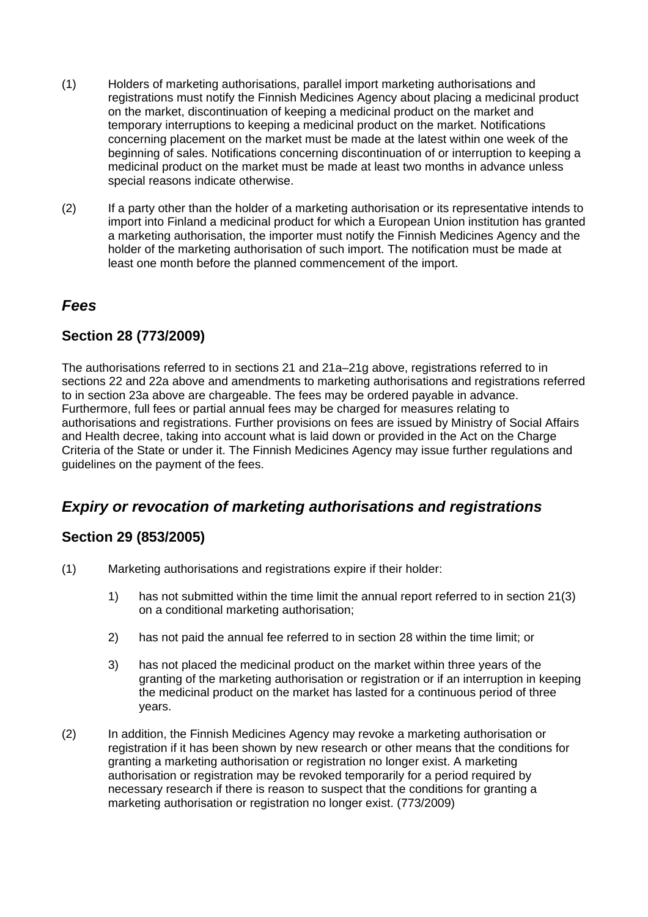- (1) Holders of marketing authorisations, parallel import marketing authorisations and registrations must notify the Finnish Medicines Agency about placing a medicinal product on the market, discontinuation of keeping a medicinal product on the market and temporary interruptions to keeping a medicinal product on the market. Notifications concerning placement on the market must be made at the latest within one week of the beginning of sales. Notifications concerning discontinuation of or interruption to keeping a medicinal product on the market must be made at least two months in advance unless special reasons indicate otherwise.
- (2) If a party other than the holder of a marketing authorisation or its representative intends to import into Finland a medicinal product for which a European Union institution has granted a marketing authorisation, the importer must notify the Finnish Medicines Agency and the holder of the marketing authorisation of such import. The notification must be made at least one month before the planned commencement of the import.

## *Fees*

## **Section 28 (773/2009)**

The authorisations referred to in sections 21 and 21a–21g above, registrations referred to in sections 22 and 22a above and amendments to marketing authorisations and registrations referred to in section 23a above are chargeable. The fees may be ordered payable in advance. Furthermore, full fees or partial annual fees may be charged for measures relating to authorisations and registrations. Further provisions on fees are issued by Ministry of Social Affairs and Health decree, taking into account what is laid down or provided in the Act on the Charge Criteria of the State or under it. The Finnish Medicines Agency may issue further regulations and guidelines on the payment of the fees.

# *Expiry or revocation of marketing authorisations and registrations*

## **Section 29 (853/2005)**

- (1) Marketing authorisations and registrations expire if their holder:
	- 1) has not submitted within the time limit the annual report referred to in section 21(3) on a conditional marketing authorisation;
	- 2) has not paid the annual fee referred to in section 28 within the time limit; or
	- 3) has not placed the medicinal product on the market within three years of the granting of the marketing authorisation or registration or if an interruption in keeping the medicinal product on the market has lasted for a continuous period of three years.
- (2) In addition, the Finnish Medicines Agency may revoke a marketing authorisation or registration if it has been shown by new research or other means that the conditions for granting a marketing authorisation or registration no longer exist. A marketing authorisation or registration may be revoked temporarily for a period required by necessary research if there is reason to suspect that the conditions for granting a marketing authorisation or registration no longer exist. (773/2009)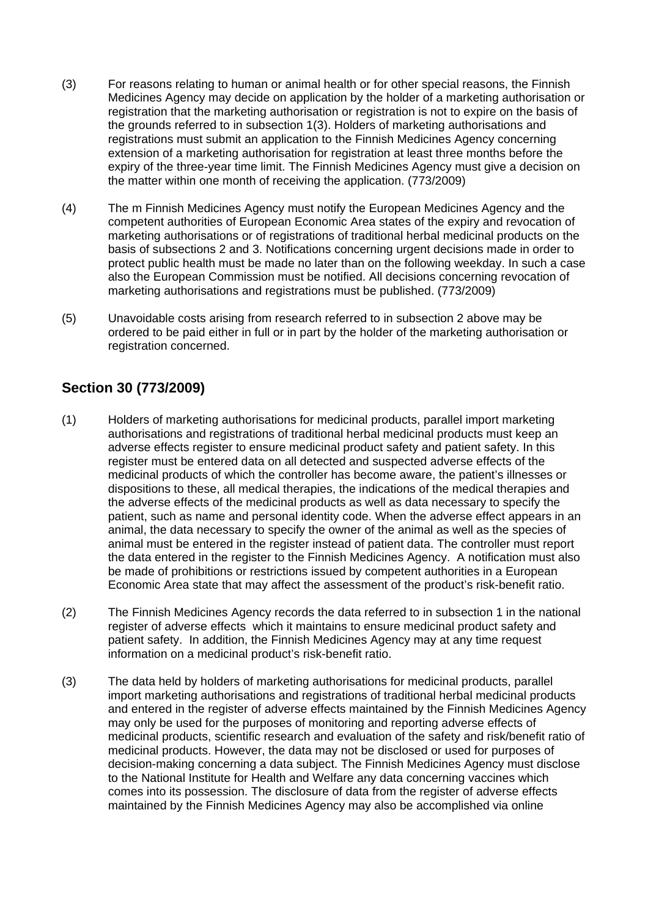- (3) For reasons relating to human or animal health or for other special reasons, the Finnish Medicines Agency may decide on application by the holder of a marketing authorisation or registration that the marketing authorisation or registration is not to expire on the basis of the grounds referred to in subsection 1(3). Holders of marketing authorisations and registrations must submit an application to the Finnish Medicines Agency concerning extension of a marketing authorisation for registration at least three months before the expiry of the three-year time limit. The Finnish Medicines Agency must give a decision on the matter within one month of receiving the application. (773/2009)
- (4) The m Finnish Medicines Agency must notify the European Medicines Agency and the competent authorities of European Economic Area states of the expiry and revocation of marketing authorisations or of registrations of traditional herbal medicinal products on the basis of subsections 2 and 3. Notifications concerning urgent decisions made in order to protect public health must be made no later than on the following weekday. In such a case also the European Commission must be notified. All decisions concerning revocation of marketing authorisations and registrations must be published. (773/2009)
- (5) Unavoidable costs arising from research referred to in subsection 2 above may be ordered to be paid either in full or in part by the holder of the marketing authorisation or registration concerned.

# **Section 30 (773/2009)**

- (1) Holders of marketing authorisations for medicinal products, parallel import marketing authorisations and registrations of traditional herbal medicinal products must keep an adverse effects register to ensure medicinal product safety and patient safety. In this register must be entered data on all detected and suspected adverse effects of the medicinal products of which the controller has become aware, the patient's illnesses or dispositions to these, all medical therapies, the indications of the medical therapies and the adverse effects of the medicinal products as well as data necessary to specify the patient, such as name and personal identity code. When the adverse effect appears in an animal, the data necessary to specify the owner of the animal as well as the species of animal must be entered in the register instead of patient data. The controller must report the data entered in the register to the Finnish Medicines Agency. A notification must also be made of prohibitions or restrictions issued by competent authorities in a European Economic Area state that may affect the assessment of the product's risk-benefit ratio.
- (2) The Finnish Medicines Agency records the data referred to in subsection 1 in the national register of adverse effects which it maintains to ensure medicinal product safety and patient safety. In addition, the Finnish Medicines Agency may at any time request information on a medicinal product's risk-benefit ratio.
- (3) The data held by holders of marketing authorisations for medicinal products, parallel import marketing authorisations and registrations of traditional herbal medicinal products and entered in the register of adverse effects maintained by the Finnish Medicines Agency may only be used for the purposes of monitoring and reporting adverse effects of medicinal products, scientific research and evaluation of the safety and risk/benefit ratio of medicinal products. However, the data may not be disclosed or used for purposes of decision-making concerning a data subject. The Finnish Medicines Agency must disclose to the National Institute for Health and Welfare any data concerning vaccines which comes into its possession. The disclosure of data from the register of adverse effects maintained by the Finnish Medicines Agency may also be accomplished via online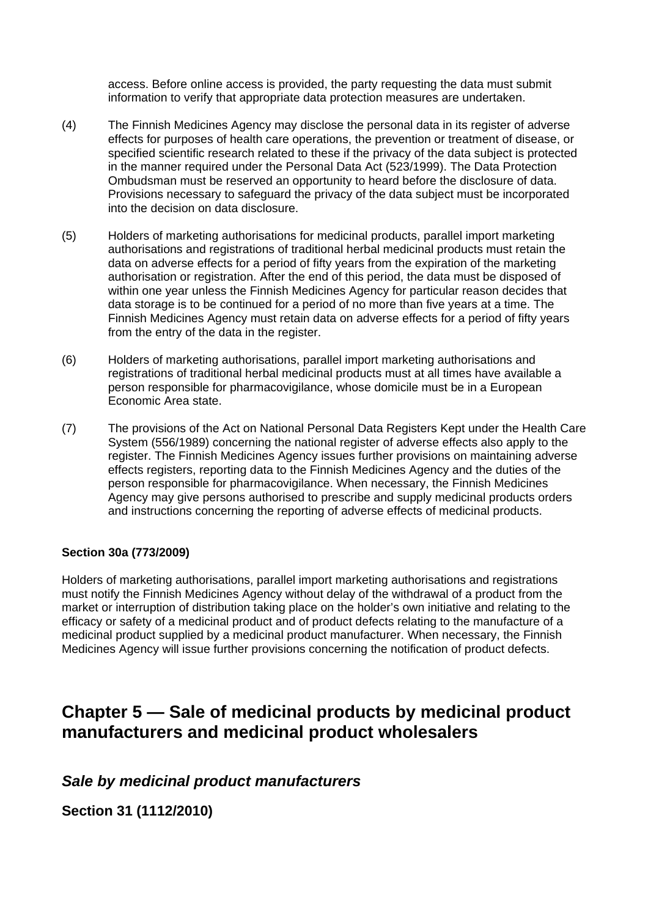access. Before online access is provided, the party requesting the data must submit information to verify that appropriate data protection measures are undertaken.

- (4) The Finnish Medicines Agency may disclose the personal data in its register of adverse effects for purposes of health care operations, the prevention or treatment of disease, or specified scientific research related to these if the privacy of the data subject is protected in the manner required under the Personal Data Act (523/1999). The Data Protection Ombudsman must be reserved an opportunity to heard before the disclosure of data. Provisions necessary to safeguard the privacy of the data subject must be incorporated into the decision on data disclosure.
- (5) Holders of marketing authorisations for medicinal products, parallel import marketing authorisations and registrations of traditional herbal medicinal products must retain the data on adverse effects for a period of fifty years from the expiration of the marketing authorisation or registration. After the end of this period, the data must be disposed of within one year unless the Finnish Medicines Agency for particular reason decides that data storage is to be continued for a period of no more than five years at a time. The Finnish Medicines Agency must retain data on adverse effects for a period of fifty years from the entry of the data in the register.
- (6) Holders of marketing authorisations, parallel import marketing authorisations and registrations of traditional herbal medicinal products must at all times have available a person responsible for pharmacovigilance, whose domicile must be in a European Economic Area state.
- (7) The provisions of the Act on National Personal Data Registers Kept under the Health Care System (556/1989) concerning the national register of adverse effects also apply to the register. The Finnish Medicines Agency issues further provisions on maintaining adverse effects registers, reporting data to the Finnish Medicines Agency and the duties of the person responsible for pharmacovigilance. When necessary, the Finnish Medicines Agency may give persons authorised to prescribe and supply medicinal products orders and instructions concerning the reporting of adverse effects of medicinal products.

### **Section 30a (773/2009)**

Holders of marketing authorisations, parallel import marketing authorisations and registrations must notify the Finnish Medicines Agency without delay of the withdrawal of a product from the market or interruption of distribution taking place on the holder's own initiative and relating to the efficacy or safety of a medicinal product and of product defects relating to the manufacture of a medicinal product supplied by a medicinal product manufacturer. When necessary, the Finnish Medicines Agency will issue further provisions concerning the notification of product defects.

# **Chapter 5 — Sale of medicinal products by medicinal product manufacturers and medicinal product wholesalers**

# *Sale by medicinal product manufacturers*

**Section 31 (1112/2010)**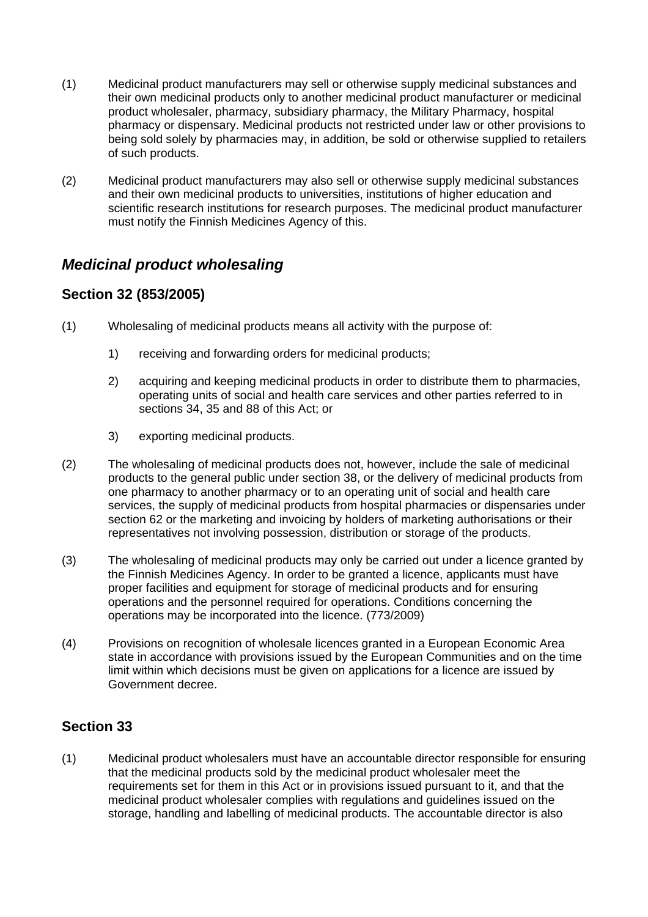- (1) Medicinal product manufacturers may sell or otherwise supply medicinal substances and their own medicinal products only to another medicinal product manufacturer or medicinal product wholesaler, pharmacy, subsidiary pharmacy, the Military Pharmacy, hospital pharmacy or dispensary. Medicinal products not restricted under law or other provisions to being sold solely by pharmacies may, in addition, be sold or otherwise supplied to retailers of such products.
- (2) Medicinal product manufacturers may also sell or otherwise supply medicinal substances and their own medicinal products to universities, institutions of higher education and scientific research institutions for research purposes. The medicinal product manufacturer must notify the Finnish Medicines Agency of this.

# *Medicinal product wholesaling*

# **Section 32 (853/2005)**

- (1) Wholesaling of medicinal products means all activity with the purpose of:
	- 1) receiving and forwarding orders for medicinal products;
	- 2) acquiring and keeping medicinal products in order to distribute them to pharmacies, operating units of social and health care services and other parties referred to in sections 34, 35 and 88 of this Act; or
	- 3) exporting medicinal products.
- (2) The wholesaling of medicinal products does not, however, include the sale of medicinal products to the general public under section 38, or the delivery of medicinal products from one pharmacy to another pharmacy or to an operating unit of social and health care services, the supply of medicinal products from hospital pharmacies or dispensaries under section 62 or the marketing and invoicing by holders of marketing authorisations or their representatives not involving possession, distribution or storage of the products.
- (3) The wholesaling of medicinal products may only be carried out under a licence granted by the Finnish Medicines Agency. In order to be granted a licence, applicants must have proper facilities and equipment for storage of medicinal products and for ensuring operations and the personnel required for operations. Conditions concerning the operations may be incorporated into the licence. (773/2009)
- (4) Provisions on recognition of wholesale licences granted in a European Economic Area state in accordance with provisions issued by the European Communities and on the time limit within which decisions must be given on applications for a licence are issued by Government decree.

# **Section 33**

(1) Medicinal product wholesalers must have an accountable director responsible for ensuring that the medicinal products sold by the medicinal product wholesaler meet the requirements set for them in this Act or in provisions issued pursuant to it, and that the medicinal product wholesaler complies with regulations and guidelines issued on the storage, handling and labelling of medicinal products. The accountable director is also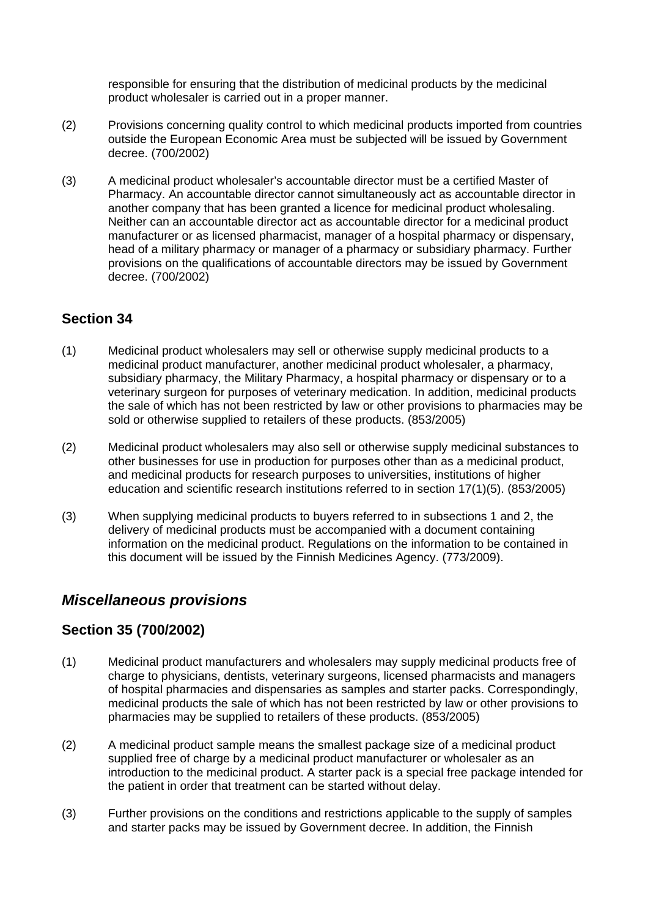responsible for ensuring that the distribution of medicinal products by the medicinal product wholesaler is carried out in a proper manner.

- (2) Provisions concerning quality control to which medicinal products imported from countries outside the European Economic Area must be subjected will be issued by Government decree. (700/2002)
- (3) A medicinal product wholesaler's accountable director must be a certified Master of Pharmacy. An accountable director cannot simultaneously act as accountable director in another company that has been granted a licence for medicinal product wholesaling. Neither can an accountable director act as accountable director for a medicinal product manufacturer or as licensed pharmacist, manager of a hospital pharmacy or dispensary, head of a military pharmacy or manager of a pharmacy or subsidiary pharmacy. Further provisions on the qualifications of accountable directors may be issued by Government decree. (700/2002)

## **Section 34**

- (1) Medicinal product wholesalers may sell or otherwise supply medicinal products to a medicinal product manufacturer, another medicinal product wholesaler, a pharmacy, subsidiary pharmacy, the Military Pharmacy, a hospital pharmacy or dispensary or to a veterinary surgeon for purposes of veterinary medication. In addition, medicinal products the sale of which has not been restricted by law or other provisions to pharmacies may be sold or otherwise supplied to retailers of these products. (853/2005)
- (2) Medicinal product wholesalers may also sell or otherwise supply medicinal substances to other businesses for use in production for purposes other than as a medicinal product, and medicinal products for research purposes to universities, institutions of higher education and scientific research institutions referred to in section 17(1)(5). (853/2005)
- (3) When supplying medicinal products to buyers referred to in subsections 1 and 2, the delivery of medicinal products must be accompanied with a document containing information on the medicinal product. Regulations on the information to be contained in this document will be issued by the Finnish Medicines Agency. (773/2009).

# *Miscellaneous provisions*

## **Section 35 (700/2002)**

- (1) Medicinal product manufacturers and wholesalers may supply medicinal products free of charge to physicians, dentists, veterinary surgeons, licensed pharmacists and managers of hospital pharmacies and dispensaries as samples and starter packs. Correspondingly, medicinal products the sale of which has not been restricted by law or other provisions to pharmacies may be supplied to retailers of these products. (853/2005)
- (2) A medicinal product sample means the smallest package size of a medicinal product supplied free of charge by a medicinal product manufacturer or wholesaler as an introduction to the medicinal product. A starter pack is a special free package intended for the patient in order that treatment can be started without delay.
- (3) Further provisions on the conditions and restrictions applicable to the supply of samples and starter packs may be issued by Government decree. In addition, the Finnish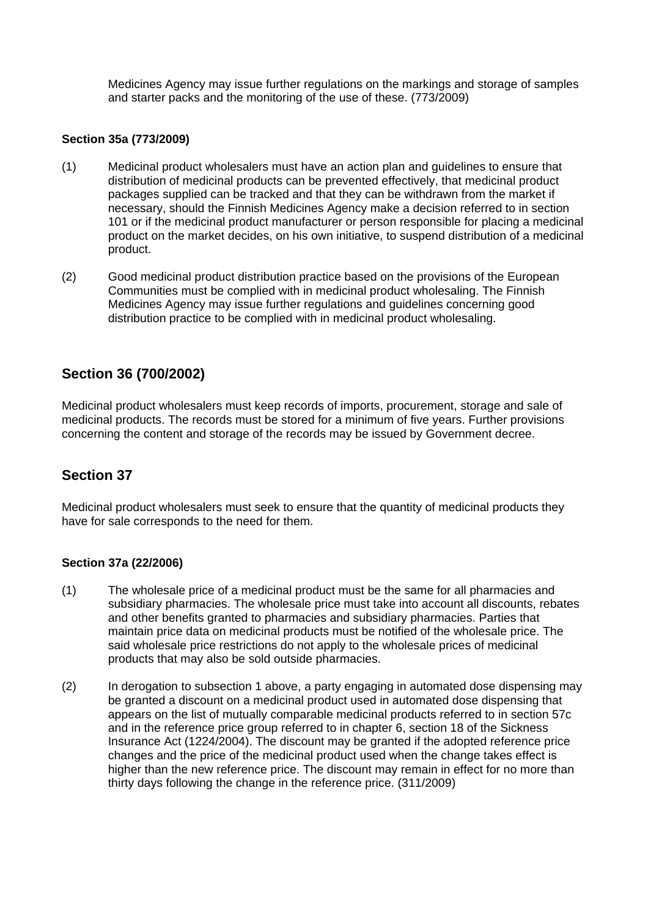Medicines Agency may issue further regulations on the markings and storage of samples and starter packs and the monitoring of the use of these. (773/2009)

### **Section 35a (773/2009)**

- (1) Medicinal product wholesalers must have an action plan and guidelines to ensure that distribution of medicinal products can be prevented effectively, that medicinal product packages supplied can be tracked and that they can be withdrawn from the market if necessary, should the Finnish Medicines Agency make a decision referred to in section 101 or if the medicinal product manufacturer or person responsible for placing a medicinal product on the market decides, on his own initiative, to suspend distribution of a medicinal product.
- (2) Good medicinal product distribution practice based on the provisions of the European Communities must be complied with in medicinal product wholesaling. The Finnish Medicines Agency may issue further regulations and guidelines concerning good distribution practice to be complied with in medicinal product wholesaling.

## **Section 36 (700/2002)**

Medicinal product wholesalers must keep records of imports, procurement, storage and sale of medicinal products. The records must be stored for a minimum of five years. Further provisions concerning the content and storage of the records may be issued by Government decree.

## **Section 37**

Medicinal product wholesalers must seek to ensure that the quantity of medicinal products they have for sale corresponds to the need for them.

### **Section 37a (22/2006)**

- (1) The wholesale price of a medicinal product must be the same for all pharmacies and subsidiary pharmacies. The wholesale price must take into account all discounts, rebates and other benefits granted to pharmacies and subsidiary pharmacies. Parties that maintain price data on medicinal products must be notified of the wholesale price. The said wholesale price restrictions do not apply to the wholesale prices of medicinal products that may also be sold outside pharmacies.
- (2) In derogation to subsection 1 above, a party engaging in automated dose dispensing may be granted a discount on a medicinal product used in automated dose dispensing that appears on the list of mutually comparable medicinal products referred to in section 57c and in the reference price group referred to in chapter 6, section 18 of the Sickness Insurance Act (1224/2004). The discount may be granted if the adopted reference price changes and the price of the medicinal product used when the change takes effect is higher than the new reference price. The discount may remain in effect for no more than thirty days following the change in the reference price. (311/2009)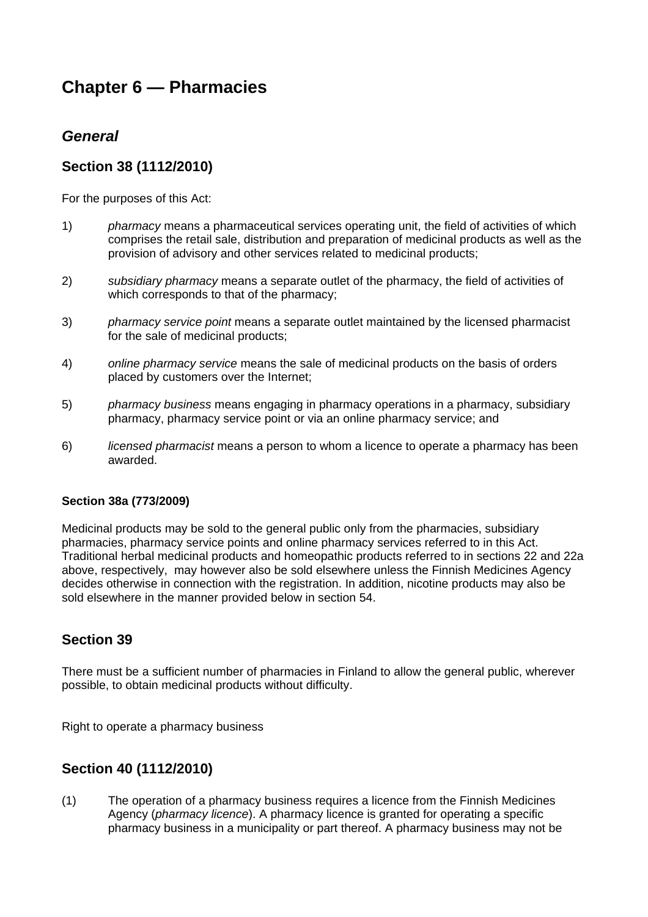# **Chapter 6 — Pharmacies**

# *General*

## **Section 38 (1112/2010)**

For the purposes of this Act:

- 1) *pharmacy* means a pharmaceutical services operating unit, the field of activities of which comprises the retail sale, distribution and preparation of medicinal products as well as the provision of advisory and other services related to medicinal products;
- 2) *subsidiary pharmacy* means a separate outlet of the pharmacy, the field of activities of which corresponds to that of the pharmacy;
- 3) *pharmacy service point* means a separate outlet maintained by the licensed pharmacist for the sale of medicinal products;
- 4) *online pharmacy service* means the sale of medicinal products on the basis of orders placed by customers over the Internet;
- 5) *pharmacy business* means engaging in pharmacy operations in a pharmacy, subsidiary pharmacy, pharmacy service point or via an online pharmacy service; and
- 6) *licensed pharmacist* means a person to whom a licence to operate a pharmacy has been awarded.

### **Section 38a (773/2009)**

Medicinal products may be sold to the general public only from the pharmacies, subsidiary pharmacies, pharmacy service points and online pharmacy services referred to in this Act. Traditional herbal medicinal products and homeopathic products referred to in sections 22 and 22a above, respectively, may however also be sold elsewhere unless the Finnish Medicines Agency decides otherwise in connection with the registration. In addition, nicotine products may also be sold elsewhere in the manner provided below in section 54.

## **Section 39**

There must be a sufficient number of pharmacies in Finland to allow the general public, wherever possible, to obtain medicinal products without difficulty.

Right to operate a pharmacy business

## **Section 40 (1112/2010)**

(1) The operation of a pharmacy business requires a licence from the Finnish Medicines Agency (*pharmacy licence*). A pharmacy licence is granted for operating a specific pharmacy business in a municipality or part thereof. A pharmacy business may not be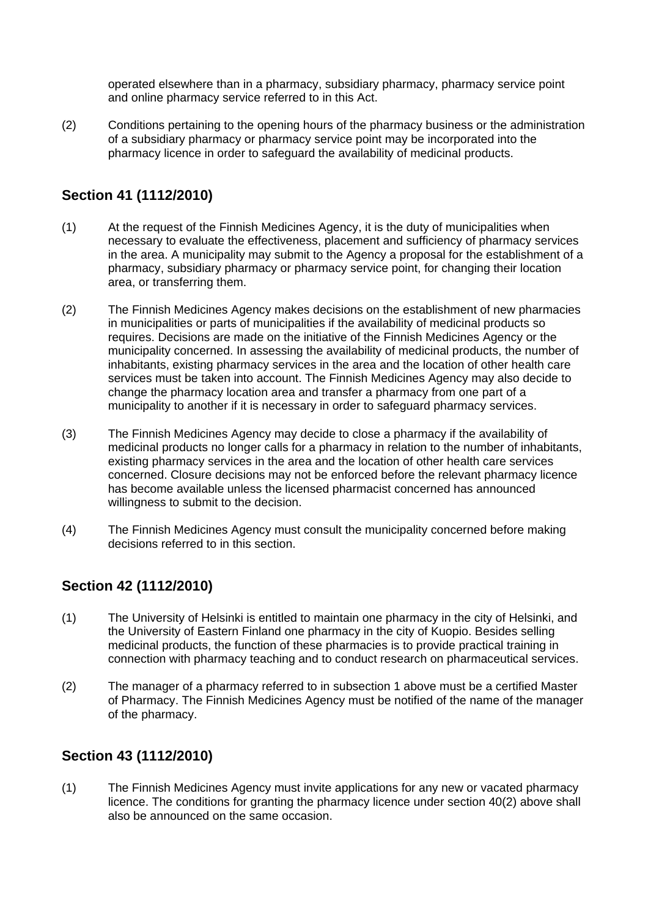operated elsewhere than in a pharmacy, subsidiary pharmacy, pharmacy service point and online pharmacy service referred to in this Act.

(2) Conditions pertaining to the opening hours of the pharmacy business or the administration of a subsidiary pharmacy or pharmacy service point may be incorporated into the pharmacy licence in order to safeguard the availability of medicinal products.

# **Section 41 (1112/2010)**

- (1) At the request of the Finnish Medicines Agency, it is the duty of municipalities when necessary to evaluate the effectiveness, placement and sufficiency of pharmacy services in the area. A municipality may submit to the Agency a proposal for the establishment of a pharmacy, subsidiary pharmacy or pharmacy service point, for changing their location area, or transferring them.
- (2) The Finnish Medicines Agency makes decisions on the establishment of new pharmacies in municipalities or parts of municipalities if the availability of medicinal products so requires. Decisions are made on the initiative of the Finnish Medicines Agency or the municipality concerned. In assessing the availability of medicinal products, the number of inhabitants, existing pharmacy services in the area and the location of other health care services must be taken into account. The Finnish Medicines Agency may also decide to change the pharmacy location area and transfer a pharmacy from one part of a municipality to another if it is necessary in order to safeguard pharmacy services.
- (3) The Finnish Medicines Agency may decide to close a pharmacy if the availability of medicinal products no longer calls for a pharmacy in relation to the number of inhabitants, existing pharmacy services in the area and the location of other health care services concerned. Closure decisions may not be enforced before the relevant pharmacy licence has become available unless the licensed pharmacist concerned has announced willingness to submit to the decision.
- (4) The Finnish Medicines Agency must consult the municipality concerned before making decisions referred to in this section.

# **Section 42 (1112/2010)**

- (1) The University of Helsinki is entitled to maintain one pharmacy in the city of Helsinki, and the University of Eastern Finland one pharmacy in the city of Kuopio. Besides selling medicinal products, the function of these pharmacies is to provide practical training in connection with pharmacy teaching and to conduct research on pharmaceutical services.
- (2) The manager of a pharmacy referred to in subsection 1 above must be a certified Master of Pharmacy. The Finnish Medicines Agency must be notified of the name of the manager of the pharmacy.

# **Section 43 (1112/2010)**

(1) The Finnish Medicines Agency must invite applications for any new or vacated pharmacy licence. The conditions for granting the pharmacy licence under section 40(2) above shall also be announced on the same occasion.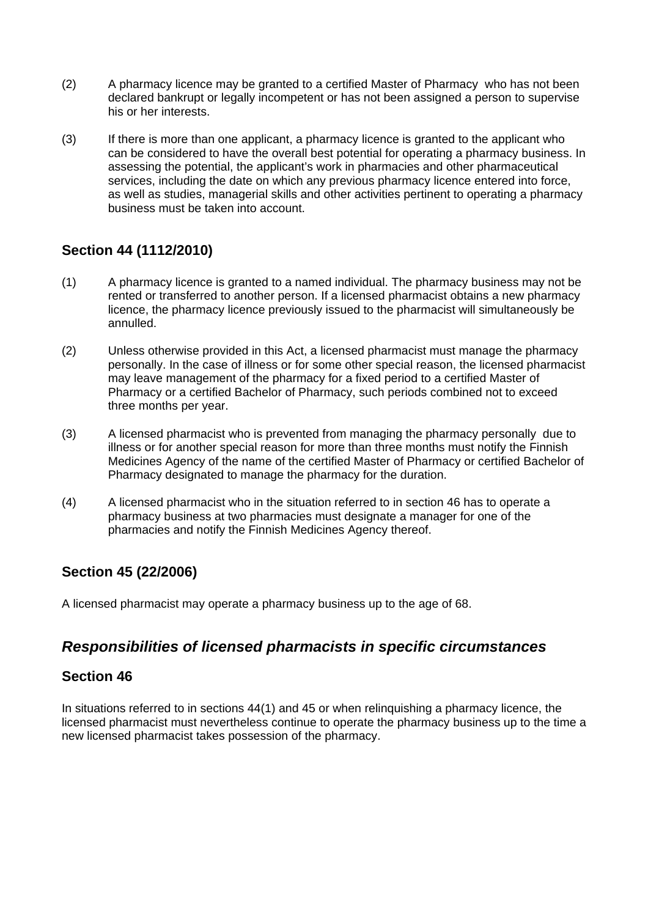- (2) A pharmacy licence may be granted to a certified Master of Pharmacy who has not been declared bankrupt or legally incompetent or has not been assigned a person to supervise his or her interests.
- (3) If there is more than one applicant, a pharmacy licence is granted to the applicant who can be considered to have the overall best potential for operating a pharmacy business. In assessing the potential, the applicant's work in pharmacies and other pharmaceutical services, including the date on which any previous pharmacy licence entered into force, as well as studies, managerial skills and other activities pertinent to operating a pharmacy business must be taken into account.

# **Section 44 (1112/2010)**

- (1) A pharmacy licence is granted to a named individual. The pharmacy business may not be rented or transferred to another person. If a licensed pharmacist obtains a new pharmacy licence, the pharmacy licence previously issued to the pharmacist will simultaneously be annulled.
- (2) Unless otherwise provided in this Act, a licensed pharmacist must manage the pharmacy personally. In the case of illness or for some other special reason, the licensed pharmacist may leave management of the pharmacy for a fixed period to a certified Master of Pharmacy or a certified Bachelor of Pharmacy, such periods combined not to exceed three months per year.
- (3) A licensed pharmacist who is prevented from managing the pharmacy personally due to illness or for another special reason for more than three months must notify the Finnish Medicines Agency of the name of the certified Master of Pharmacy or certified Bachelor of Pharmacy designated to manage the pharmacy for the duration.
- (4) A licensed pharmacist who in the situation referred to in section 46 has to operate a pharmacy business at two pharmacies must designate a manager for one of the pharmacies and notify the Finnish Medicines Agency thereof.

# **Section 45 (22/2006)**

A licensed pharmacist may operate a pharmacy business up to the age of 68.

# *Responsibilities of licensed pharmacists in specific circumstances*

## **Section 46**

In situations referred to in sections 44(1) and 45 or when relinquishing a pharmacy licence, the licensed pharmacist must nevertheless continue to operate the pharmacy business up to the time a new licensed pharmacist takes possession of the pharmacy.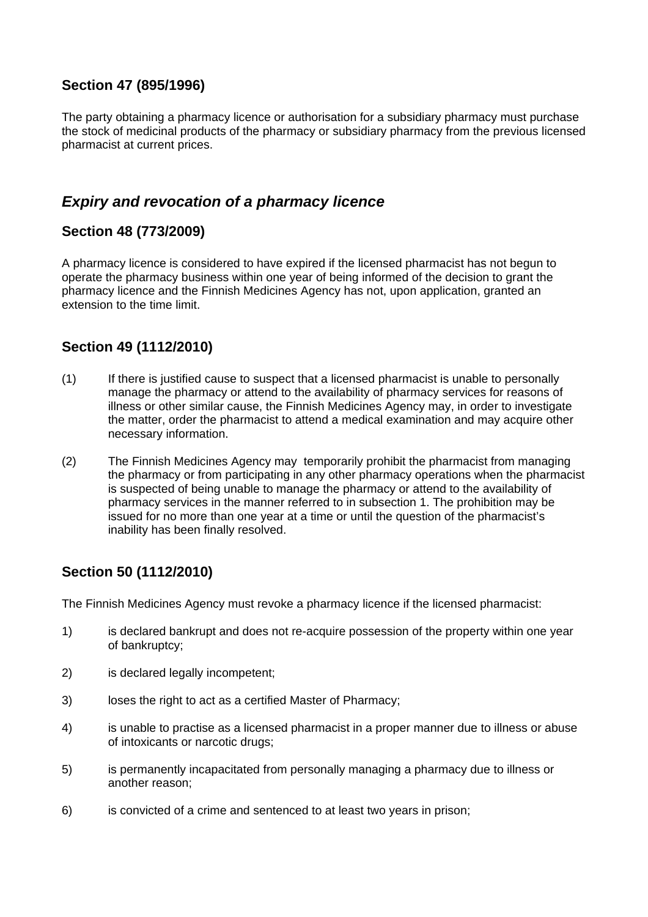## **Section 47 (895/1996)**

The party obtaining a pharmacy licence or authorisation for a subsidiary pharmacy must purchase the stock of medicinal products of the pharmacy or subsidiary pharmacy from the previous licensed pharmacist at current prices.

# *Expiry and revocation of a pharmacy licence*

## **Section 48 (773/2009)**

A pharmacy licence is considered to have expired if the licensed pharmacist has not begun to operate the pharmacy business within one year of being informed of the decision to grant the pharmacy licence and the Finnish Medicines Agency has not, upon application, granted an extension to the time limit.

# **Section 49 (1112/2010)**

- (1) If there is justified cause to suspect that a licensed pharmacist is unable to personally manage the pharmacy or attend to the availability of pharmacy services for reasons of illness or other similar cause, the Finnish Medicines Agency may, in order to investigate the matter, order the pharmacist to attend a medical examination and may acquire other necessary information.
- (2) The Finnish Medicines Agency may temporarily prohibit the pharmacist from managing the pharmacy or from participating in any other pharmacy operations when the pharmacist is suspected of being unable to manage the pharmacy or attend to the availability of pharmacy services in the manner referred to in subsection 1. The prohibition may be issued for no more than one year at a time or until the question of the pharmacist's inability has been finally resolved.

# **Section 50 (1112/2010)**

The Finnish Medicines Agency must revoke a pharmacy licence if the licensed pharmacist:

- 1) is declared bankrupt and does not re-acquire possession of the property within one year of bankruptcy;
- 2) is declared legally incompetent;
- 3) loses the right to act as a certified Master of Pharmacy;
- 4) is unable to practise as a licensed pharmacist in a proper manner due to illness or abuse of intoxicants or narcotic drugs;
- 5) is permanently incapacitated from personally managing a pharmacy due to illness or another reason;
- 6) is convicted of a crime and sentenced to at least two years in prison;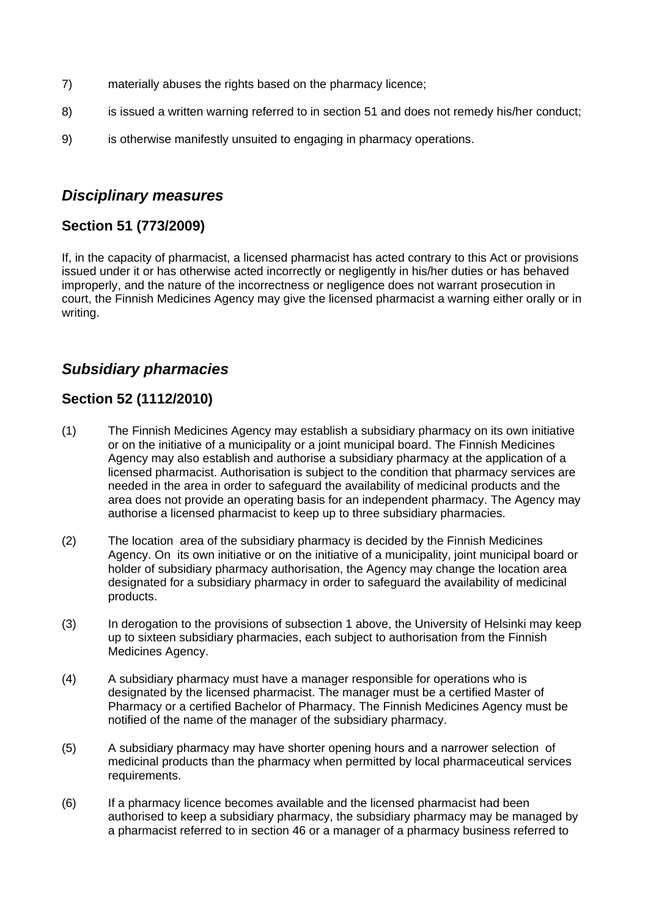- 7) materially abuses the rights based on the pharmacy licence;
- 8) is issued a written warning referred to in section 51 and does not remedy his/her conduct;
- 9) is otherwise manifestly unsuited to engaging in pharmacy operations.

# *Disciplinary measures*

# **Section 51 (773/2009)**

If, in the capacity of pharmacist, a licensed pharmacist has acted contrary to this Act or provisions issued under it or has otherwise acted incorrectly or negligently in his/her duties or has behaved improperly, and the nature of the incorrectness or negligence does not warrant prosecution in court, the Finnish Medicines Agency may give the licensed pharmacist a warning either orally or in writing.

# *Subsidiary pharmacies*

# **Section 52 (1112/2010)**

- (1) The Finnish Medicines Agency may establish a subsidiary pharmacy on its own initiative or on the initiative of a municipality or a joint municipal board. The Finnish Medicines Agency may also establish and authorise a subsidiary pharmacy at the application of a licensed pharmacist. Authorisation is subject to the condition that pharmacy services are needed in the area in order to safeguard the availability of medicinal products and the area does not provide an operating basis for an independent pharmacy. The Agency may authorise a licensed pharmacist to keep up to three subsidiary pharmacies.
- (2) The location area of the subsidiary pharmacy is decided by the Finnish Medicines Agency. On its own initiative or on the initiative of a municipality, joint municipal board or holder of subsidiary pharmacy authorisation, the Agency may change the location area designated for a subsidiary pharmacy in order to safeguard the availability of medicinal products.
- (3) In derogation to the provisions of subsection 1 above, the University of Helsinki may keep up to sixteen subsidiary pharmacies, each subject to authorisation from the Finnish Medicines Agency.
- (4) A subsidiary pharmacy must have a manager responsible for operations who is designated by the licensed pharmacist. The manager must be a certified Master of Pharmacy or a certified Bachelor of Pharmacy. The Finnish Medicines Agency must be notified of the name of the manager of the subsidiary pharmacy.
- (5) A subsidiary pharmacy may have shorter opening hours and a narrower selection of medicinal products than the pharmacy when permitted by local pharmaceutical services requirements.
- (6) If a pharmacy licence becomes available and the licensed pharmacist had been authorised to keep a subsidiary pharmacy, the subsidiary pharmacy may be managed by a pharmacist referred to in section 46 or a manager of a pharmacy business referred to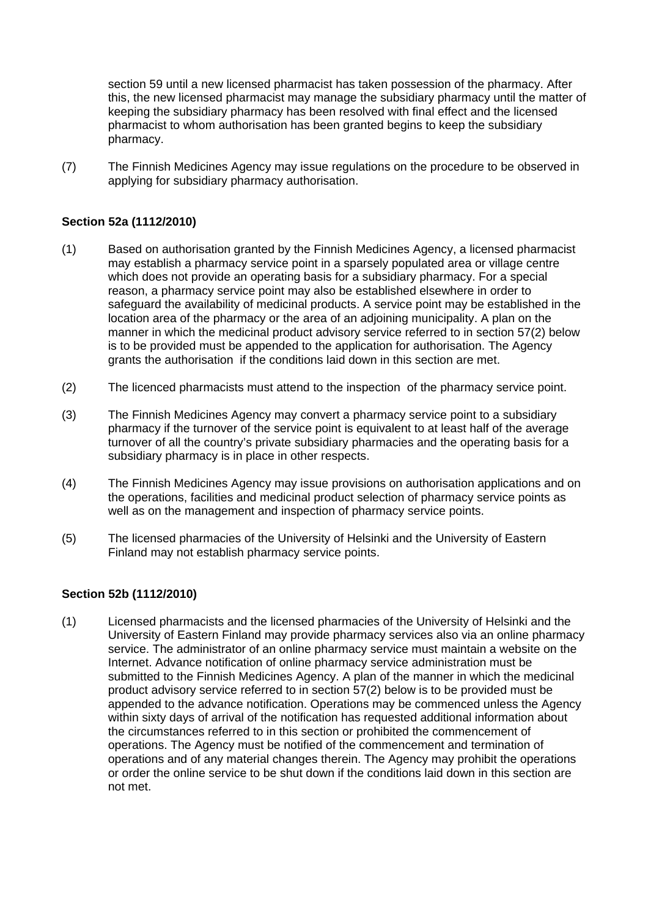section 59 until a new licensed pharmacist has taken possession of the pharmacy. After this, the new licensed pharmacist may manage the subsidiary pharmacy until the matter of keeping the subsidiary pharmacy has been resolved with final effect and the licensed pharmacist to whom authorisation has been granted begins to keep the subsidiary pharmacy.

(7) The Finnish Medicines Agency may issue regulations on the procedure to be observed in applying for subsidiary pharmacy authorisation.

## **Section 52a (1112/2010)**

- (1) Based on authorisation granted by the Finnish Medicines Agency, a licensed pharmacist may establish a pharmacy service point in a sparsely populated area or village centre which does not provide an operating basis for a subsidiary pharmacy. For a special reason, a pharmacy service point may also be established elsewhere in order to safeguard the availability of medicinal products. A service point may be established in the location area of the pharmacy or the area of an adjoining municipality. A plan on the manner in which the medicinal product advisory service referred to in section 57(2) below is to be provided must be appended to the application for authorisation. The Agency grants the authorisation if the conditions laid down in this section are met.
- (2) The licenced pharmacists must attend to the inspection of the pharmacy service point.
- (3) The Finnish Medicines Agency may convert a pharmacy service point to a subsidiary pharmacy if the turnover of the service point is equivalent to at least half of the average turnover of all the country's private subsidiary pharmacies and the operating basis for a subsidiary pharmacy is in place in other respects.
- (4) The Finnish Medicines Agency may issue provisions on authorisation applications and on the operations, facilities and medicinal product selection of pharmacy service points as well as on the management and inspection of pharmacy service points.
- (5) The licensed pharmacies of the University of Helsinki and the University of Eastern Finland may not establish pharmacy service points.

### **Section 52b (1112/2010)**

(1) Licensed pharmacists and the licensed pharmacies of the University of Helsinki and the University of Eastern Finland may provide pharmacy services also via an online pharmacy service. The administrator of an online pharmacy service must maintain a website on the Internet. Advance notification of online pharmacy service administration must be submitted to the Finnish Medicines Agency. A plan of the manner in which the medicinal product advisory service referred to in section 57(2) below is to be provided must be appended to the advance notification. Operations may be commenced unless the Agency within sixty days of arrival of the notification has requested additional information about the circumstances referred to in this section or prohibited the commencement of operations. The Agency must be notified of the commencement and termination of operations and of any material changes therein. The Agency may prohibit the operations or order the online service to be shut down if the conditions laid down in this section are not met.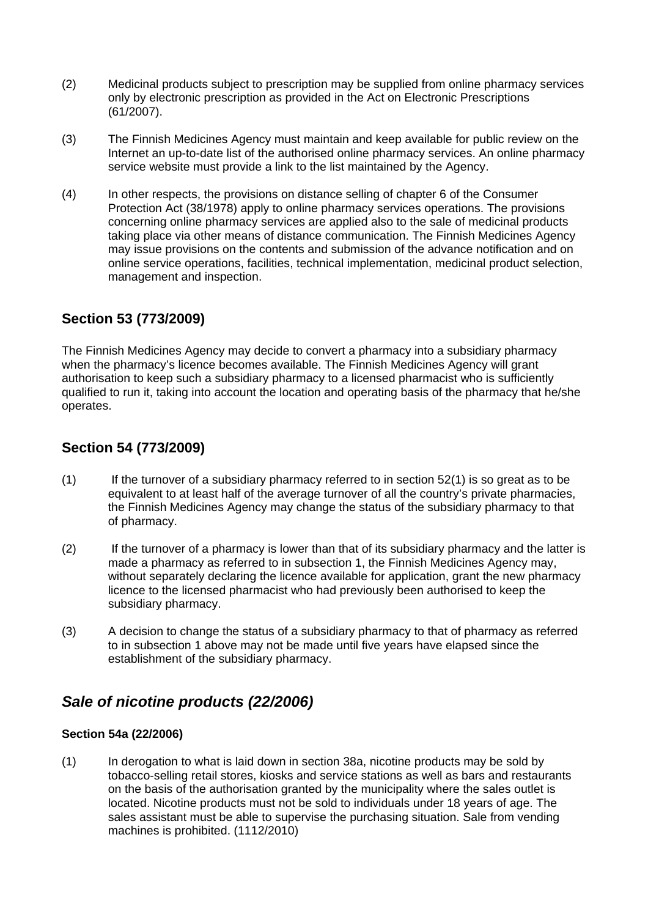- (2) Medicinal products subject to prescription may be supplied from online pharmacy services only by electronic prescription as provided in the Act on Electronic Prescriptions (61/2007).
- (3) The Finnish Medicines Agency must maintain and keep available for public review on the Internet an up-to-date list of the authorised online pharmacy services. An online pharmacy service website must provide a link to the list maintained by the Agency.
- (4) In other respects, the provisions on distance selling of chapter 6 of the Consumer Protection Act (38/1978) apply to online pharmacy services operations. The provisions concerning online pharmacy services are applied also to the sale of medicinal products taking place via other means of distance communication. The Finnish Medicines Agency may issue provisions on the contents and submission of the advance notification and on online service operations, facilities, technical implementation, medicinal product selection, management and inspection.

# **Section 53 (773/2009)**

The Finnish Medicines Agency may decide to convert a pharmacy into a subsidiary pharmacy when the pharmacy's licence becomes available. The Finnish Medicines Agency will grant authorisation to keep such a subsidiary pharmacy to a licensed pharmacist who is sufficiently qualified to run it, taking into account the location and operating basis of the pharmacy that he/she operates.

## **Section 54 (773/2009)**

- $(1)$  If the turnover of a subsidiary pharmacy referred to in section 52(1) is so great as to be equivalent to at least half of the average turnover of all the country's private pharmacies, the Finnish Medicines Agency may change the status of the subsidiary pharmacy to that of pharmacy.
- (2) If the turnover of a pharmacy is lower than that of its subsidiary pharmacy and the latter is made a pharmacy as referred to in subsection 1, the Finnish Medicines Agency may, without separately declaring the licence available for application, grant the new pharmacy licence to the licensed pharmacist who had previously been authorised to keep the subsidiary pharmacy.
- (3) A decision to change the status of a subsidiary pharmacy to that of pharmacy as referred to in subsection 1 above may not be made until five years have elapsed since the establishment of the subsidiary pharmacy.

# *Sale of nicotine products (22/2006)*

### **Section 54a (22/2006)**

(1) In derogation to what is laid down in section 38a, nicotine products may be sold by tobacco-selling retail stores, kiosks and service stations as well as bars and restaurants on the basis of the authorisation granted by the municipality where the sales outlet is located. Nicotine products must not be sold to individuals under 18 years of age. The sales assistant must be able to supervise the purchasing situation. Sale from vending machines is prohibited. (1112/2010)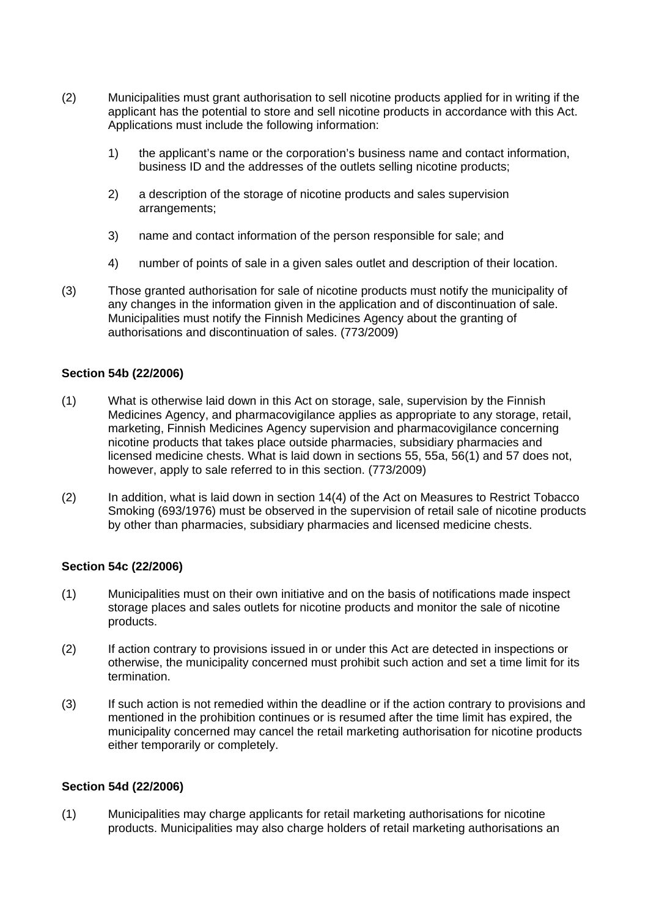- (2) Municipalities must grant authorisation to sell nicotine products applied for in writing if the applicant has the potential to store and sell nicotine products in accordance with this Act. Applications must include the following information:
	- 1) the applicant's name or the corporation's business name and contact information, business ID and the addresses of the outlets selling nicotine products;
	- 2) a description of the storage of nicotine products and sales supervision arrangements;
	- 3) name and contact information of the person responsible for sale; and
	- 4) number of points of sale in a given sales outlet and description of their location.
- (3) Those granted authorisation for sale of nicotine products must notify the municipality of any changes in the information given in the application and of discontinuation of sale. Municipalities must notify the Finnish Medicines Agency about the granting of authorisations and discontinuation of sales. (773/2009)

### **Section 54b (22/2006)**

- (1) What is otherwise laid down in this Act on storage, sale, supervision by the Finnish Medicines Agency, and pharmacovigilance applies as appropriate to any storage, retail, marketing, Finnish Medicines Agency supervision and pharmacovigilance concerning nicotine products that takes place outside pharmacies, subsidiary pharmacies and licensed medicine chests. What is laid down in sections 55, 55a, 56(1) and 57 does not, however, apply to sale referred to in this section. (773/2009)
- (2) In addition, what is laid down in section 14(4) of the Act on Measures to Restrict Tobacco Smoking (693/1976) must be observed in the supervision of retail sale of nicotine products by other than pharmacies, subsidiary pharmacies and licensed medicine chests.

### **Section 54c (22/2006)**

- (1) Municipalities must on their own initiative and on the basis of notifications made inspect storage places and sales outlets for nicotine products and monitor the sale of nicotine products.
- (2) If action contrary to provisions issued in or under this Act are detected in inspections or otherwise, the municipality concerned must prohibit such action and set a time limit for its termination.
- (3) If such action is not remedied within the deadline or if the action contrary to provisions and mentioned in the prohibition continues or is resumed after the time limit has expired, the municipality concerned may cancel the retail marketing authorisation for nicotine products either temporarily or completely.

#### **Section 54d (22/2006)**

(1) Municipalities may charge applicants for retail marketing authorisations for nicotine products. Municipalities may also charge holders of retail marketing authorisations an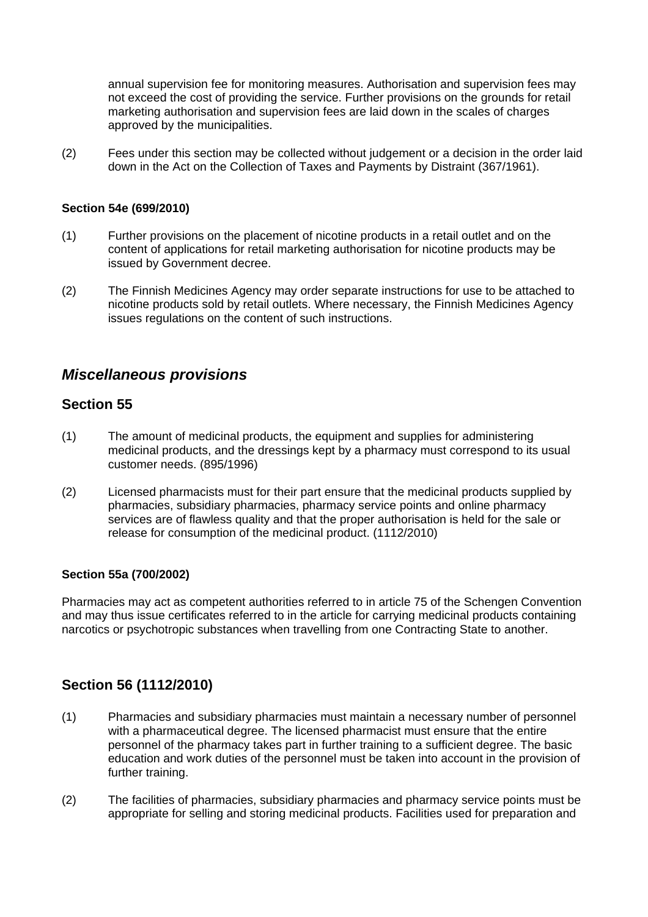annual supervision fee for monitoring measures. Authorisation and supervision fees may not exceed the cost of providing the service. Further provisions on the grounds for retail marketing authorisation and supervision fees are laid down in the scales of charges approved by the municipalities.

(2) Fees under this section may be collected without judgement or a decision in the order laid down in the Act on the Collection of Taxes and Payments by Distraint (367/1961).

### **Section 54e (699/2010)**

- (1) Further provisions on the placement of nicotine products in a retail outlet and on the content of applications for retail marketing authorisation for nicotine products may be issued by Government decree.
- (2) The Finnish Medicines Agency may order separate instructions for use to be attached to nicotine products sold by retail outlets. Where necessary, the Finnish Medicines Agency issues regulations on the content of such instructions.

## *Miscellaneous provisions*

## **Section 55**

- (1) The amount of medicinal products, the equipment and supplies for administering medicinal products, and the dressings kept by a pharmacy must correspond to its usual customer needs. (895/1996)
- (2) Licensed pharmacists must for their part ensure that the medicinal products supplied by pharmacies, subsidiary pharmacies, pharmacy service points and online pharmacy services are of flawless quality and that the proper authorisation is held for the sale or release for consumption of the medicinal product. (1112/2010)

#### **Section 55a (700/2002)**

Pharmacies may act as competent authorities referred to in article 75 of the Schengen Convention and may thus issue certificates referred to in the article for carrying medicinal products containing narcotics or psychotropic substances when travelling from one Contracting State to another.

## **Section 56 (1112/2010)**

- (1) Pharmacies and subsidiary pharmacies must maintain a necessary number of personnel with a pharmaceutical degree. The licensed pharmacist must ensure that the entire personnel of the pharmacy takes part in further training to a sufficient degree. The basic education and work duties of the personnel must be taken into account in the provision of further training.
- (2) The facilities of pharmacies, subsidiary pharmacies and pharmacy service points must be appropriate for selling and storing medicinal products. Facilities used for preparation and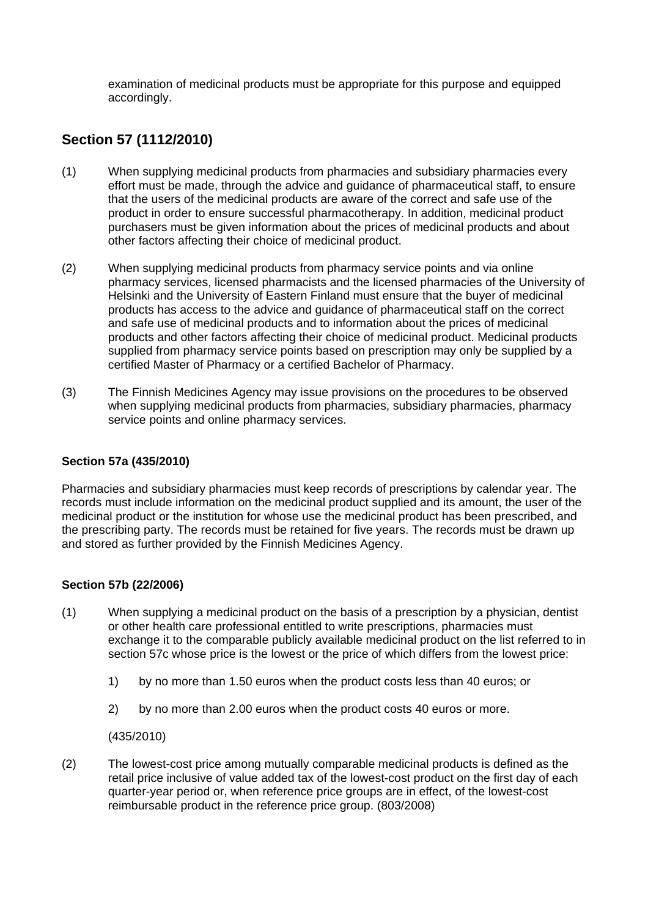examination of medicinal products must be appropriate for this purpose and equipped accordingly.

# **Section 57 (1112/2010)**

- (1) When supplying medicinal products from pharmacies and subsidiary pharmacies every effort must be made, through the advice and guidance of pharmaceutical staff, to ensure that the users of the medicinal products are aware of the correct and safe use of the product in order to ensure successful pharmacotherapy. In addition, medicinal product purchasers must be given information about the prices of medicinal products and about other factors affecting their choice of medicinal product.
- (2) When supplying medicinal products from pharmacy service points and via online pharmacy services, licensed pharmacists and the licensed pharmacies of the University of Helsinki and the University of Eastern Finland must ensure that the buyer of medicinal products has access to the advice and guidance of pharmaceutical staff on the correct and safe use of medicinal products and to information about the prices of medicinal products and other factors affecting their choice of medicinal product. Medicinal products supplied from pharmacy service points based on prescription may only be supplied by a certified Master of Pharmacy or a certified Bachelor of Pharmacy.
- (3) The Finnish Medicines Agency may issue provisions on the procedures to be observed when supplying medicinal products from pharmacies, subsidiary pharmacies, pharmacy service points and online pharmacy services.

## **Section 57a (435/2010)**

Pharmacies and subsidiary pharmacies must keep records of prescriptions by calendar year. The records must include information on the medicinal product supplied and its amount, the user of the medicinal product or the institution for whose use the medicinal product has been prescribed, and the prescribing party. The records must be retained for five years. The records must be drawn up and stored as further provided by the Finnish Medicines Agency.

### **Section 57b (22/2006)**

- (1) When supplying a medicinal product on the basis of a prescription by a physician, dentist or other health care professional entitled to write prescriptions, pharmacies must exchange it to the comparable publicly available medicinal product on the list referred to in section 57c whose price is the lowest or the price of which differs from the lowest price:
	- 1) by no more than 1.50 euros when the product costs less than 40 euros; or
	- 2) by no more than 2.00 euros when the product costs 40 euros or more.

(435/2010)

(2) The lowest-cost price among mutually comparable medicinal products is defined as the retail price inclusive of value added tax of the lowest-cost product on the first day of each quarter-year period or, when reference price groups are in effect, of the lowest-cost reimbursable product in the reference price group. (803/2008)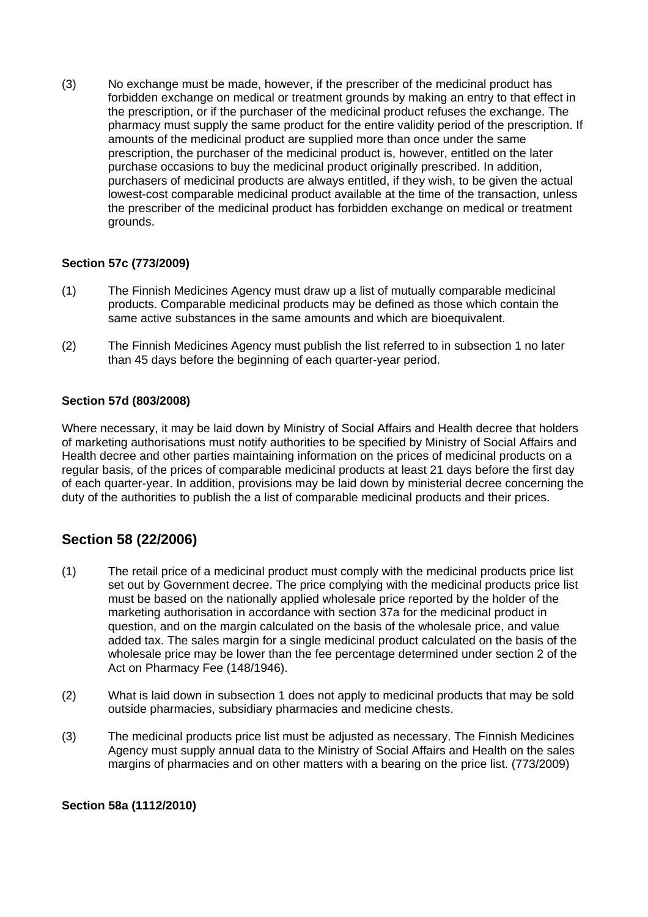(3) No exchange must be made, however, if the prescriber of the medicinal product has forbidden exchange on medical or treatment grounds by making an entry to that effect in the prescription, or if the purchaser of the medicinal product refuses the exchange. The pharmacy must supply the same product for the entire validity period of the prescription. If amounts of the medicinal product are supplied more than once under the same prescription, the purchaser of the medicinal product is, however, entitled on the later purchase occasions to buy the medicinal product originally prescribed. In addition, purchasers of medicinal products are always entitled, if they wish, to be given the actual lowest-cost comparable medicinal product available at the time of the transaction, unless the prescriber of the medicinal product has forbidden exchange on medical or treatment grounds.

## **Section 57c (773/2009)**

- (1) The Finnish Medicines Agency must draw up a list of mutually comparable medicinal products. Comparable medicinal products may be defined as those which contain the same active substances in the same amounts and which are bioequivalent.
- (2) The Finnish Medicines Agency must publish the list referred to in subsection 1 no later than 45 days before the beginning of each quarter-year period.

### **Section 57d (803/2008)**

Where necessary, it may be laid down by Ministry of Social Affairs and Health decree that holders of marketing authorisations must notify authorities to be specified by Ministry of Social Affairs and Health decree and other parties maintaining information on the prices of medicinal products on a regular basis, of the prices of comparable medicinal products at least 21 days before the first day of each quarter-year. In addition, provisions may be laid down by ministerial decree concerning the duty of the authorities to publish the a list of comparable medicinal products and their prices.

# **Section 58 (22/2006)**

- (1) The retail price of a medicinal product must comply with the medicinal products price list set out by Government decree. The price complying with the medicinal products price list must be based on the nationally applied wholesale price reported by the holder of the marketing authorisation in accordance with section 37a for the medicinal product in question, and on the margin calculated on the basis of the wholesale price, and value added tax. The sales margin for a single medicinal product calculated on the basis of the wholesale price may be lower than the fee percentage determined under section 2 of the Act on Pharmacy Fee (148/1946).
- (2) What is laid down in subsection 1 does not apply to medicinal products that may be sold outside pharmacies, subsidiary pharmacies and medicine chests.
- (3) The medicinal products price list must be adjusted as necessary. The Finnish Medicines Agency must supply annual data to the Ministry of Social Affairs and Health on the sales margins of pharmacies and on other matters with a bearing on the price list. (773/2009)

### **Section 58a (1112/2010)**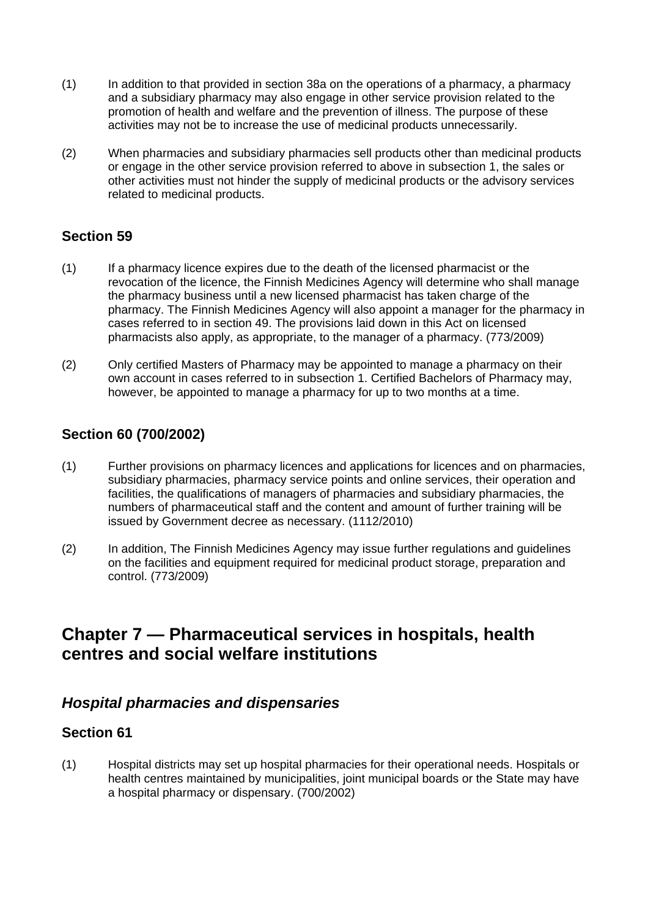- (1) In addition to that provided in section 38a on the operations of a pharmacy, a pharmacy and a subsidiary pharmacy may also engage in other service provision related to the promotion of health and welfare and the prevention of illness. The purpose of these activities may not be to increase the use of medicinal products unnecessarily.
- (2) When pharmacies and subsidiary pharmacies sell products other than medicinal products or engage in the other service provision referred to above in subsection 1, the sales or other activities must not hinder the supply of medicinal products or the advisory services related to medicinal products.

# **Section 59**

- (1) If a pharmacy licence expires due to the death of the licensed pharmacist or the revocation of the licence, the Finnish Medicines Agency will determine who shall manage the pharmacy business until a new licensed pharmacist has taken charge of the pharmacy. The Finnish Medicines Agency will also appoint a manager for the pharmacy in cases referred to in section 49. The provisions laid down in this Act on licensed pharmacists also apply, as appropriate, to the manager of a pharmacy. (773/2009)
- (2) Only certified Masters of Pharmacy may be appointed to manage a pharmacy on their own account in cases referred to in subsection 1. Certified Bachelors of Pharmacy may, however, be appointed to manage a pharmacy for up to two months at a time.

# **Section 60 (700/2002)**

- (1) Further provisions on pharmacy licences and applications for licences and on pharmacies, subsidiary pharmacies, pharmacy service points and online services, their operation and facilities, the qualifications of managers of pharmacies and subsidiary pharmacies, the numbers of pharmaceutical staff and the content and amount of further training will be issued by Government decree as necessary. (1112/2010)
- (2) In addition, The Finnish Medicines Agency may issue further regulations and guidelines on the facilities and equipment required for medicinal product storage, preparation and control. (773/2009)

# **Chapter 7 — Pharmaceutical services in hospitals, health centres and social welfare institutions**

# *Hospital pharmacies and dispensaries*

## **Section 61**

(1) Hospital districts may set up hospital pharmacies for their operational needs. Hospitals or health centres maintained by municipalities, joint municipal boards or the State may have a hospital pharmacy or dispensary. (700/2002)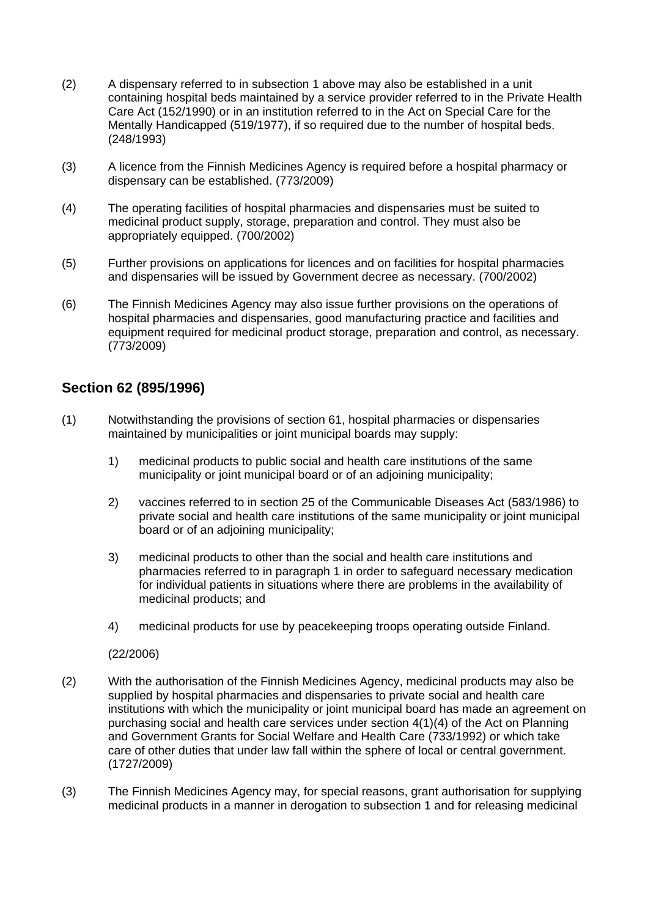- (2) A dispensary referred to in subsection 1 above may also be established in a unit containing hospital beds maintained by a service provider referred to in the Private Health Care Act (152/1990) or in an institution referred to in the Act on Special Care for the Mentally Handicapped (519/1977), if so required due to the number of hospital beds. (248/1993)
- (3) A licence from the Finnish Medicines Agency is required before a hospital pharmacy or dispensary can be established. (773/2009)
- (4) The operating facilities of hospital pharmacies and dispensaries must be suited to medicinal product supply, storage, preparation and control. They must also be appropriately equipped. (700/2002)
- (5) Further provisions on applications for licences and on facilities for hospital pharmacies and dispensaries will be issued by Government decree as necessary. (700/2002)
- (6) The Finnish Medicines Agency may also issue further provisions on the operations of hospital pharmacies and dispensaries, good manufacturing practice and facilities and equipment required for medicinal product storage, preparation and control, as necessary. (773/2009)

## **Section 62 (895/1996)**

- (1) Notwithstanding the provisions of section 61, hospital pharmacies or dispensaries maintained by municipalities or joint municipal boards may supply:
	- 1) medicinal products to public social and health care institutions of the same municipality or joint municipal board or of an adjoining municipality;
	- 2) vaccines referred to in section 25 of the Communicable Diseases Act (583/1986) to private social and health care institutions of the same municipality or joint municipal board or of an adjoining municipality;
	- 3) medicinal products to other than the social and health care institutions and pharmacies referred to in paragraph 1 in order to safeguard necessary medication for individual patients in situations where there are problems in the availability of medicinal products; and
	- 4) medicinal products for use by peacekeeping troops operating outside Finland.

(22/2006)

- (2) With the authorisation of the Finnish Medicines Agency, medicinal products may also be supplied by hospital pharmacies and dispensaries to private social and health care institutions with which the municipality or joint municipal board has made an agreement on purchasing social and health care services under section 4(1)(4) of the Act on Planning and Government Grants for Social Welfare and Health Care (733/1992) or which take care of other duties that under law fall within the sphere of local or central government. (1727/2009)
- (3) The Finnish Medicines Agency may, for special reasons, grant authorisation for supplying medicinal products in a manner in derogation to subsection 1 and for releasing medicinal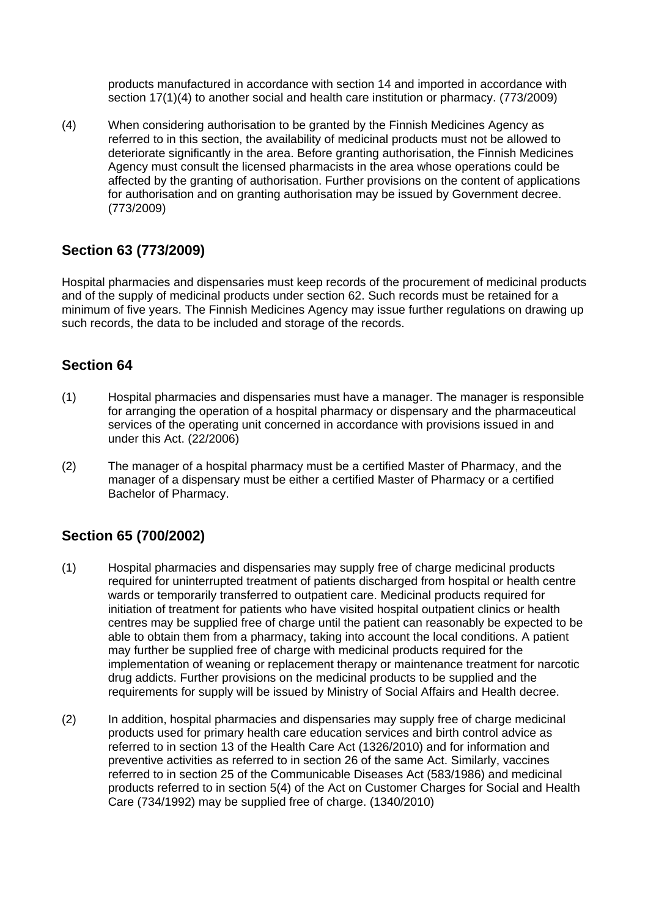products manufactured in accordance with section 14 and imported in accordance with section 17(1)(4) to another social and health care institution or pharmacy. (773/2009)

(4) When considering authorisation to be granted by the Finnish Medicines Agency as referred to in this section, the availability of medicinal products must not be allowed to deteriorate significantly in the area. Before granting authorisation, the Finnish Medicines Agency must consult the licensed pharmacists in the area whose operations could be affected by the granting of authorisation. Further provisions on the content of applications for authorisation and on granting authorisation may be issued by Government decree. (773/2009)

# **Section 63 (773/2009)**

Hospital pharmacies and dispensaries must keep records of the procurement of medicinal products and of the supply of medicinal products under section 62. Such records must be retained for a minimum of five years. The Finnish Medicines Agency may issue further regulations on drawing up such records, the data to be included and storage of the records.

## **Section 64**

- (1) Hospital pharmacies and dispensaries must have a manager. The manager is responsible for arranging the operation of a hospital pharmacy or dispensary and the pharmaceutical services of the operating unit concerned in accordance with provisions issued in and under this Act. (22/2006)
- (2) The manager of a hospital pharmacy must be a certified Master of Pharmacy, and the manager of a dispensary must be either a certified Master of Pharmacy or a certified Bachelor of Pharmacy.

# **Section 65 (700/2002)**

- (1) Hospital pharmacies and dispensaries may supply free of charge medicinal products required for uninterrupted treatment of patients discharged from hospital or health centre wards or temporarily transferred to outpatient care. Medicinal products required for initiation of treatment for patients who have visited hospital outpatient clinics or health centres may be supplied free of charge until the patient can reasonably be expected to be able to obtain them from a pharmacy, taking into account the local conditions. A patient may further be supplied free of charge with medicinal products required for the implementation of weaning or replacement therapy or maintenance treatment for narcotic drug addicts. Further provisions on the medicinal products to be supplied and the requirements for supply will be issued by Ministry of Social Affairs and Health decree.
- (2) In addition, hospital pharmacies and dispensaries may supply free of charge medicinal products used for primary health care education services and birth control advice as referred to in section 13 of the Health Care Act (1326/2010) and for information and preventive activities as referred to in section 26 of the same Act. Similarly, vaccines referred to in section 25 of the Communicable Diseases Act (583/1986) and medicinal products referred to in section 5(4) of the Act on Customer Charges for Social and Health Care (734/1992) may be supplied free of charge. (1340/2010)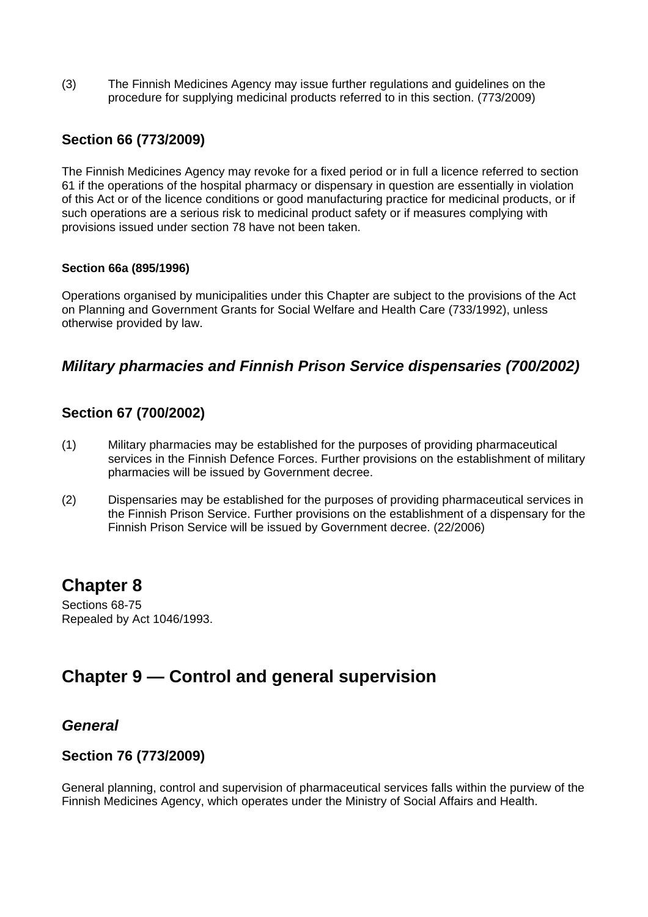(3) The Finnish Medicines Agency may issue further regulations and guidelines on the procedure for supplying medicinal products referred to in this section. (773/2009)

## **Section 66 (773/2009)**

The Finnish Medicines Agency may revoke for a fixed period or in full a licence referred to section 61 if the operations of the hospital pharmacy or dispensary in question are essentially in violation of this Act or of the licence conditions or good manufacturing practice for medicinal products, or if such operations are a serious risk to medicinal product safety or if measures complying with provisions issued under section 78 have not been taken.

### **Section 66a (895/1996)**

Operations organised by municipalities under this Chapter are subject to the provisions of the Act on Planning and Government Grants for Social Welfare and Health Care (733/1992), unless otherwise provided by law.

# *Military pharmacies and Finnish Prison Service dispensaries (700/2002)*

## **Section 67 (700/2002)**

- (1) Military pharmacies may be established for the purposes of providing pharmaceutical services in the Finnish Defence Forces. Further provisions on the establishment of military pharmacies will be issued by Government decree.
- (2) Dispensaries may be established for the purposes of providing pharmaceutical services in the Finnish Prison Service. Further provisions on the establishment of a dispensary for the Finnish Prison Service will be issued by Government decree. (22/2006)

# **Chapter 8**

Sections 68-75 Repealed by Act 1046/1993.

# **Chapter 9 — Control and general supervision**

# *General*

## **Section 76 (773/2009)**

General planning, control and supervision of pharmaceutical services falls within the purview of the Finnish Medicines Agency, which operates under the Ministry of Social Affairs and Health.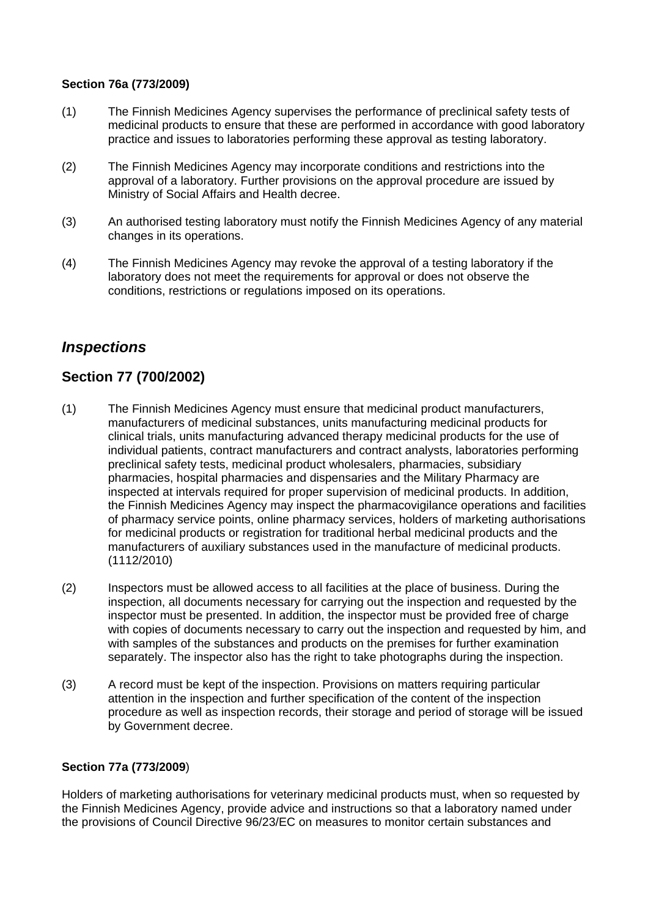## **Section 76a (773/2009)**

- (1) The Finnish Medicines Agency supervises the performance of preclinical safety tests of medicinal products to ensure that these are performed in accordance with good laboratory practice and issues to laboratories performing these approval as testing laboratory.
- (2) The Finnish Medicines Agency may incorporate conditions and restrictions into the approval of a laboratory. Further provisions on the approval procedure are issued by Ministry of Social Affairs and Health decree.
- (3) An authorised testing laboratory must notify the Finnish Medicines Agency of any material changes in its operations.
- (4) The Finnish Medicines Agency may revoke the approval of a testing laboratory if the laboratory does not meet the requirements for approval or does not observe the conditions, restrictions or regulations imposed on its operations.

# *Inspections*

# **Section 77 (700/2002)**

- (1) The Finnish Medicines Agency must ensure that medicinal product manufacturers, manufacturers of medicinal substances, units manufacturing medicinal products for clinical trials, units manufacturing advanced therapy medicinal products for the use of individual patients, contract manufacturers and contract analysts, laboratories performing preclinical safety tests, medicinal product wholesalers, pharmacies, subsidiary pharmacies, hospital pharmacies and dispensaries and the Military Pharmacy are inspected at intervals required for proper supervision of medicinal products. In addition, the Finnish Medicines Agency may inspect the pharmacovigilance operations and facilities of pharmacy service points, online pharmacy services, holders of marketing authorisations for medicinal products or registration for traditional herbal medicinal products and the manufacturers of auxiliary substances used in the manufacture of medicinal products. (1112/2010)
- (2) Inspectors must be allowed access to all facilities at the place of business. During the inspection, all documents necessary for carrying out the inspection and requested by the inspector must be presented. In addition, the inspector must be provided free of charge with copies of documents necessary to carry out the inspection and requested by him, and with samples of the substances and products on the premises for further examination separately. The inspector also has the right to take photographs during the inspection.
- (3) A record must be kept of the inspection. Provisions on matters requiring particular attention in the inspection and further specification of the content of the inspection procedure as well as inspection records, their storage and period of storage will be issued by Government decree.

### **Section 77a (773/2009**)

Holders of marketing authorisations for veterinary medicinal products must, when so requested by the Finnish Medicines Agency, provide advice and instructions so that a laboratory named under the provisions of Council Directive 96/23/EC on measures to monitor certain substances and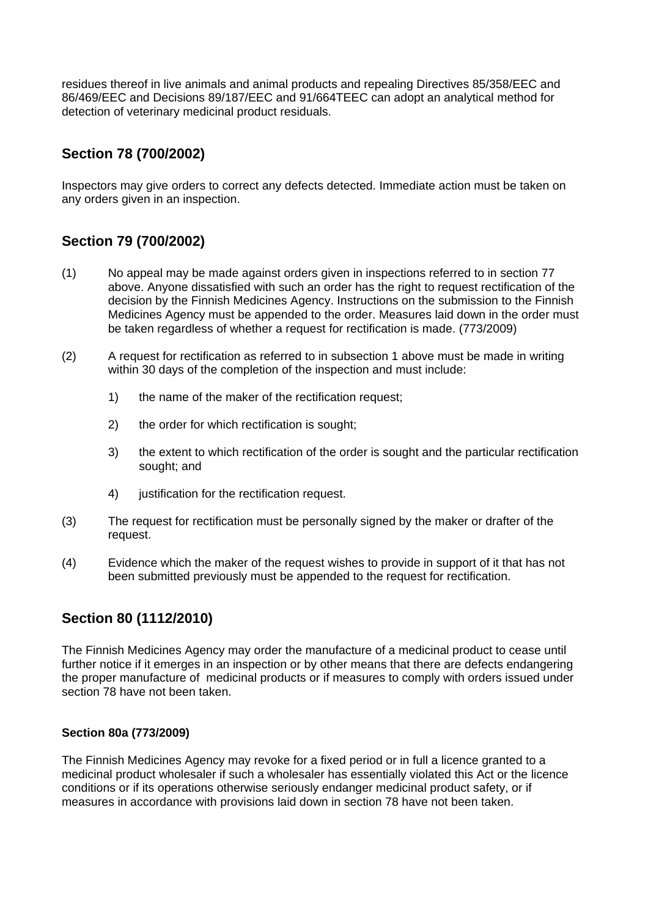residues thereof in live animals and animal products and repealing Directives 85/358/EEC and 86/469/EEC and Decisions 89/187/EEC and 91/664TEEC can adopt an analytical method for detection of veterinary medicinal product residuals.

# **Section 78 (700/2002)**

Inspectors may give orders to correct any defects detected. Immediate action must be taken on any orders given in an inspection.

# **Section 79 (700/2002)**

- (1) No appeal may be made against orders given in inspections referred to in section 77 above. Anyone dissatisfied with such an order has the right to request rectification of the decision by the Finnish Medicines Agency. Instructions on the submission to the Finnish Medicines Agency must be appended to the order. Measures laid down in the order must be taken regardless of whether a request for rectification is made. (773/2009)
- (2) A request for rectification as referred to in subsection 1 above must be made in writing within 30 days of the completion of the inspection and must include:
	- 1) the name of the maker of the rectification request;
	- 2) the order for which rectification is sought:
	- 3) the extent to which rectification of the order is sought and the particular rectification sought; and
	- 4) justification for the rectification request.
- (3) The request for rectification must be personally signed by the maker or drafter of the request.
- (4) Evidence which the maker of the request wishes to provide in support of it that has not been submitted previously must be appended to the request for rectification.

# **Section 80 (1112/2010)**

The Finnish Medicines Agency may order the manufacture of a medicinal product to cease until further notice if it emerges in an inspection or by other means that there are defects endangering the proper manufacture of medicinal products or if measures to comply with orders issued under section 78 have not been taken.

### **Section 80a (773/2009)**

The Finnish Medicines Agency may revoke for a fixed period or in full a licence granted to a medicinal product wholesaler if such a wholesaler has essentially violated this Act or the licence conditions or if its operations otherwise seriously endanger medicinal product safety, or if measures in accordance with provisions laid down in section 78 have not been taken.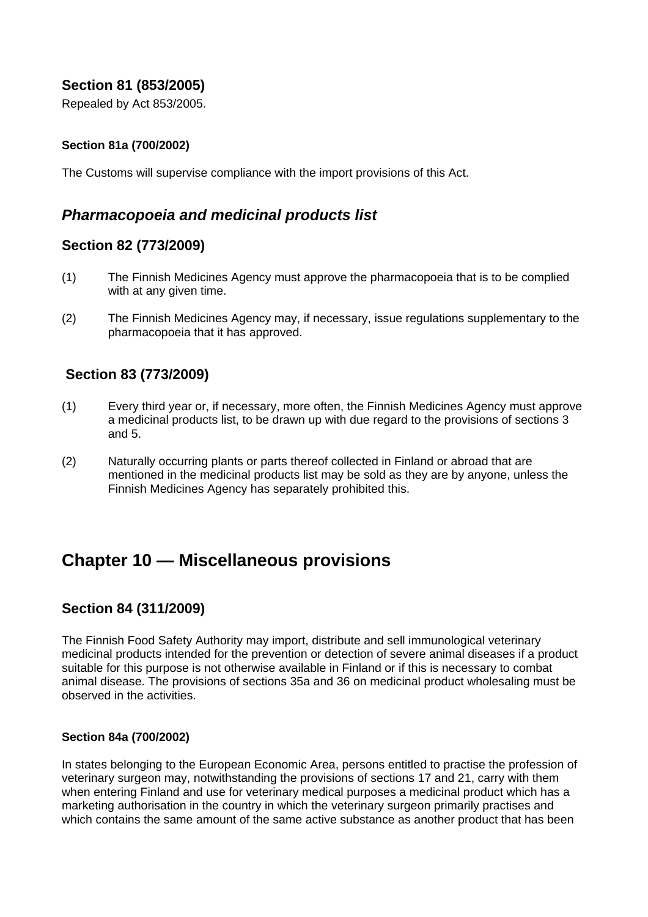## **Section 81 (853/2005)**

Repealed by Act 853/2005.

## **Section 81a (700/2002)**

The Customs will supervise compliance with the import provisions of this Act.

## *Pharmacopoeia and medicinal products list*

## **Section 82 (773/2009)**

- (1) The Finnish Medicines Agency must approve the pharmacopoeia that is to be complied with at any given time.
- (2) The Finnish Medicines Agency may, if necessary, issue regulations supplementary to the pharmacopoeia that it has approved.

## **Section 83 (773/2009)**

- (1) Every third year or, if necessary, more often, the Finnish Medicines Agency must approve a medicinal products list, to be drawn up with due regard to the provisions of sections 3 and 5.
- (2) Naturally occurring plants or parts thereof collected in Finland or abroad that are mentioned in the medicinal products list may be sold as they are by anyone, unless the Finnish Medicines Agency has separately prohibited this.

# **Chapter 10 — Miscellaneous provisions**

## **Section 84 (311/2009)**

The Finnish Food Safety Authority may import, distribute and sell immunological veterinary medicinal products intended for the prevention or detection of severe animal diseases if a product suitable for this purpose is not otherwise available in Finland or if this is necessary to combat animal disease. The provisions of sections 35a and 36 on medicinal product wholesaling must be observed in the activities.

### **Section 84a (700/2002)**

In states belonging to the European Economic Area, persons entitled to practise the profession of veterinary surgeon may, notwithstanding the provisions of sections 17 and 21, carry with them when entering Finland and use for veterinary medical purposes a medicinal product which has a marketing authorisation in the country in which the veterinary surgeon primarily practises and which contains the same amount of the same active substance as another product that has been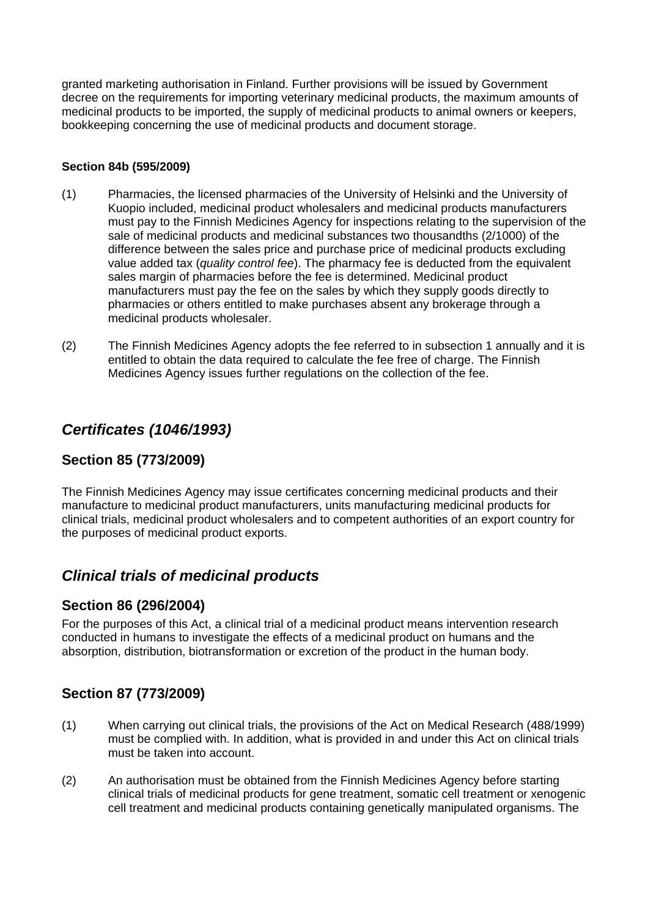granted marketing authorisation in Finland. Further provisions will be issued by Government decree on the requirements for importing veterinary medicinal products, the maximum amounts of medicinal products to be imported, the supply of medicinal products to animal owners or keepers, bookkeeping concerning the use of medicinal products and document storage.

## **Section 84b (595/2009)**

- (1) Pharmacies, the licensed pharmacies of the University of Helsinki and the University of Kuopio included, medicinal product wholesalers and medicinal products manufacturers must pay to the Finnish Medicines Agency for inspections relating to the supervision of the sale of medicinal products and medicinal substances two thousandths (2/1000) of the difference between the sales price and purchase price of medicinal products excluding value added tax (*quality control fee*). The pharmacy fee is deducted from the equivalent sales margin of pharmacies before the fee is determined. Medicinal product manufacturers must pay the fee on the sales by which they supply goods directly to pharmacies or others entitled to make purchases absent any brokerage through a medicinal products wholesaler.
- (2) The Finnish Medicines Agency adopts the fee referred to in subsection 1 annually and it is entitled to obtain the data required to calculate the fee free of charge. The Finnish Medicines Agency issues further regulations on the collection of the fee.

# *Certificates (1046/1993)*

## **Section 85 (773/2009)**

The Finnish Medicines Agency may issue certificates concerning medicinal products and their manufacture to medicinal product manufacturers, units manufacturing medicinal products for clinical trials, medicinal product wholesalers and to competent authorities of an export country for the purposes of medicinal product exports.

# *Clinical trials of medicinal products*

## **Section 86 (296/2004)**

For the purposes of this Act, a clinical trial of a medicinal product means intervention research conducted in humans to investigate the effects of a medicinal product on humans and the absorption, distribution, biotransformation or excretion of the product in the human body.

# **Section 87 (773/2009)**

- (1) When carrying out clinical trials, the provisions of the Act on Medical Research (488/1999) must be complied with. In addition, what is provided in and under this Act on clinical trials must be taken into account.
- (2) An authorisation must be obtained from the Finnish Medicines Agency before starting clinical trials of medicinal products for gene treatment, somatic cell treatment or xenogenic cell treatment and medicinal products containing genetically manipulated organisms. The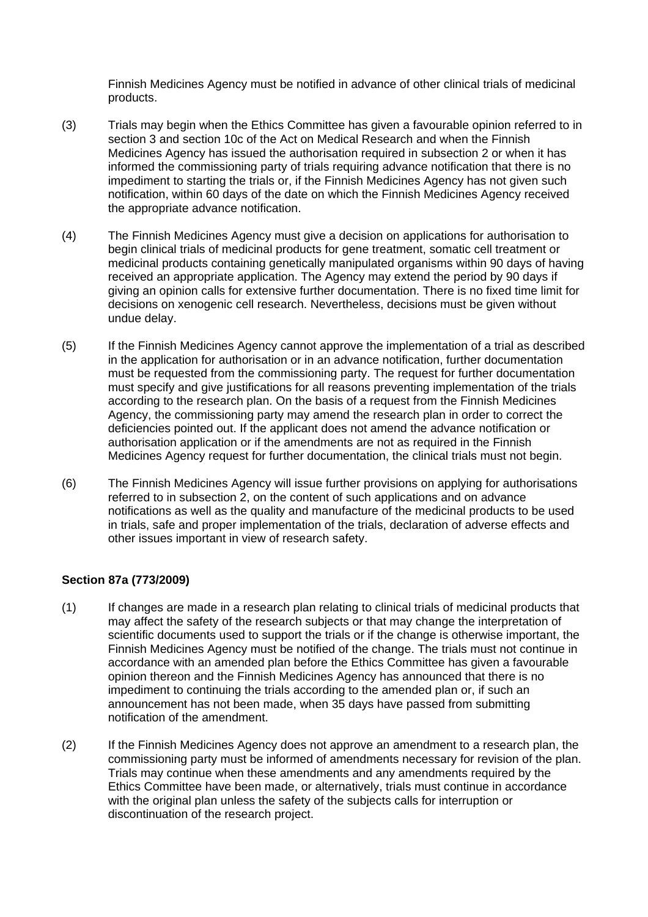Finnish Medicines Agency must be notified in advance of other clinical trials of medicinal products.

- (3) Trials may begin when the Ethics Committee has given a favourable opinion referred to in section 3 and section 10c of the Act on Medical Research and when the Finnish Medicines Agency has issued the authorisation required in subsection 2 or when it has informed the commissioning party of trials requiring advance notification that there is no impediment to starting the trials or, if the Finnish Medicines Agency has not given such notification, within 60 days of the date on which the Finnish Medicines Agency received the appropriate advance notification.
- (4) The Finnish Medicines Agency must give a decision on applications for authorisation to begin clinical trials of medicinal products for gene treatment, somatic cell treatment or medicinal products containing genetically manipulated organisms within 90 days of having received an appropriate application. The Agency may extend the period by 90 days if giving an opinion calls for extensive further documentation. There is no fixed time limit for decisions on xenogenic cell research. Nevertheless, decisions must be given without undue delay.
- (5) If the Finnish Medicines Agency cannot approve the implementation of a trial as described in the application for authorisation or in an advance notification, further documentation must be requested from the commissioning party. The request for further documentation must specify and give justifications for all reasons preventing implementation of the trials according to the research plan. On the basis of a request from the Finnish Medicines Agency, the commissioning party may amend the research plan in order to correct the deficiencies pointed out. If the applicant does not amend the advance notification or authorisation application or if the amendments are not as required in the Finnish Medicines Agency request for further documentation, the clinical trials must not begin.
- (6) The Finnish Medicines Agency will issue further provisions on applying for authorisations referred to in subsection 2, on the content of such applications and on advance notifications as well as the quality and manufacture of the medicinal products to be used in trials, safe and proper implementation of the trials, declaration of adverse effects and other issues important in view of research safety.

### **Section 87a (773/2009)**

- (1) If changes are made in a research plan relating to clinical trials of medicinal products that may affect the safety of the research subjects or that may change the interpretation of scientific documents used to support the trials or if the change is otherwise important, the Finnish Medicines Agency must be notified of the change. The trials must not continue in accordance with an amended plan before the Ethics Committee has given a favourable opinion thereon and the Finnish Medicines Agency has announced that there is no impediment to continuing the trials according to the amended plan or, if such an announcement has not been made, when 35 days have passed from submitting notification of the amendment.
- (2) If the Finnish Medicines Agency does not approve an amendment to a research plan, the commissioning party must be informed of amendments necessary for revision of the plan. Trials may continue when these amendments and any amendments required by the Ethics Committee have been made, or alternatively, trials must continue in accordance with the original plan unless the safety of the subjects calls for interruption or discontinuation of the research project.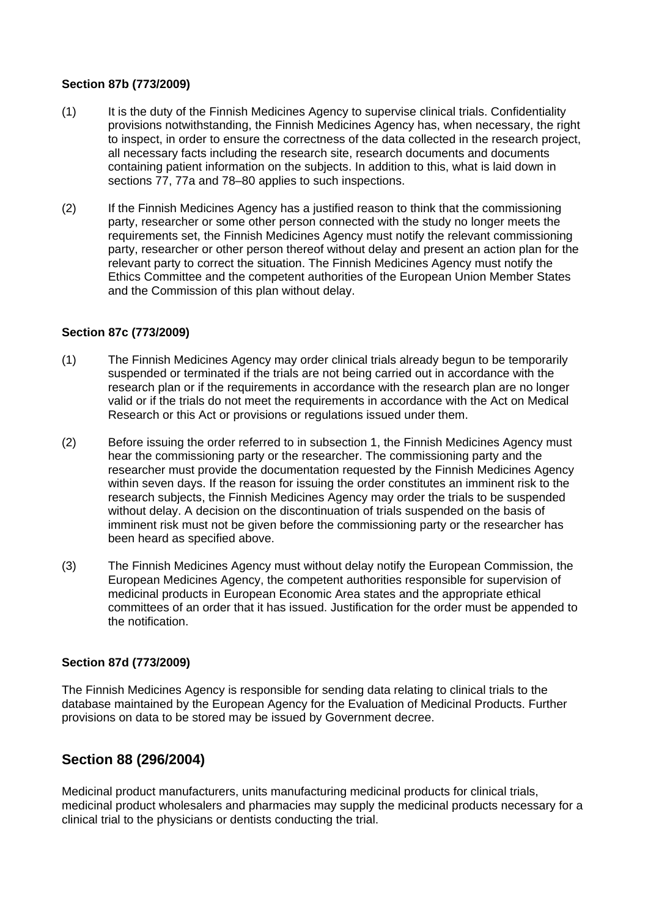### **Section 87b (773/2009)**

- (1) It is the duty of the Finnish Medicines Agency to supervise clinical trials. Confidentiality provisions notwithstanding, the Finnish Medicines Agency has, when necessary, the right to inspect, in order to ensure the correctness of the data collected in the research project, all necessary facts including the research site, research documents and documents containing patient information on the subjects. In addition to this, what is laid down in sections 77, 77a and 78–80 applies to such inspections.
- (2) If the Finnish Medicines Agency has a justified reason to think that the commissioning party, researcher or some other person connected with the study no longer meets the requirements set, the Finnish Medicines Agency must notify the relevant commissioning party, researcher or other person thereof without delay and present an action plan for the relevant party to correct the situation. The Finnish Medicines Agency must notify the Ethics Committee and the competent authorities of the European Union Member States and the Commission of this plan without delay.

### **Section 87c (773/2009)**

- (1) The Finnish Medicines Agency may order clinical trials already begun to be temporarily suspended or terminated if the trials are not being carried out in accordance with the research plan or if the requirements in accordance with the research plan are no longer valid or if the trials do not meet the requirements in accordance with the Act on Medical Research or this Act or provisions or regulations issued under them.
- (2) Before issuing the order referred to in subsection 1, the Finnish Medicines Agency must hear the commissioning party or the researcher. The commissioning party and the researcher must provide the documentation requested by the Finnish Medicines Agency within seven days. If the reason for issuing the order constitutes an imminent risk to the research subjects, the Finnish Medicines Agency may order the trials to be suspended without delay. A decision on the discontinuation of trials suspended on the basis of imminent risk must not be given before the commissioning party or the researcher has been heard as specified above.
- (3) The Finnish Medicines Agency must without delay notify the European Commission, the European Medicines Agency, the competent authorities responsible for supervision of medicinal products in European Economic Area states and the appropriate ethical committees of an order that it has issued. Justification for the order must be appended to the notification.

### **Section 87d (773/2009)**

The Finnish Medicines Agency is responsible for sending data relating to clinical trials to the database maintained by the European Agency for the Evaluation of Medicinal Products. Further provisions on data to be stored may be issued by Government decree.

## **Section 88 (296/2004)**

Medicinal product manufacturers, units manufacturing medicinal products for clinical trials, medicinal product wholesalers and pharmacies may supply the medicinal products necessary for a clinical trial to the physicians or dentists conducting the trial.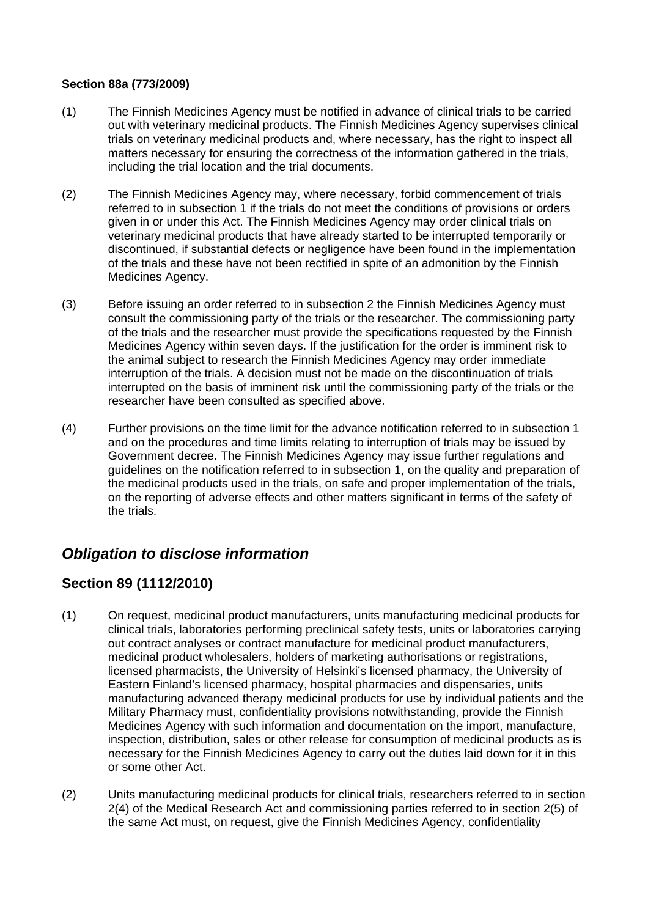### **Section 88a (773/2009)**

- (1) The Finnish Medicines Agency must be notified in advance of clinical trials to be carried out with veterinary medicinal products. The Finnish Medicines Agency supervises clinical trials on veterinary medicinal products and, where necessary, has the right to inspect all matters necessary for ensuring the correctness of the information gathered in the trials, including the trial location and the trial documents.
- (2) The Finnish Medicines Agency may, where necessary, forbid commencement of trials referred to in subsection 1 if the trials do not meet the conditions of provisions or orders given in or under this Act. The Finnish Medicines Agency may order clinical trials on veterinary medicinal products that have already started to be interrupted temporarily or discontinued, if substantial defects or negligence have been found in the implementation of the trials and these have not been rectified in spite of an admonition by the Finnish Medicines Agency.
- (3) Before issuing an order referred to in subsection 2 the Finnish Medicines Agency must consult the commissioning party of the trials or the researcher. The commissioning party of the trials and the researcher must provide the specifications requested by the Finnish Medicines Agency within seven days. If the justification for the order is imminent risk to the animal subject to research the Finnish Medicines Agency may order immediate interruption of the trials. A decision must not be made on the discontinuation of trials interrupted on the basis of imminent risk until the commissioning party of the trials or the researcher have been consulted as specified above.
- (4) Further provisions on the time limit for the advance notification referred to in subsection 1 and on the procedures and time limits relating to interruption of trials may be issued by Government decree. The Finnish Medicines Agency may issue further regulations and guidelines on the notification referred to in subsection 1, on the quality and preparation of the medicinal products used in the trials, on safe and proper implementation of the trials, on the reporting of adverse effects and other matters significant in terms of the safety of the trials.

# *Obligation to disclose information*

## **Section 89 (1112/2010)**

- (1) On request, medicinal product manufacturers, units manufacturing medicinal products for clinical trials, laboratories performing preclinical safety tests, units or laboratories carrying out contract analyses or contract manufacture for medicinal product manufacturers, medicinal product wholesalers, holders of marketing authorisations or registrations, licensed pharmacists, the University of Helsinki's licensed pharmacy, the University of Eastern Finland's licensed pharmacy, hospital pharmacies and dispensaries, units manufacturing advanced therapy medicinal products for use by individual patients and the Military Pharmacy must, confidentiality provisions notwithstanding, provide the Finnish Medicines Agency with such information and documentation on the import, manufacture, inspection, distribution, sales or other release for consumption of medicinal products as is necessary for the Finnish Medicines Agency to carry out the duties laid down for it in this or some other Act.
- (2) Units manufacturing medicinal products for clinical trials, researchers referred to in section 2(4) of the Medical Research Act and commissioning parties referred to in section 2(5) of the same Act must, on request, give the Finnish Medicines Agency, confidentiality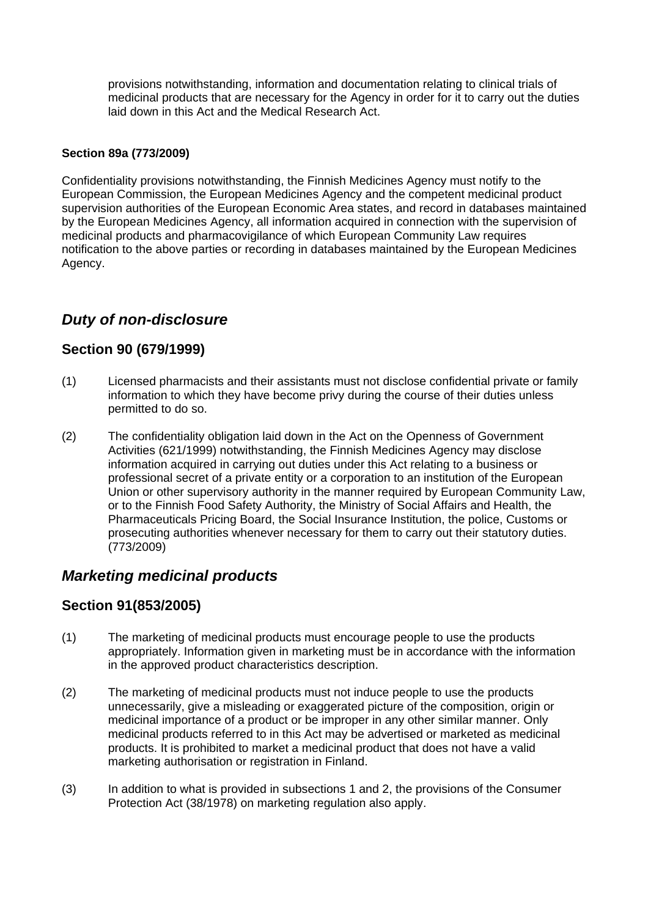provisions notwithstanding, information and documentation relating to clinical trials of medicinal products that are necessary for the Agency in order for it to carry out the duties laid down in this Act and the Medical Research Act.

## **Section 89a (773/2009)**

Confidentiality provisions notwithstanding, the Finnish Medicines Agency must notify to the European Commission, the European Medicines Agency and the competent medicinal product supervision authorities of the European Economic Area states, and record in databases maintained by the European Medicines Agency, all information acquired in connection with the supervision of medicinal products and pharmacovigilance of which European Community Law requires notification to the above parties or recording in databases maintained by the European Medicines Agency.

# *Duty of non-disclosure*

## **Section 90 (679/1999)**

- (1) Licensed pharmacists and their assistants must not disclose confidential private or family information to which they have become privy during the course of their duties unless permitted to do so.
- (2) The confidentiality obligation laid down in the Act on the Openness of Government Activities (621/1999) notwithstanding, the Finnish Medicines Agency may disclose information acquired in carrying out duties under this Act relating to a business or professional secret of a private entity or a corporation to an institution of the European Union or other supervisory authority in the manner required by European Community Law, or to the Finnish Food Safety Authority, the Ministry of Social Affairs and Health, the Pharmaceuticals Pricing Board, the Social Insurance Institution, the police, Customs or prosecuting authorities whenever necessary for them to carry out their statutory duties. (773/2009)

# *Marketing medicinal products*

## **Section 91(853/2005)**

- (1) The marketing of medicinal products must encourage people to use the products appropriately. Information given in marketing must be in accordance with the information in the approved product characteristics description.
- (2) The marketing of medicinal products must not induce people to use the products unnecessarily, give a misleading or exaggerated picture of the composition, origin or medicinal importance of a product or be improper in any other similar manner. Only medicinal products referred to in this Act may be advertised or marketed as medicinal products. It is prohibited to market a medicinal product that does not have a valid marketing authorisation or registration in Finland.
- (3) In addition to what is provided in subsections 1 and 2, the provisions of the Consumer Protection Act (38/1978) on marketing regulation also apply.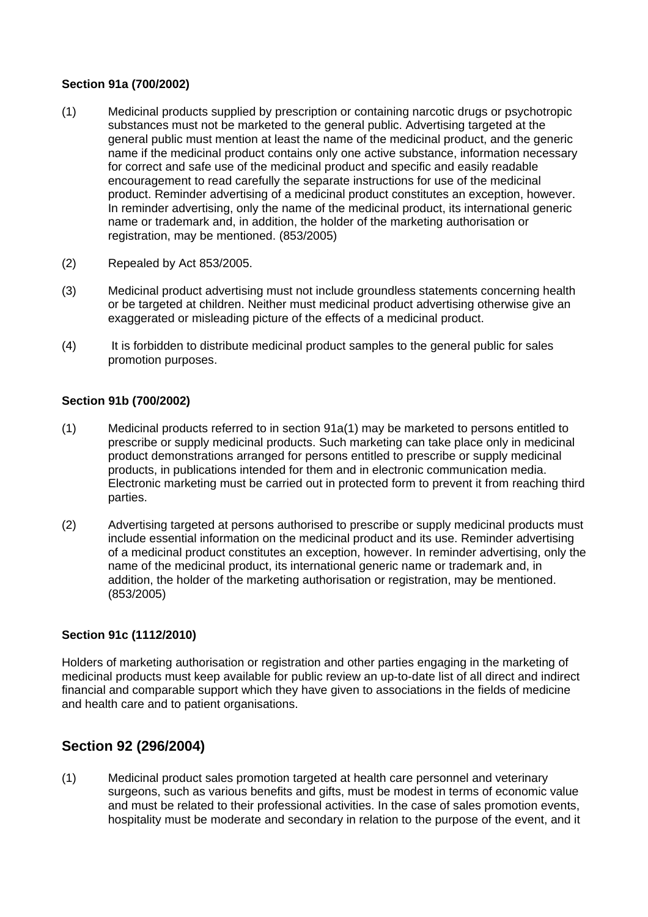## **Section 91a (700/2002)**

- (1) Medicinal products supplied by prescription or containing narcotic drugs or psychotropic substances must not be marketed to the general public. Advertising targeted at the general public must mention at least the name of the medicinal product, and the generic name if the medicinal product contains only one active substance, information necessary for correct and safe use of the medicinal product and specific and easily readable encouragement to read carefully the separate instructions for use of the medicinal product. Reminder advertising of a medicinal product constitutes an exception, however. In reminder advertising, only the name of the medicinal product, its international generic name or trademark and, in addition, the holder of the marketing authorisation or registration, may be mentioned. (853/2005)
- (2) Repealed by Act 853/2005.
- (3) Medicinal product advertising must not include groundless statements concerning health or be targeted at children. Neither must medicinal product advertising otherwise give an exaggerated or misleading picture of the effects of a medicinal product.
- (4) It is forbidden to distribute medicinal product samples to the general public for sales promotion purposes.

## **Section 91b (700/2002)**

- (1) Medicinal products referred to in section 91a(1) may be marketed to persons entitled to prescribe or supply medicinal products. Such marketing can take place only in medicinal product demonstrations arranged for persons entitled to prescribe or supply medicinal products, in publications intended for them and in electronic communication media. Electronic marketing must be carried out in protected form to prevent it from reaching third parties.
- (2) Advertising targeted at persons authorised to prescribe or supply medicinal products must include essential information on the medicinal product and its use. Reminder advertising of a medicinal product constitutes an exception, however. In reminder advertising, only the name of the medicinal product, its international generic name or trademark and, in addition, the holder of the marketing authorisation or registration, may be mentioned. (853/2005)

## **Section 91c (1112/2010)**

Holders of marketing authorisation or registration and other parties engaging in the marketing of medicinal products must keep available for public review an up-to-date list of all direct and indirect financial and comparable support which they have given to associations in the fields of medicine and health care and to patient organisations.

# **Section 92 (296/2004)**

(1) Medicinal product sales promotion targeted at health care personnel and veterinary surgeons, such as various benefits and gifts, must be modest in terms of economic value and must be related to their professional activities. In the case of sales promotion events, hospitality must be moderate and secondary in relation to the purpose of the event, and it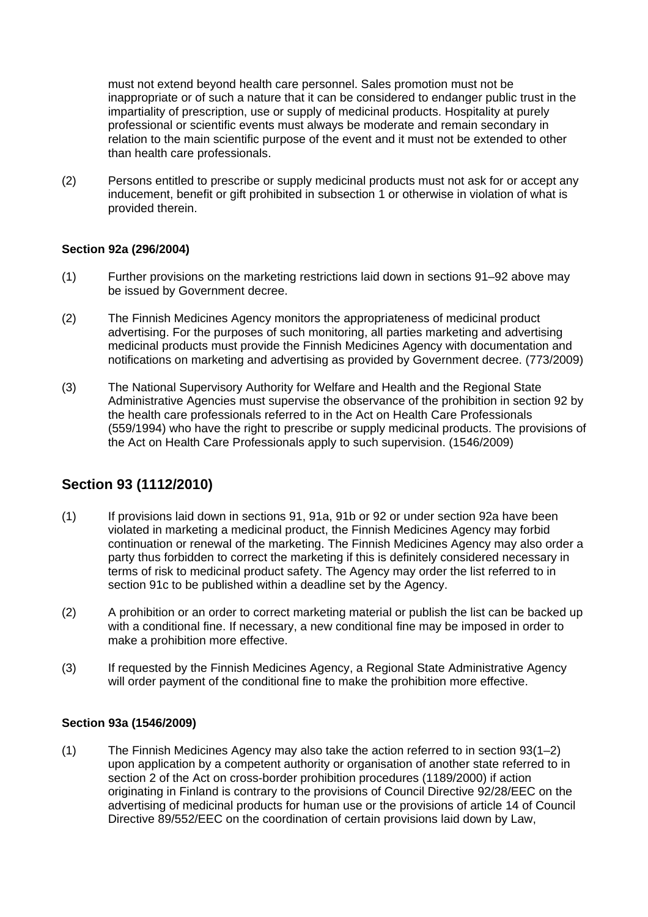must not extend beyond health care personnel. Sales promotion must not be inappropriate or of such a nature that it can be considered to endanger public trust in the impartiality of prescription, use or supply of medicinal products. Hospitality at purely professional or scientific events must always be moderate and remain secondary in relation to the main scientific purpose of the event and it must not be extended to other than health care professionals.

(2) Persons entitled to prescribe or supply medicinal products must not ask for or accept any inducement, benefit or gift prohibited in subsection 1 or otherwise in violation of what is provided therein.

### **Section 92a (296/2004)**

- (1) Further provisions on the marketing restrictions laid down in sections 91–92 above may be issued by Government decree.
- (2) The Finnish Medicines Agency monitors the appropriateness of medicinal product advertising. For the purposes of such monitoring, all parties marketing and advertising medicinal products must provide the Finnish Medicines Agency with documentation and notifications on marketing and advertising as provided by Government decree. (773/2009)
- (3) The National Supervisory Authority for Welfare and Health and the Regional State Administrative Agencies must supervise the observance of the prohibition in section 92 by the health care professionals referred to in the Act on Health Care Professionals (559/1994) who have the right to prescribe or supply medicinal products. The provisions of the Act on Health Care Professionals apply to such supervision. (1546/2009)

# **Section 93 (1112/2010)**

- (1) If provisions laid down in sections 91, 91a, 91b or 92 or under section 92a have been violated in marketing a medicinal product, the Finnish Medicines Agency may forbid continuation or renewal of the marketing. The Finnish Medicines Agency may also order a party thus forbidden to correct the marketing if this is definitely considered necessary in terms of risk to medicinal product safety. The Agency may order the list referred to in section 91c to be published within a deadline set by the Agency.
- (2) A prohibition or an order to correct marketing material or publish the list can be backed up with a conditional fine. If necessary, a new conditional fine may be imposed in order to make a prohibition more effective.
- (3) If requested by the Finnish Medicines Agency, a Regional State Administrative Agency will order payment of the conditional fine to make the prohibition more effective.

## **Section 93a (1546/2009)**

(1) The Finnish Medicines Agency may also take the action referred to in section 93(1–2) upon application by a competent authority or organisation of another state referred to in section 2 of the Act on cross-border prohibition procedures (1189/2000) if action originating in Finland is contrary to the provisions of Council Directive 92/28/EEC on the advertising of medicinal products for human use or the provisions of article 14 of Council Directive 89/552/EEC on the coordination of certain provisions laid down by Law,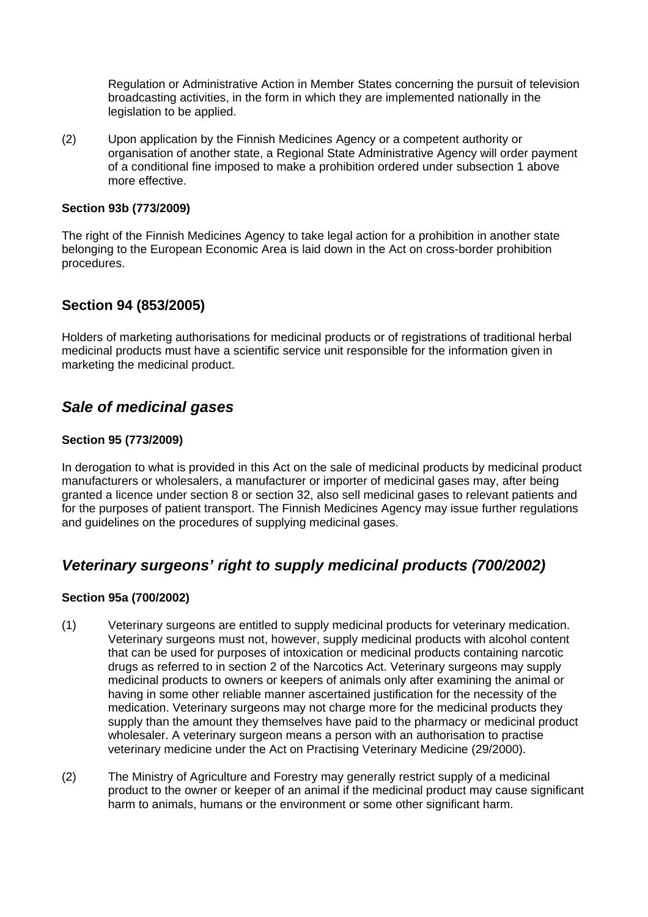Regulation or Administrative Action in Member States concerning the pursuit of television broadcasting activities, in the form in which they are implemented nationally in the legislation to be applied.

(2) Upon application by the Finnish Medicines Agency or a competent authority or organisation of another state, a Regional State Administrative Agency will order payment of a conditional fine imposed to make a prohibition ordered under subsection 1 above more effective.

### **Section 93b (773/2009)**

The right of the Finnish Medicines Agency to take legal action for a prohibition in another state belonging to the European Economic Area is laid down in the Act on cross-border prohibition procedures.

## **Section 94 (853/2005)**

Holders of marketing authorisations for medicinal products or of registrations of traditional herbal medicinal products must have a scientific service unit responsible for the information given in marketing the medicinal product.

# *Sale of medicinal gases*

### **Section 95 (773/2009)**

In derogation to what is provided in this Act on the sale of medicinal products by medicinal product manufacturers or wholesalers, a manufacturer or importer of medicinal gases may, after being granted a licence under section 8 or section 32, also sell medicinal gases to relevant patients and for the purposes of patient transport. The Finnish Medicines Agency may issue further regulations and guidelines on the procedures of supplying medicinal gases.

# *Veterinary surgeons' right to supply medicinal products (700/2002)*

### **Section 95a (700/2002)**

- (1) Veterinary surgeons are entitled to supply medicinal products for veterinary medication. Veterinary surgeons must not, however, supply medicinal products with alcohol content that can be used for purposes of intoxication or medicinal products containing narcotic drugs as referred to in section 2 of the Narcotics Act. Veterinary surgeons may supply medicinal products to owners or keepers of animals only after examining the animal or having in some other reliable manner ascertained justification for the necessity of the medication. Veterinary surgeons may not charge more for the medicinal products they supply than the amount they themselves have paid to the pharmacy or medicinal product wholesaler. A veterinary surgeon means a person with an authorisation to practise veterinary medicine under the Act on Practising Veterinary Medicine (29/2000).
- (2) The Ministry of Agriculture and Forestry may generally restrict supply of a medicinal product to the owner or keeper of an animal if the medicinal product may cause significant harm to animals, humans or the environment or some other significant harm.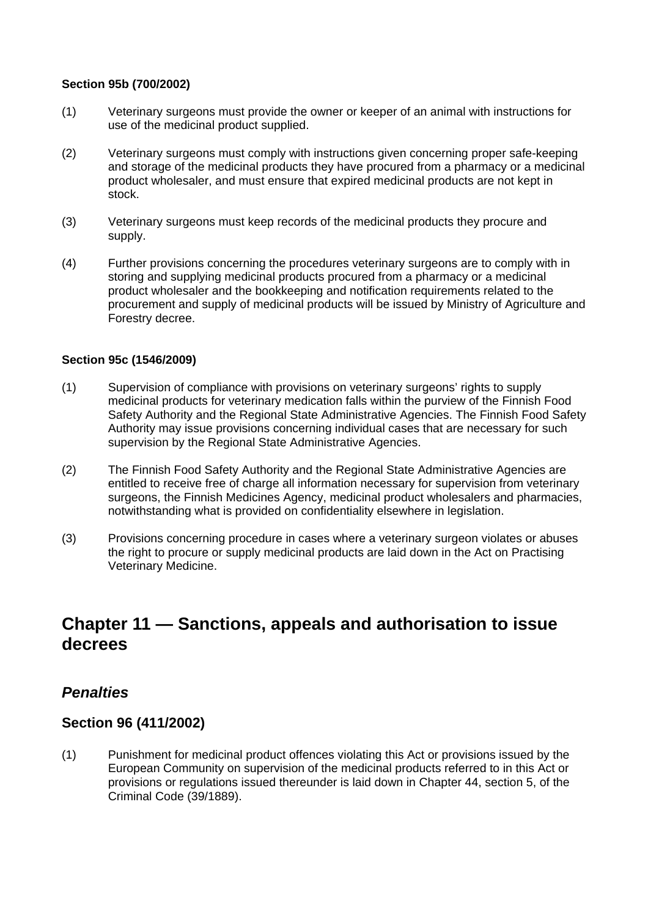### **Section 95b (700/2002)**

- (1) Veterinary surgeons must provide the owner or keeper of an animal with instructions for use of the medicinal product supplied.
- (2) Veterinary surgeons must comply with instructions given concerning proper safe-keeping and storage of the medicinal products they have procured from a pharmacy or a medicinal product wholesaler, and must ensure that expired medicinal products are not kept in stock.
- (3) Veterinary surgeons must keep records of the medicinal products they procure and supply.
- (4) Further provisions concerning the procedures veterinary surgeons are to comply with in storing and supplying medicinal products procured from a pharmacy or a medicinal product wholesaler and the bookkeeping and notification requirements related to the procurement and supply of medicinal products will be issued by Ministry of Agriculture and Forestry decree.

### **Section 95c (1546/2009)**

- (1) Supervision of compliance with provisions on veterinary surgeons' rights to supply medicinal products for veterinary medication falls within the purview of the Finnish Food Safety Authority and the Regional State Administrative Agencies. The Finnish Food Safety Authority may issue provisions concerning individual cases that are necessary for such supervision by the Regional State Administrative Agencies.
- (2) The Finnish Food Safety Authority and the Regional State Administrative Agencies are entitled to receive free of charge all information necessary for supervision from veterinary surgeons, the Finnish Medicines Agency, medicinal product wholesalers and pharmacies, notwithstanding what is provided on confidentiality elsewhere in legislation.
- (3) Provisions concerning procedure in cases where a veterinary surgeon violates or abuses the right to procure or supply medicinal products are laid down in the Act on Practising Veterinary Medicine.

# **Chapter 11 — Sanctions, appeals and authorisation to issue decrees**

## *Penalties*

## **Section 96 (411/2002)**

(1) Punishment for medicinal product offences violating this Act or provisions issued by the European Community on supervision of the medicinal products referred to in this Act or provisions or regulations issued thereunder is laid down in Chapter 44, section 5, of the Criminal Code (39/1889).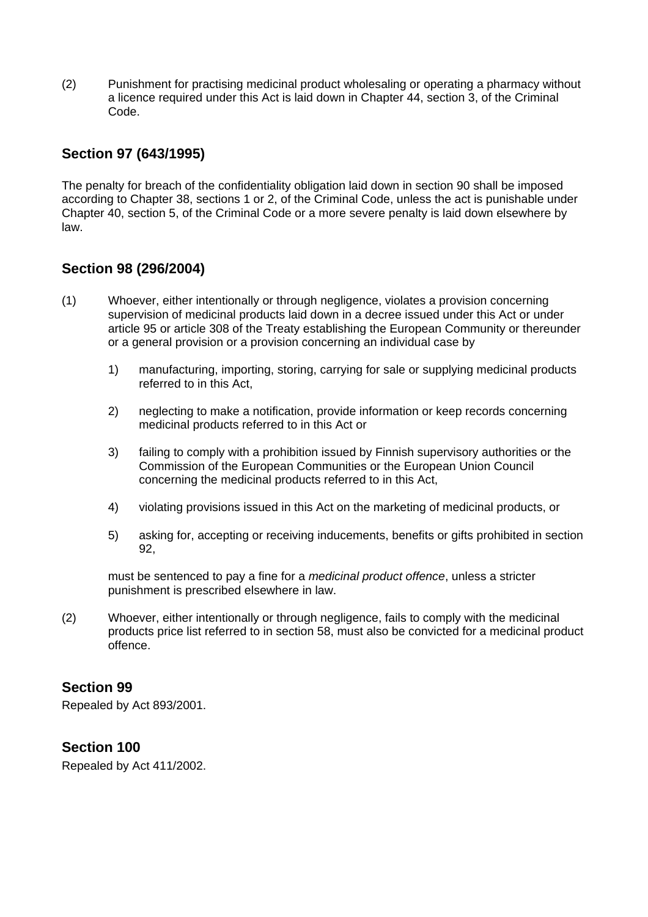(2) Punishment for practising medicinal product wholesaling or operating a pharmacy without a licence required under this Act is laid down in Chapter 44, section 3, of the Criminal Code.

## **Section 97 (643/1995)**

The penalty for breach of the confidentiality obligation laid down in section 90 shall be imposed according to Chapter 38, sections 1 or 2, of the Criminal Code, unless the act is punishable under Chapter 40, section 5, of the Criminal Code or a more severe penalty is laid down elsewhere by law.

## **Section 98 (296/2004)**

- (1) Whoever, either intentionally or through negligence, violates a provision concerning supervision of medicinal products laid down in a decree issued under this Act or under article 95 or article 308 of the Treaty establishing the European Community or thereunder or a general provision or a provision concerning an individual case by
	- 1) manufacturing, importing, storing, carrying for sale or supplying medicinal products referred to in this Act,
	- 2) neglecting to make a notification, provide information or keep records concerning medicinal products referred to in this Act or
	- 3) failing to comply with a prohibition issued by Finnish supervisory authorities or the Commission of the European Communities or the European Union Council concerning the medicinal products referred to in this Act,
	- 4) violating provisions issued in this Act on the marketing of medicinal products, or
	- 5) asking for, accepting or receiving inducements, benefits or gifts prohibited in section 92,

must be sentenced to pay a fine for a *medicinal product offence*, unless a stricter punishment is prescribed elsewhere in law.

(2) Whoever, either intentionally or through negligence, fails to comply with the medicinal products price list referred to in section 58, must also be convicted for a medicinal product offence.

## **Section 99**

Repealed by Act 893/2001.

## **Section 100**

Repealed by Act 411/2002.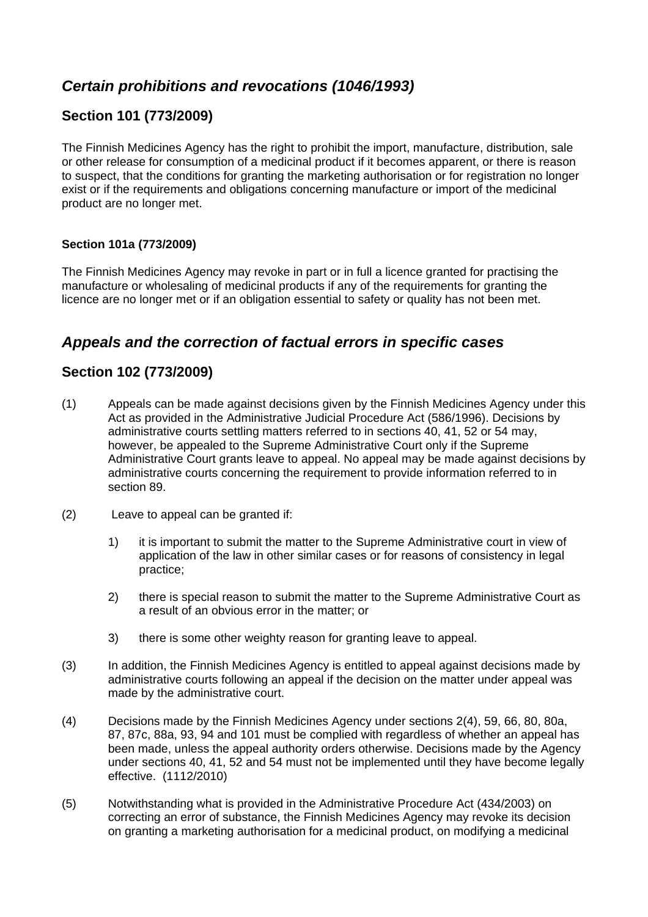# *Certain prohibitions and revocations (1046/1993)*

## **Section 101 (773/2009)**

The Finnish Medicines Agency has the right to prohibit the import, manufacture, distribution, sale or other release for consumption of a medicinal product if it becomes apparent, or there is reason to suspect, that the conditions for granting the marketing authorisation or for registration no longer exist or if the requirements and obligations concerning manufacture or import of the medicinal product are no longer met.

## **Section 101a (773/2009)**

The Finnish Medicines Agency may revoke in part or in full a licence granted for practising the manufacture or wholesaling of medicinal products if any of the requirements for granting the licence are no longer met or if an obligation essential to safety or quality has not been met.

# *Appeals and the correction of factual errors in specific cases*

## **Section 102 (773/2009)**

- (1) Appeals can be made against decisions given by the Finnish Medicines Agency under this Act as provided in the Administrative Judicial Procedure Act (586/1996). Decisions by administrative courts settling matters referred to in sections 40, 41, 52 or 54 may, however, be appealed to the Supreme Administrative Court only if the Supreme Administrative Court grants leave to appeal. No appeal may be made against decisions by administrative courts concerning the requirement to provide information referred to in section 89.
- (2) Leave to appeal can be granted if:
	- 1) it is important to submit the matter to the Supreme Administrative court in view of application of the law in other similar cases or for reasons of consistency in legal practice;
	- 2) there is special reason to submit the matter to the Supreme Administrative Court as a result of an obvious error in the matter; or
	- 3) there is some other weighty reason for granting leave to appeal.
- (3) In addition, the Finnish Medicines Agency is entitled to appeal against decisions made by administrative courts following an appeal if the decision on the matter under appeal was made by the administrative court.
- (4) Decisions made by the Finnish Medicines Agency under sections 2(4), 59, 66, 80, 80a, 87, 87c, 88a, 93, 94 and 101 must be complied with regardless of whether an appeal has been made, unless the appeal authority orders otherwise. Decisions made by the Agency under sections 40, 41, 52 and 54 must not be implemented until they have become legally effective. (1112/2010)
- (5) Notwithstanding what is provided in the Administrative Procedure Act (434/2003) on correcting an error of substance, the Finnish Medicines Agency may revoke its decision on granting a marketing authorisation for a medicinal product, on modifying a medicinal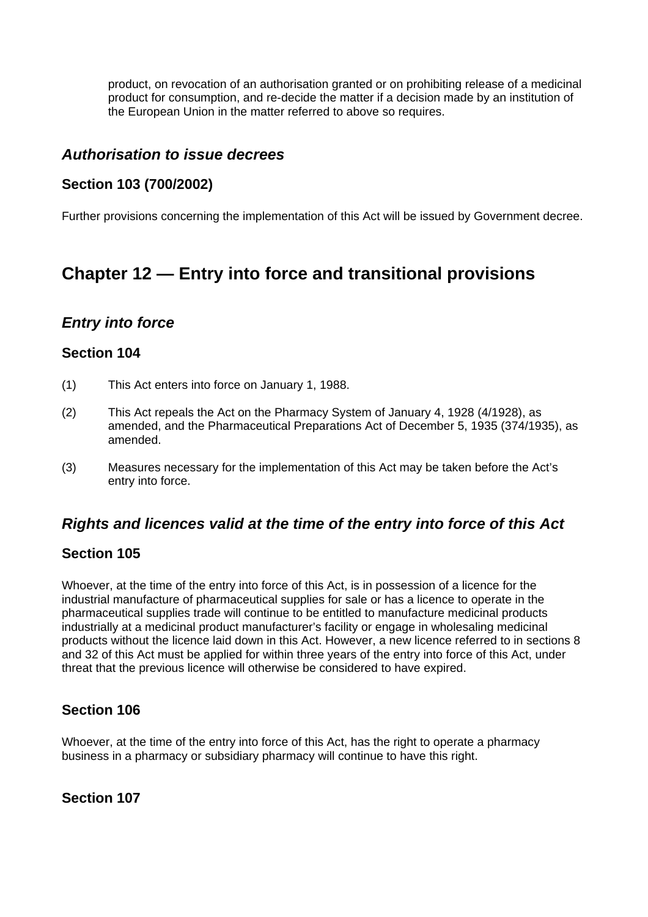product, on revocation of an authorisation granted or on prohibiting release of a medicinal product for consumption, and re-decide the matter if a decision made by an institution of the European Union in the matter referred to above so requires.

## *Authorisation to issue decrees*

## **Section 103 (700/2002)**

Further provisions concerning the implementation of this Act will be issued by Government decree.

# **Chapter 12 — Entry into force and transitional provisions**

# *Entry into force*

## **Section 104**

- (1) This Act enters into force on January 1, 1988.
- (2) This Act repeals the Act on the Pharmacy System of January 4, 1928 (4/1928), as amended, and the Pharmaceutical Preparations Act of December 5, 1935 (374/1935), as amended.
- (3) Measures necessary for the implementation of this Act may be taken before the Act's entry into force.

# *Rights and licences valid at the time of the entry into force of this Act*

## **Section 105**

Whoever, at the time of the entry into force of this Act, is in possession of a licence for the industrial manufacture of pharmaceutical supplies for sale or has a licence to operate in the pharmaceutical supplies trade will continue to be entitled to manufacture medicinal products industrially at a medicinal product manufacturer's facility or engage in wholesaling medicinal products without the licence laid down in this Act. However, a new licence referred to in sections 8 and 32 of this Act must be applied for within three years of the entry into force of this Act, under threat that the previous licence will otherwise be considered to have expired.

# **Section 106**

Whoever, at the time of the entry into force of this Act, has the right to operate a pharmacy business in a pharmacy or subsidiary pharmacy will continue to have this right.

# **Section 107**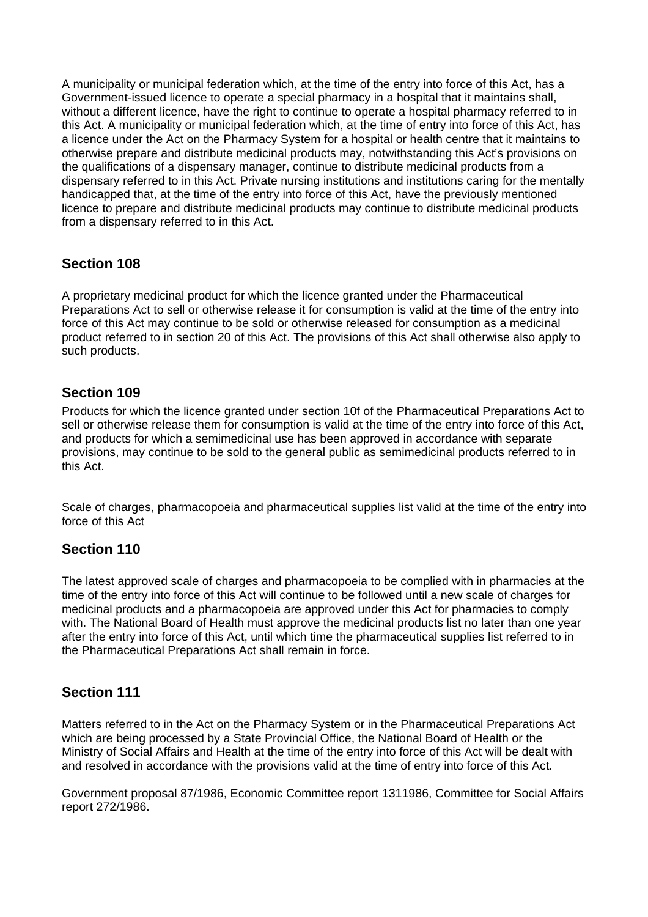A municipality or municipal federation which, at the time of the entry into force of this Act, has a Government-issued licence to operate a special pharmacy in a hospital that it maintains shall, without a different licence, have the right to continue to operate a hospital pharmacy referred to in this Act. A municipality or municipal federation which, at the time of entry into force of this Act, has a licence under the Act on the Pharmacy System for a hospital or health centre that it maintains to otherwise prepare and distribute medicinal products may, notwithstanding this Act's provisions on the qualifications of a dispensary manager, continue to distribute medicinal products from a dispensary referred to in this Act. Private nursing institutions and institutions caring for the mentally handicapped that, at the time of the entry into force of this Act, have the previously mentioned licence to prepare and distribute medicinal products may continue to distribute medicinal products from a dispensary referred to in this Act.

## **Section 108**

A proprietary medicinal product for which the licence granted under the Pharmaceutical Preparations Act to sell or otherwise release it for consumption is valid at the time of the entry into force of this Act may continue to be sold or otherwise released for consumption as a medicinal product referred to in section 20 of this Act. The provisions of this Act shall otherwise also apply to such products.

## **Section 109**

Products for which the licence granted under section 10f of the Pharmaceutical Preparations Act to sell or otherwise release them for consumption is valid at the time of the entry into force of this Act, and products for which a semimedicinal use has been approved in accordance with separate provisions, may continue to be sold to the general public as semimedicinal products referred to in this Act.

Scale of charges, pharmacopoeia and pharmaceutical supplies list valid at the time of the entry into force of this Act

## **Section 110**

The latest approved scale of charges and pharmacopoeia to be complied with in pharmacies at the time of the entry into force of this Act will continue to be followed until a new scale of charges for medicinal products and a pharmacopoeia are approved under this Act for pharmacies to comply with. The National Board of Health must approve the medicinal products list no later than one year after the entry into force of this Act, until which time the pharmaceutical supplies list referred to in the Pharmaceutical Preparations Act shall remain in force.

## **Section 111**

Matters referred to in the Act on the Pharmacy System or in the Pharmaceutical Preparations Act which are being processed by a State Provincial Office, the National Board of Health or the Ministry of Social Affairs and Health at the time of the entry into force of this Act will be dealt with and resolved in accordance with the provisions valid at the time of entry into force of this Act.

Government proposal 87/1986, Economic Committee report 1311986, Committee for Social Affairs report 272/1986.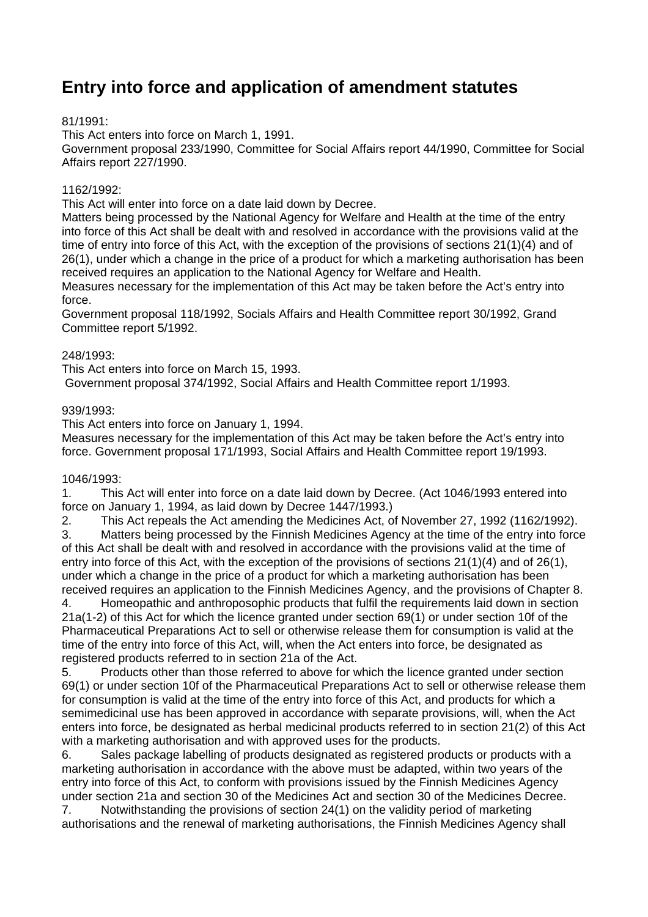# **Entry into force and application of amendment statutes**

## 81/1991:

This Act enters into force on March 1, 1991.

Government proposal 233/1990, Committee for Social Affairs report 44/1990, Committee for Social Affairs report 227/1990.

## 1162/1992:

This Act will enter into force on a date laid down by Decree.

Matters being processed by the National Agency for Welfare and Health at the time of the entry into force of this Act shall be dealt with and resolved in accordance with the provisions valid at the time of entry into force of this Act, with the exception of the provisions of sections 21(1)(4) and of 26(1), under which a change in the price of a product for which a marketing authorisation has been received requires an application to the National Agency for Welfare and Health.

Measures necessary for the implementation of this Act may be taken before the Act's entry into force.

Government proposal 118/1992, Socials Affairs and Health Committee report 30/1992, Grand Committee report 5/1992.

### 248/1993:

This Act enters into force on March 15, 1993.

Government proposal 374/1992, Social Affairs and Health Committee report 1/1993.

### 939/1993:

This Act enters into force on January 1, 1994.

Measures necessary for the implementation of this Act may be taken before the Act's entry into force. Government proposal 171/1993, Social Affairs and Health Committee report 19/1993.

### 1046/1993:

1. This Act will enter into force on a date laid down by Decree. (Act 1046/1993 entered into force on January 1, 1994, as laid down by Decree 1447/1993.)

2. This Act repeals the Act amending the Medicines Act, of November 27, 1992 (1162/1992).

3. Matters being processed by the Finnish Medicines Agency at the time of the entry into force of this Act shall be dealt with and resolved in accordance with the provisions valid at the time of entry into force of this Act, with the exception of the provisions of sections 21(1)(4) and of 26(1), under which a change in the price of a product for which a marketing authorisation has been received requires an application to the Finnish Medicines Agency, and the provisions of Chapter 8.

4. Homeopathic and anthroposophic products that fulfil the requirements laid down in section 21a(1-2) of this Act for which the licence granted under section 69(1) or under section 10f of the Pharmaceutical Preparations Act to sell or otherwise release them for consumption is valid at the time of the entry into force of this Act, will, when the Act enters into force, be designated as registered products referred to in section 21a of the Act.

5. Products other than those referred to above for which the licence granted under section 69(1) or under section 10f of the Pharmaceutical Preparations Act to sell or otherwise release them for consumption is valid at the time of the entry into force of this Act, and products for which a semimedicinal use has been approved in accordance with separate provisions, will, when the Act enters into force, be designated as herbal medicinal products referred to in section 21(2) of this Act with a marketing authorisation and with approved uses for the products.

6. Sales package labelling of products designated as registered products or products with a marketing authorisation in accordance with the above must be adapted, within two years of the entry into force of this Act, to conform with provisions issued by the Finnish Medicines Agency under section 21a and section 30 of the Medicines Act and section 30 of the Medicines Decree.

7. Notwithstanding the provisions of section 24(1) on the validity period of marketing authorisations and the renewal of marketing authorisations, the Finnish Medicines Agency shall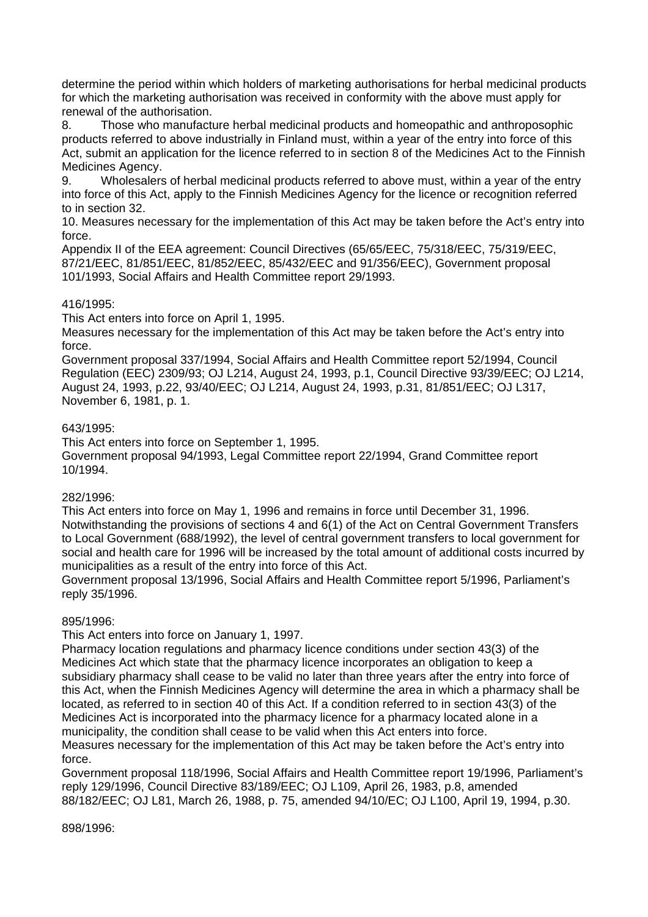determine the period within which holders of marketing authorisations for herbal medicinal products for which the marketing authorisation was received in conformity with the above must apply for renewal of the authorisation.

8. Those who manufacture herbal medicinal products and homeopathic and anthroposophic products referred to above industrially in Finland must, within a year of the entry into force of this Act, submit an application for the licence referred to in section 8 of the Medicines Act to the Finnish Medicines Agency.

9. Wholesalers of herbal medicinal products referred to above must, within a year of the entry into force of this Act, apply to the Finnish Medicines Agency for the licence or recognition referred to in section 32.

10. Measures necessary for the implementation of this Act may be taken before the Act's entry into force.

Appendix II of the EEA agreement: Council Directives (65/65/EEC, 75/318/EEC, 75/319/EEC, 87/21/EEC, 81/851/EEC, 81/852/EEC, 85/432/EEC and 91/356/EEC), Government proposal 101/1993, Social Affairs and Health Committee report 29/1993.

### 416/1995:

This Act enters into force on April 1, 1995.

Measures necessary for the implementation of this Act may be taken before the Act's entry into force.

Government proposal 337/1994, Social Affairs and Health Committee report 52/1994, Council Regulation (EEC) 2309/93; OJ L214, August 24, 1993, p.1, Council Directive 93/39/EEC; OJ L214, August 24, 1993, p.22, 93/40/EEC; OJ L214, August 24, 1993, p.31, 81/851/EEC; OJ L317, November 6, 1981, p. 1.

### 643/1995:

This Act enters into force on September 1, 1995.

Government proposal 94/1993, Legal Committee report 22/1994, Grand Committee report 10/1994.

### 282/1996:

This Act enters into force on May 1, 1996 and remains in force until December 31, 1996. Notwithstanding the provisions of sections 4 and 6(1) of the Act on Central Government Transfers to Local Government (688/1992), the level of central government transfers to local government for social and health care for 1996 will be increased by the total amount of additional costs incurred by municipalities as a result of the entry into force of this Act.

Government proposal 13/1996, Social Affairs and Health Committee report 5/1996, Parliament's reply 35/1996.

### 895/1996:

This Act enters into force on January 1, 1997.

Pharmacy location regulations and pharmacy licence conditions under section 43(3) of the Medicines Act which state that the pharmacy licence incorporates an obligation to keep a subsidiary pharmacy shall cease to be valid no later than three years after the entry into force of this Act, when the Finnish Medicines Agency will determine the area in which a pharmacy shall be located, as referred to in section 40 of this Act. If a condition referred to in section 43(3) of the Medicines Act is incorporated into the pharmacy licence for a pharmacy located alone in a municipality, the condition shall cease to be valid when this Act enters into force.

Measures necessary for the implementation of this Act may be taken before the Act's entry into force.

Government proposal 118/1996, Social Affairs and Health Committee report 19/1996, Parliament's reply 129/1996, Council Directive 83/189/EEC; OJ L109, April 26, 1983, p.8, amended 88/182/EEC; OJ L81, March 26, 1988, p. 75, amended 94/10/EC; OJ L100, April 19, 1994, p.30.

898/1996: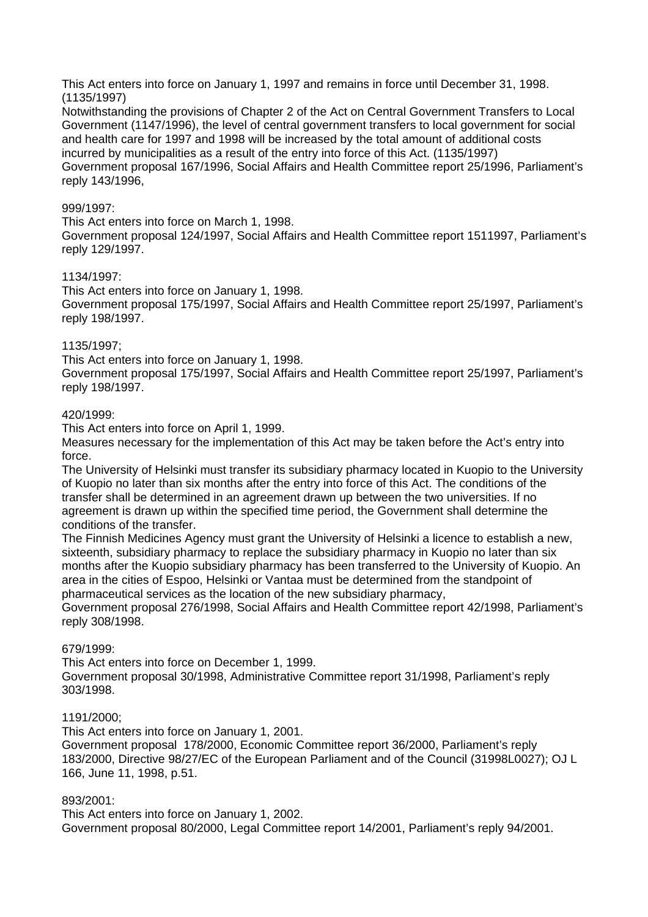This Act enters into force on January 1, 1997 and remains in force until December 31, 1998. (1135/1997)

Notwithstanding the provisions of Chapter 2 of the Act on Central Government Transfers to Local Government (1147/1996), the level of central government transfers to local government for social and health care for 1997 and 1998 will be increased by the total amount of additional costs incurred by municipalities as a result of the entry into force of this Act. (1135/1997) Government proposal 167/1996, Social Affairs and Health Committee report 25/1996, Parliament's reply 143/1996,

### 999/1997:

This Act enters into force on March 1, 1998.

Government proposal 124/1997, Social Affairs and Health Committee report 1511997, Parliament's reply 129/1997.

### 1134/1997:

This Act enters into force on January 1, 1998. Government proposal 175/1997, Social Affairs and Health Committee report 25/1997, Parliament's reply 198/1997.

### 1135/1997;

This Act enters into force on January 1, 1998.

Government proposal 175/1997, Social Affairs and Health Committee report 25/1997, Parliament's reply 198/1997.

### 420/1999:

This Act enters into force on April 1, 1999.

Measures necessary for the implementation of this Act may be taken before the Act's entry into force.

The University of Helsinki must transfer its subsidiary pharmacy located in Kuopio to the University of Kuopio no later than six months after the entry into force of this Act. The conditions of the transfer shall be determined in an agreement drawn up between the two universities. If no agreement is drawn up within the specified time period, the Government shall determine the conditions of the transfer.

The Finnish Medicines Agency must grant the University of Helsinki a licence to establish a new, sixteenth, subsidiary pharmacy to replace the subsidiary pharmacy in Kuopio no later than six months after the Kuopio subsidiary pharmacy has been transferred to the University of Kuopio. An area in the cities of Espoo, Helsinki or Vantaa must be determined from the standpoint of pharmaceutical services as the location of the new subsidiary pharmacy,

Government proposal 276/1998, Social Affairs and Health Committee report 42/1998, Parliament's reply 308/1998.

### 679/1999:

This Act enters into force on December 1, 1999.

Government proposal 30/1998, Administrative Committee report 31/1998, Parliament's reply 303/1998.

#### 1191/2000;

This Act enters into force on January 1, 2001.

Government proposal 178/2000, Economic Committee report 36/2000, Parliament's reply 183/2000, Directive 98/27/EC of the European Parliament and of the Council (31998L0027); OJ L 166, June 11, 1998, p.51.

### 893/2001:

This Act enters into force on January 1, 2002. Government proposal 80/2000, Legal Committee report 14/2001, Parliament's reply 94/2001.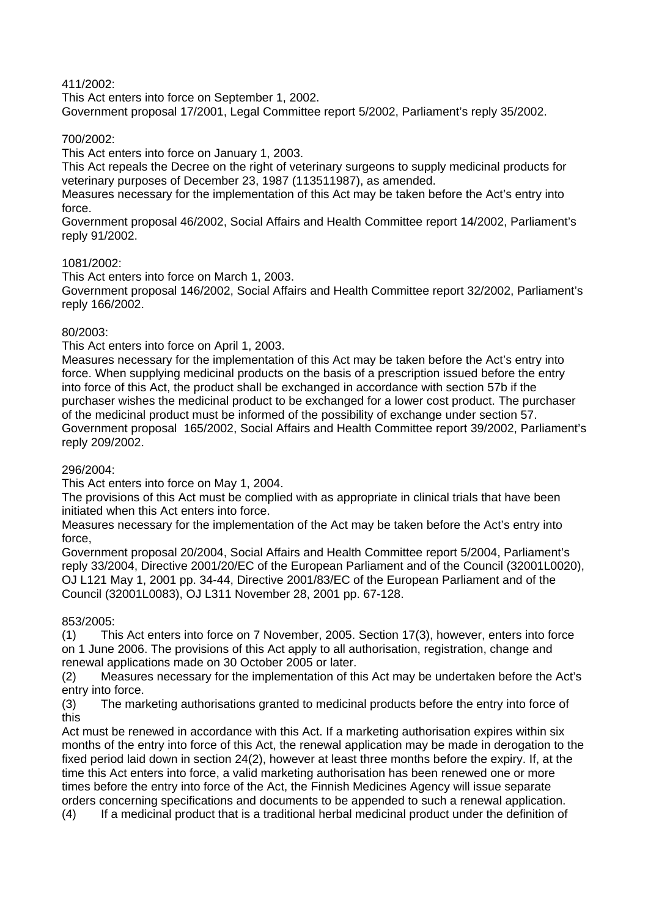## 411/2002:

This Act enters into force on September 1, 2002. Government proposal 17/2001, Legal Committee report 5/2002, Parliament's reply 35/2002.

## 700/2002:

This Act enters into force on January 1, 2003.

This Act repeals the Decree on the right of veterinary surgeons to supply medicinal products for veterinary purposes of December 23, 1987 (113511987), as amended.

Measures necessary for the implementation of this Act may be taken before the Act's entry into force.

Government proposal 46/2002, Social Affairs and Health Committee report 14/2002, Parliament's reply 91/2002.

### 1081/2002:

This Act enters into force on March 1, 2003.

Government proposal 146/2002, Social Affairs and Health Committee report 32/2002, Parliament's reply 166/2002.

## 80/2003:

This Act enters into force on April 1, 2003.

Measures necessary for the implementation of this Act may be taken before the Act's entry into force. When supplying medicinal products on the basis of a prescription issued before the entry into force of this Act, the product shall be exchanged in accordance with section 57b if the purchaser wishes the medicinal product to be exchanged for a lower cost product. The purchaser of the medicinal product must be informed of the possibility of exchange under section 57. Government proposal 165/2002, Social Affairs and Health Committee report 39/2002, Parliament's reply 209/2002.

### 296/2004:

This Act enters into force on May 1, 2004.

The provisions of this Act must be complied with as appropriate in clinical trials that have been initiated when this Act enters into force.

Measures necessary for the implementation of the Act may be taken before the Act's entry into force,

Government proposal 20/2004, Social Affairs and Health Committee report 5/2004, Parliament's reply 33/2004, Directive 2001/20/EC of the European Parliament and of the Council (32001L0020), OJ L121 May 1, 2001 pp. 34-44, Directive 2001/83/EC of the European Parliament and of the Council (32001L0083), OJ L311 November 28, 2001 pp. 67-128.

## 853/2005:

(1) This Act enters into force on 7 November, 2005. Section 17(3), however, enters into force on 1 June 2006. The provisions of this Act apply to all authorisation, registration, change and renewal applications made on 30 October 2005 or later.

(2) Measures necessary for the implementation of this Act may be undertaken before the Act's entry into force.

(3) The marketing authorisations granted to medicinal products before the entry into force of this

Act must be renewed in accordance with this Act. If a marketing authorisation expires within six months of the entry into force of this Act, the renewal application may be made in derogation to the fixed period laid down in section 24(2), however at least three months before the expiry. If, at the time this Act enters into force, a valid marketing authorisation has been renewed one or more times before the entry into force of the Act, the Finnish Medicines Agency will issue separate orders concerning specifications and documents to be appended to such a renewal application. (4) If a medicinal product that is a traditional herbal medicinal product under the definition of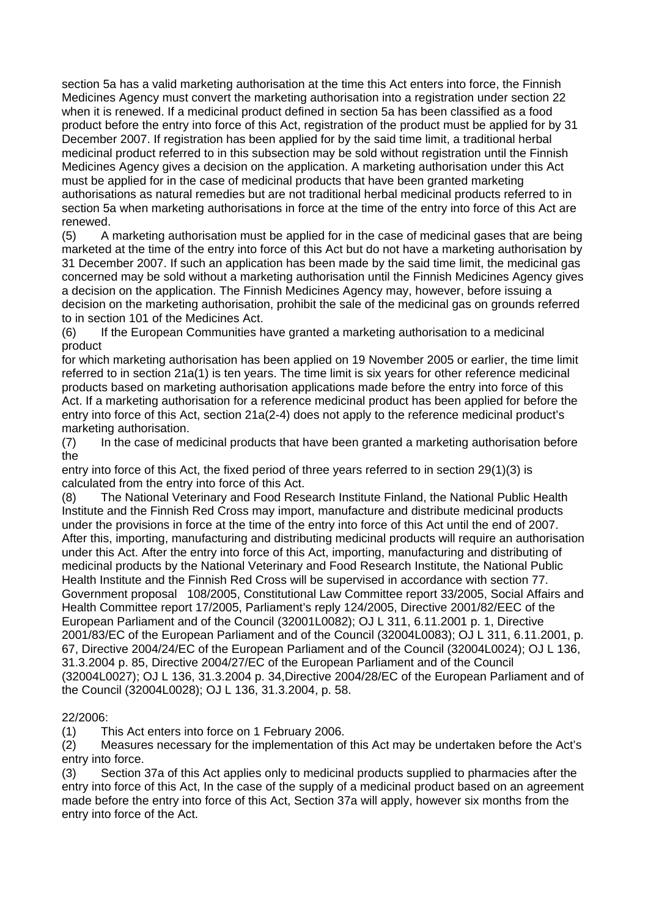section 5a has a valid marketing authorisation at the time this Act enters into force, the Finnish Medicines Agency must convert the marketing authorisation into a registration under section 22 when it is renewed. If a medicinal product defined in section 5a has been classified as a food product before the entry into force of this Act, registration of the product must be applied for by 31 December 2007. If registration has been applied for by the said time limit, a traditional herbal medicinal product referred to in this subsection may be sold without registration until the Finnish Medicines Agency gives a decision on the application. A marketing authorisation under this Act must be applied for in the case of medicinal products that have been granted marketing authorisations as natural remedies but are not traditional herbal medicinal products referred to in section 5a when marketing authorisations in force at the time of the entry into force of this Act are renewed.

(5) A marketing authorisation must be applied for in the case of medicinal gases that are being marketed at the time of the entry into force of this Act but do not have a marketing authorisation by 31 December 2007. If such an application has been made by the said time limit, the medicinal gas concerned may be sold without a marketing authorisation until the Finnish Medicines Agency gives a decision on the application. The Finnish Medicines Agency may, however, before issuing a decision on the marketing authorisation, prohibit the sale of the medicinal gas on grounds referred to in section 101 of the Medicines Act.

(6) If the European Communities have granted a marketing authorisation to a medicinal product

for which marketing authorisation has been applied on 19 November 2005 or earlier, the time limit referred to in section 21a(1) is ten years. The time limit is six years for other reference medicinal products based on marketing authorisation applications made before the entry into force of this Act. If a marketing authorisation for a reference medicinal product has been applied for before the entry into force of this Act, section 21a(2-4) does not apply to the reference medicinal product's marketing authorisation.

(7) In the case of medicinal products that have been granted a marketing authorisation before the

entry into force of this Act, the fixed period of three years referred to in section 29(1)(3) is calculated from the entry into force of this Act.

(8) The National Veterinary and Food Research Institute Finland, the National Public Health Institute and the Finnish Red Cross may import, manufacture and distribute medicinal products under the provisions in force at the time of the entry into force of this Act until the end of 2007. After this, importing, manufacturing and distributing medicinal products will require an authorisation under this Act. After the entry into force of this Act, importing, manufacturing and distributing of medicinal products by the National Veterinary and Food Research Institute, the National Public Health Institute and the Finnish Red Cross will be supervised in accordance with section 77. Government proposal 108/2005, Constitutional Law Committee report 33/2005, Social Affairs and Health Committee report 17/2005, Parliament's reply 124/2005, Directive 2001/82/EEC of the European Parliament and of the Council (32001L0082); OJ L 311, 6.11.2001 p. 1, Directive 2001/83/EC of the European Parliament and of the Council (32004L0083); OJ L 311, 6.11.2001, p. 67, Directive 2004/24/EC of the European Parliament and of the Council (32004L0024); OJ L 136, 31.3.2004 p. 85, Directive 2004/27/EC of the European Parliament and of the Council (32004L0027); OJ L 136, 31.3.2004 p. 34,Directive 2004/28/EC of the European Parliament and of the Council (32004L0028); OJ L 136, 31.3.2004, p. 58.

### 22/2006:

(1) This Act enters into force on 1 February 2006.

(2) Measures necessary for the implementation of this Act may be undertaken before the Act's entry into force.

(3) Section 37a of this Act applies only to medicinal products supplied to pharmacies after the entry into force of this Act, In the case of the supply of a medicinal product based on an agreement made before the entry into force of this Act, Section 37a will apply, however six months from the entry into force of the Act.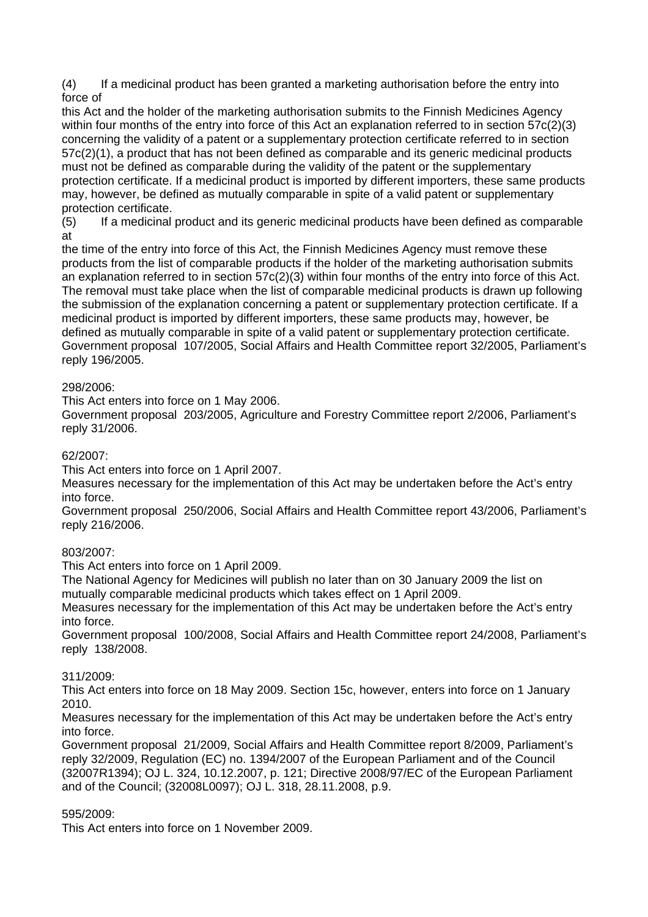(4) If a medicinal product has been granted a marketing authorisation before the entry into force of

this Act and the holder of the marketing authorisation submits to the Finnish Medicines Agency within four months of the entry into force of this Act an explanation referred to in section 57c(2)(3) concerning the validity of a patent or a supplementary protection certificate referred to in section 57c(2)(1), a product that has not been defined as comparable and its generic medicinal products must not be defined as comparable during the validity of the patent or the supplementary protection certificate. If a medicinal product is imported by different importers, these same products may, however, be defined as mutually comparable in spite of a valid patent or supplementary protection certificate.

(5) If a medicinal product and its generic medicinal products have been defined as comparable at

the time of the entry into force of this Act, the Finnish Medicines Agency must remove these products from the list of comparable products if the holder of the marketing authorisation submits an explanation referred to in section 57c(2)(3) within four months of the entry into force of this Act. The removal must take place when the list of comparable medicinal products is drawn up following the submission of the explanation concerning a patent or supplementary protection certificate. If a medicinal product is imported by different importers, these same products may, however, be defined as mutually comparable in spite of a valid patent or supplementary protection certificate. Government proposal 107/2005, Social Affairs and Health Committee report 32/2005, Parliament's reply 196/2005.

### 298/2006:

This Act enters into force on 1 May 2006.

Government proposal 203/2005, Agriculture and Forestry Committee report 2/2006, Parliament's reply 31/2006.

## 62/2007:

This Act enters into force on 1 April 2007.

Measures necessary for the implementation of this Act may be undertaken before the Act's entry into force.

Government proposal 250/2006, Social Affairs and Health Committee report 43/2006, Parliament's reply 216/2006.

### 803/2007:

This Act enters into force on 1 April 2009.

The National Agency for Medicines will publish no later than on 30 January 2009 the list on mutually comparable medicinal products which takes effect on 1 April 2009.

Measures necessary for the implementation of this Act may be undertaken before the Act's entry into force.

Government proposal 100/2008, Social Affairs and Health Committee report 24/2008, Parliament's reply 138/2008.

### 311/2009:

This Act enters into force on 18 May 2009. Section 15c, however, enters into force on 1 January 2010.

Measures necessary for the implementation of this Act may be undertaken before the Act's entry into force.

Government proposal 21/2009, Social Affairs and Health Committee report 8/2009, Parliament's reply 32/2009, Regulation (EC) no. 1394/2007 of the European Parliament and of the Council (32007R1394); OJ L. 324, 10.12.2007, p. 121; Directive 2008/97/EC of the European Parliament and of the Council; (32008L0097); OJ L. 318, 28.11.2008, p.9.

### 595/2009:

This Act enters into force on 1 November 2009.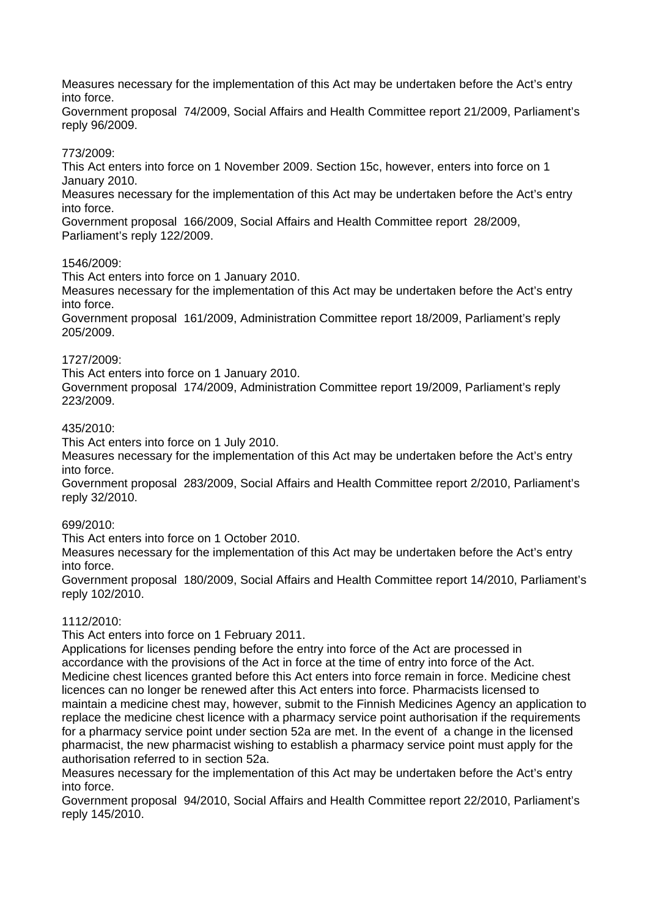Measures necessary for the implementation of this Act may be undertaken before the Act's entry into force.

Government proposal 74/2009, Social Affairs and Health Committee report 21/2009, Parliament's reply 96/2009.

### 773/2009:

This Act enters into force on 1 November 2009. Section 15c, however, enters into force on 1 January 2010.

Measures necessary for the implementation of this Act may be undertaken before the Act's entry into force.

Government proposal 166/2009, Social Affairs and Health Committee report 28/2009, Parliament's reply 122/2009.

### 1546/2009:

This Act enters into force on 1 January 2010.

Measures necessary for the implementation of this Act may be undertaken before the Act's entry into force.

Government proposal 161/2009, Administration Committee report 18/2009, Parliament's reply 205/2009.

### 1727/2009:

This Act enters into force on 1 January 2010.

Government proposal 174/2009, Administration Committee report 19/2009, Parliament's reply 223/2009.

### 435/2010:

This Act enters into force on 1 July 2010.

Measures necessary for the implementation of this Act may be undertaken before the Act's entry into force.

Government proposal 283/2009, Social Affairs and Health Committee report 2/2010, Parliament's reply 32/2010.

### 699/2010:

This Act enters into force on 1 October 2010.

Measures necessary for the implementation of this Act may be undertaken before the Act's entry into force.

Government proposal 180/2009, Social Affairs and Health Committee report 14/2010, Parliament's reply 102/2010.

#### 1112/2010:

This Act enters into force on 1 February 2011.

Applications for licenses pending before the entry into force of the Act are processed in accordance with the provisions of the Act in force at the time of entry into force of the Act. Medicine chest licences granted before this Act enters into force remain in force. Medicine chest licences can no longer be renewed after this Act enters into force. Pharmacists licensed to maintain a medicine chest may, however, submit to the Finnish Medicines Agency an application to replace the medicine chest licence with a pharmacy service point authorisation if the requirements for a pharmacy service point under section 52a are met. In the event of a change in the licensed pharmacist, the new pharmacist wishing to establish a pharmacy service point must apply for the authorisation referred to in section 52a.

Measures necessary for the implementation of this Act may be undertaken before the Act's entry into force.

Government proposal 94/2010, Social Affairs and Health Committee report 22/2010, Parliament's reply 145/2010.